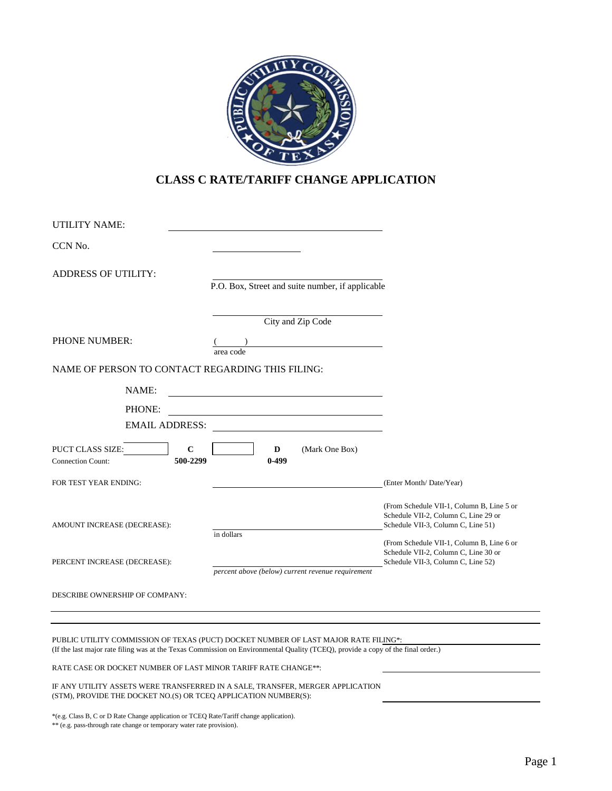

## **CLASS C RATE/TARIFF CHANGE APPLICATION**

| <b>UTILITY NAME:</b>                                                           |                                                                 |                                                                                                                         |
|--------------------------------------------------------------------------------|-----------------------------------------------------------------|-------------------------------------------------------------------------------------------------------------------------|
| CCN No.                                                                        |                                                                 |                                                                                                                         |
| <b>ADDRESS OF UTILITY:</b>                                                     | P.O. Box, Street and suite number, if applicable                |                                                                                                                         |
|                                                                                | City and Zip Code                                               |                                                                                                                         |
| <b>PHONE NUMBER:</b>                                                           | area code                                                       |                                                                                                                         |
| NAME OF PERSON TO CONTACT REGARDING THIS FILING:                               |                                                                 |                                                                                                                         |
| NAME:                                                                          |                                                                 |                                                                                                                         |
| PHONE:                                                                         |                                                                 |                                                                                                                         |
| <b>EMAIL ADDRESS:</b>                                                          |                                                                 |                                                                                                                         |
| $\mathbf C$<br><b>PUCT CLASS SIZE:</b><br>500-2299<br><b>Connection Count:</b> | D<br>(Mark One Box)<br>$0-499$                                  |                                                                                                                         |
| FOR TEST YEAR ENDING:                                                          |                                                                 | (Enter Month/Date/Year)                                                                                                 |
| AMOUNT INCREASE (DECREASE):                                                    |                                                                 | (From Schedule VII-1, Column B, Line 5 or<br>Schedule VII-2, Column C, Line 29 or<br>Schedule VII-3, Column C, Line 51) |
| PERCENT INCREASE (DECREASE):                                                   | in dollars<br>percent above (below) current revenue requirement | (From Schedule VII-1, Column B, Line 6 or<br>Schedule VII-2, Column C, Line 30 or<br>Schedule VII-3, Column C, Line 52) |
| DESCRIBE OWNERSHIP OF COMPANY:                                                 |                                                                 |                                                                                                                         |

PUBLIC UTILITY COMMISSION OF TEXAS (PUCT) DOCKET NUMBER OF LAST MAJOR RATE FILING\*: (If the last major rate filing was at the Texas Commission on Environmental Quality (TCEQ), provide a copy of the final order.)

RATE CASE OR DOCKET NUMBER OF LAST MINOR TARIFF RATE CHANGE\*\*:

IF ANY UTILITY ASSETS WERE TRANSFERRED IN A SALE, TRANSFER, MERGER APPLICATION (STM), PROVIDE THE DOCKET NO.(S) OR TCEQ APPLICATION NUMBER(S):

\*(e.g. Class B, C or D Rate Change application or TCEQ Rate/Tariff change application).

\*\* (e.g. pass-through rate change or temporary water rate provision).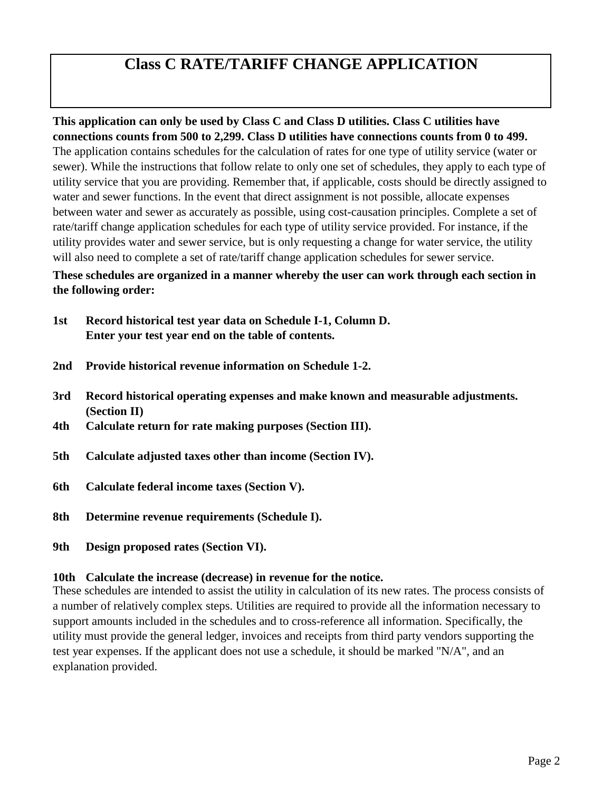# **Class C RATE/TARIFF CHANGE APPLICATION**

## **This application can only be used by Class C and Class D utilities. Class C utilities have connections counts from 500 to 2,299. Class D utilities have connections counts from 0 to 499.**

The application contains schedules for the calculation of rates for one type of utility service (water or sewer). While the instructions that follow relate to only one set of schedules, they apply to each type of utility service that you are providing. Remember that, if applicable, costs should be directly assigned to water and sewer functions. In the event that direct assignment is not possible, allocate expenses between water and sewer as accurately as possible, using cost-causation principles. Complete a set of rate/tariff change application schedules for each type of utility service provided. For instance, if the utility provides water and sewer service, but is only requesting a change for water service, the utility will also need to complete a set of rate/tariff change application schedules for sewer service.

## **These schedules are organized in a manner whereby the user can work through each section in the following order:**

- **1st Record historical test year data on Schedule I-1, Column D. Enter your test year end on the table of contents.**
- **2nd Provide historical revenue information on Schedule 1-2.**
- **3rd Record historical operating expenses and make known and measurable adjustments. (Section II)**
- **4th Calculate return for rate making purposes (Section III).**
- **5th Calculate adjusted taxes other than income (Section IV).**
- **6th Calculate federal income taxes (Section V).**
- **8th Determine revenue requirements (Schedule I).**
- **9th Design proposed rates (Section VI).**

## **10th Calculate the increase (decrease) in revenue for the notice.**

These schedules are intended to assist the utility in calculation of its new rates. The process consists of a number of relatively complex steps. Utilities are required to provide all the information necessary to support amounts included in the schedules and to cross-reference all information. Specifically, the utility must provide the general ledger, invoices and receipts from third party vendors supporting the test year expenses. If the applicant does not use a schedule, it should be marked "N/A", and an explanation provided.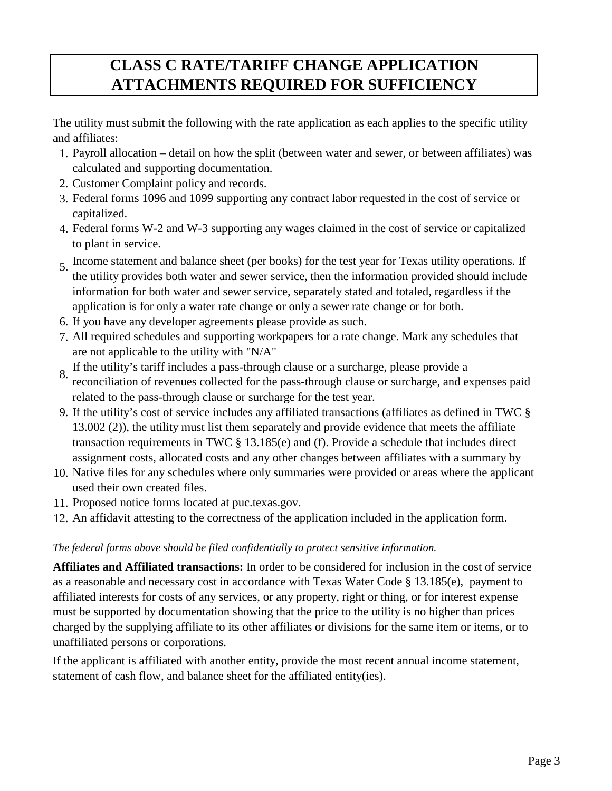# **CLASS C RATE/TARIFF CHANGE APPLICATION ATTACHMENTS REQUIRED FOR SUFFICIENCY**

The utility must submit the following with the rate application as each applies to the specific utility and affiliates:

- 1. Payroll allocation detail on how the split (between water and sewer, or between affiliates) was calculated and supporting documentation.
- 2. Customer Complaint policy and records.
- 3. Federal forms 1096 and 1099 supporting any contract labor requested in the cost of service or capitalized.
- 4. Federal forms W-2 and W-3 supporting any wages claimed in the cost of service or capitalized to plant in service.
- 5. Income statement and balance sheet (per books) for the test year for Texas utility operations. If the utility provides both water and sewer service, then the information provided should include information for both water and sewer service, separately stated and totaled, regardless if the application is for only a water rate change or only a sewer rate change or for both.
- 6. If you have any developer agreements please provide as such.
- 7. All required schedules and supporting workpapers for a rate change. Mark any schedules that are not applicable to the utility with "N/A"
- 8. If the utility's tariff includes a pass-through clause or a surcharge, please provide a reconciliation of revenues collected for the pass-through clause or surcharge, and expenses paid related to the pass-through clause or surcharge for the test year.
- 9. If the utility's cost of service includes any affiliated transactions (affiliates as defined in TWC § 13.002 (2)), the utility must list them separately and provide evidence that meets the affiliate transaction requirements in TWC § 13.185(e) and (f). Provide a schedule that includes direct assignment costs, allocated costs and any other changes between affiliates with a summary by
- 10. Native files for any schedules where only summaries were provided or areas where the applicant used their own created files.
- 11. Proposed notice forms located at puc.texas.gov.
- 12. An affidavit attesting to the correctness of the application included in the application form.

## *The federal forms above should be filed confidentially to protect sensitive information.*

**Affiliates and Affiliated transactions:** In order to be considered for inclusion in the cost of service as a reasonable and necessary cost in accordance with Texas Water Code § 13.185(e), payment to affiliated interests for costs of any services, or any property, right or thing, or for interest expense must be supported by documentation showing that the price to the utility is no higher than prices charged by the supplying affiliate to its other affiliates or divisions for the same item or items, or to unaffiliated persons or corporations.

If the applicant is affiliated with another entity, provide the most recent annual income statement, statement of cash flow, and balance sheet for the affiliated entity(ies).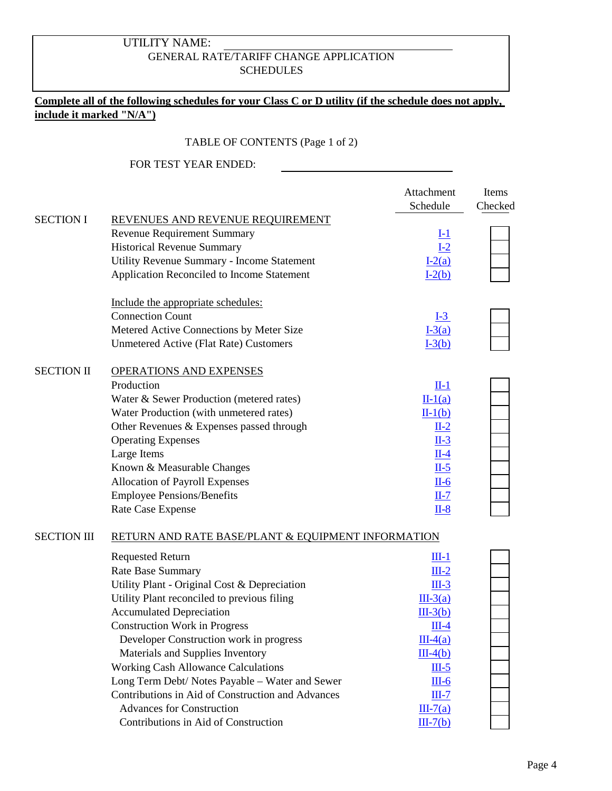## GENERAL RATE/TARIFF CHANGE APPLICATION SCHEDULES UTILITY NAME:

## **Complete all of the following schedules for your Class C or D utility (if the schedule does not apply, include it marked "N/A")**

### TABLE OF CONTENTS (Page 1 of 2)

|                    |                                                    | Attachment          | Items   |
|--------------------|----------------------------------------------------|---------------------|---------|
|                    |                                                    | Schedule            | Checked |
| <b>SECTION I</b>   | REVENUES AND REVENUE REQUIREMENT                   |                     |         |
|                    | <b>Revenue Requirement Summary</b>                 |                     |         |
|                    | <b>Historical Revenue Summary</b>                  | $\frac{I-1}{I-2}$   |         |
|                    | Utility Revenue Summary - Income Statement         | $I-2(a)$            |         |
|                    | Application Reconciled to Income Statement         | $I-2(b)$            |         |
|                    | Include the appropriate schedules:                 |                     |         |
|                    | <b>Connection Count</b>                            | $I-3$               |         |
|                    | Metered Active Connections by Meter Size           | $I-3(a)$            |         |
|                    | <b>Unmetered Active (Flat Rate) Customers</b>      | $I-3(b)$            |         |
| <b>SECTION II</b>  | <b>OPERATIONS AND EXPENSES</b>                     |                     |         |
|                    | Production                                         | $II-1$              |         |
|                    | Water & Sewer Production (metered rates)           | $II-1(a)$           |         |
|                    | Water Production (with unmetered rates)            | $II-1(b)$           |         |
|                    | Other Revenues & Expenses passed through           | $IL-2$              |         |
|                    | <b>Operating Expenses</b>                          | $IL-3$              |         |
|                    | Large Items                                        | $\underline{\Pi-4}$ |         |
|                    | Known & Measurable Changes                         | $IL-5$              |         |
|                    | Allocation of Payroll Expenses                     | $II-6$              |         |
|                    | <b>Employee Pensions/Benefits</b>                  | $II-7$              |         |
|                    | Rate Case Expense                                  | $II-8$              |         |
| <b>SECTION III</b> | RETURN AND RATE BASE/PLANT & EQUIPMENT INFORMATION |                     |         |
|                    | <b>Requested Return</b>                            | $III-1$             |         |
|                    | Rate Base Summary                                  | $III-2$             |         |
|                    | Utility Plant - Original Cost & Depreciation       | $III-3$             |         |
|                    | Utility Plant reconciled to previous filing        | $III-3(a)$          |         |
|                    | <b>Accumulated Depreciation</b>                    | $III-3(b)$          |         |
|                    | <b>Construction Work in Progress</b>               | $III-4$             |         |
|                    | Developer Construction work in progress            | $III-4(a)$          |         |
|                    | Materials and Supplies Inventory                   | $III-4(b)$          |         |
|                    | <b>Working Cash Allowance Calculations</b>         | $III-5$             |         |
|                    | Long Term Debt/ Notes Payable - Water and Sewer    | $III-6$             |         |
|                    | Contributions in Aid of Construction and Advances  | $III-7$             |         |
|                    | <b>Advances for Construction</b>                   | $III-7(a)$          |         |
|                    | Contributions in Aid of Construction               | $III-7(b)$          |         |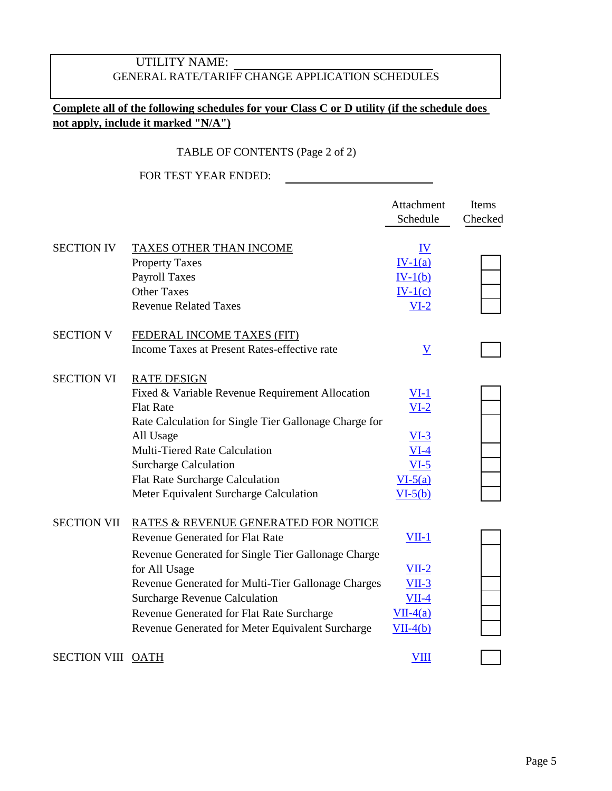# UTILITY NAME: GENERAL RATE/TARIFF CHANGE APPLICATION SCHEDULES

## **Complete all of the following schedules for your Class C or D utility (if the schedule does not apply, include it marked "N/A")**

## TABLE OF CONTENTS (Page 2 of 2)

|                    |                                                                                                                                                                                                                                                                                                                                                      | Attachment<br>Schedule                                                        | Items<br>Checked |
|--------------------|------------------------------------------------------------------------------------------------------------------------------------------------------------------------------------------------------------------------------------------------------------------------------------------------------------------------------------------------------|-------------------------------------------------------------------------------|------------------|
| <b>SECTION IV</b>  | <b>TAXES OTHER THAN INCOME</b><br><b>Property Taxes</b><br><b>Payroll Taxes</b><br><b>Other Taxes</b><br><b>Revenue Related Taxes</b>                                                                                                                                                                                                                | IV<br>$IV-1(a)$<br>$IV-1(b)$<br>$IV-1(c)$<br>$VI-2$                           |                  |
| <b>SECTION V</b>   | <b>FEDERAL INCOME TAXES (FIT)</b><br>Income Taxes at Present Rates-effective rate                                                                                                                                                                                                                                                                    | $\underline{V}$                                                               |                  |
| <b>SECTION VI</b>  | <b>RATE DESIGN</b><br>Fixed & Variable Revenue Requirement Allocation<br><b>Flat Rate</b><br>Rate Calculation for Single Tier Gallonage Charge for<br>All Usage<br>Multi-Tiered Rate Calculation<br><b>Surcharge Calculation</b><br><b>Flat Rate Surcharge Calculation</b><br>Meter Equivalent Surcharge Calculation                                 | <u>VI-1</u><br>$VI-2$<br>$VI-3$<br>$VI-4$<br>$VI-5$<br>$VI-5(a)$<br>$VI-5(b)$ |                  |
| <b>SECTION VII</b> | RATES & REVENUE GENERATED FOR NOTICE<br><b>Revenue Generated for Flat Rate</b><br>Revenue Generated for Single Tier Gallonage Charge<br>for All Usage<br>Revenue Generated for Multi-Tier Gallonage Charges<br><b>Surcharge Revenue Calculation</b><br>Revenue Generated for Flat Rate Surcharge<br>Revenue Generated for Meter Equivalent Surcharge | $VII-1$<br>$VII-2$<br>$VII-3$<br>$VII-4$<br>$VII-4(a)$<br>$VII-4(b)$          |                  |
| SECTION VIII OATH  |                                                                                                                                                                                                                                                                                                                                                      | <b>VIII</b>                                                                   |                  |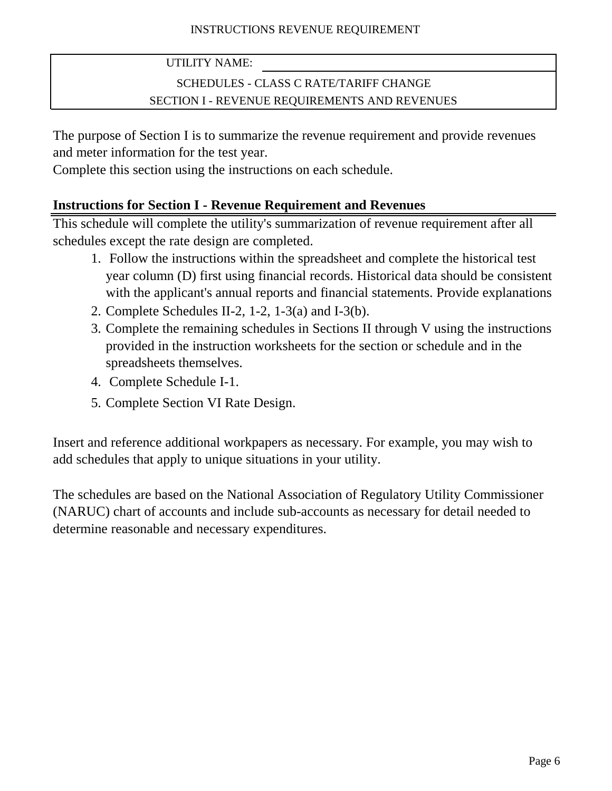# SCHEDULES - CLASS C RATE/TARIFF CHANGE SECTION I - REVENUE REQUIREMENTS AND REVENUES

The purpose of Section I is to summarize the revenue requirement and provide revenues and meter information for the test year.

Complete this section using the instructions on each schedule.

# **Instructions for Section I - Revenue Requirement and Revenues**

This schedule will complete the utility's summarization of revenue requirement after all schedules except the rate design are completed.

- 1. Follow the instructions within the spreadsheet and complete the historical test year column (D) first using financial records. Historical data should be consistent with the applicant's annual reports and financial statements. Provide explanations
- 2. Complete Schedules II-2, 1-2, 1-3(a) and I-3(b).
- 3. Complete the remaining schedules in Sections II through V using the instructions provided in the instruction worksheets for the section or schedule and in the spreadsheets themselves.
- 4. Complete Schedule I-1.
- 5. Complete Section VI Rate Design.

Insert and reference additional workpapers as necessary. For example, you may wish to add schedules that apply to unique situations in your utility.

The schedules are based on the National Association of Regulatory Utility Commissioner (NARUC) chart of accounts and include sub-accounts as necessary for detail needed to determine reasonable and necessary expenditures.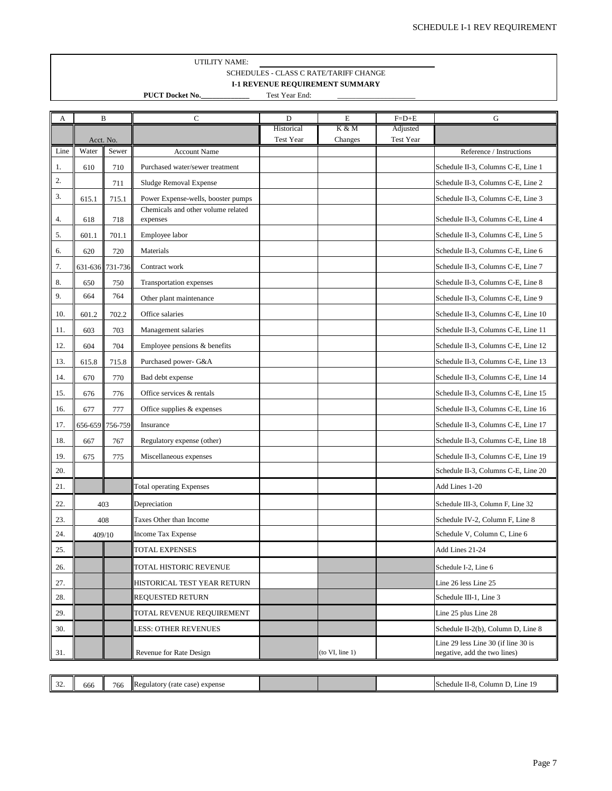### UTILITY NAME: SCHEDULES - CLASS C RATE/TARIFF CHANGE **I-1 REVENUE REQUIREMENT SUMMARY**

**PUCT Docket No.\_\_\_\_\_\_\_\_\_\_\_\_\_** Test Year End:

 $\overline{\phantom{a}}$  , where  $\overline{\phantom{a}}$ 

<span id="page-6-0"></span>

| А    | B                              |         | $\mathbf C$                                    | D                       | E                | $F=D+E$               | G                                                                   |
|------|--------------------------------|---------|------------------------------------------------|-------------------------|------------------|-----------------------|---------------------------------------------------------------------|
|      | Acct. No.                      |         |                                                | Historical<br>Test Year | K & M<br>Changes | Adjusted<br>Test Year |                                                                     |
| Line | Water                          | Sewer   | <b>Account Name</b>                            |                         |                  |                       | Reference / Instructions                                            |
| 1.   | 610                            | 710     | Purchased water/sewer treatment                |                         |                  |                       | Schedule II-3, Columns C-E, Line 1                                  |
| 2.   |                                | 711     | Sludge Removal Expense                         |                         |                  |                       | Schedule II-3, Columns C-E, Line 2                                  |
| 3.   | 615.1                          | 715.1   | Power Expense-wells, booster pumps             |                         |                  |                       | Schedule II-3, Columns C-E, Line 3                                  |
| 4.   | 618                            | 718     | Chemicals and other volume related<br>expenses |                         |                  |                       | Schedule II-3, Columns C-E, Line 4                                  |
| 5.   | 601.1                          | 701.1   | Employee labor                                 |                         |                  |                       | Schedule II-3, Columns C-E, Line 5                                  |
| 6.   | 620                            | 720     | Materials                                      |                         |                  |                       | Schedule II-3, Columns C-E, Line 6                                  |
| 7.   | 631-636                        | 731-736 | Contract work                                  |                         |                  |                       | Schedule II-3, Columns C-E, Line 7                                  |
| 8.   | 650                            | 750     | Transportation expenses                        |                         |                  |                       | Schedule II-3, Columns C-E, Line 8                                  |
| 9.   | 664                            | 764     | Other plant maintenance                        |                         |                  |                       | Schedule II-3, Columns C-E, Line 9                                  |
| 10.  | 601.2                          | 702.2   | Office salaries                                |                         |                  |                       | Schedule II-3, Columns C-E, Line 10                                 |
| 11.  | 603                            | 703     | Management salaries                            |                         |                  |                       | Schedule II-3, Columns C-E, Line 11                                 |
| 12.  | 604                            | 704     | Employee pensions $&$ benefits                 |                         |                  |                       | Schedule II-3, Columns C-E, Line 12                                 |
| 13.  | 615.8                          | 715.8   | Purchased power- G&A                           |                         |                  |                       | Schedule II-3, Columns C-E, Line 13                                 |
| 14.  | 670                            | 770     | Bad debt expense                               |                         |                  |                       | Schedule II-3, Columns C-E, Line 14                                 |
| 15.  | 676                            | 776     | Office services & rentals                      |                         |                  |                       | Schedule II-3, Columns C-E, Line 15                                 |
| 16.  | 677                            | 777     | Office supplies $&$ expenses                   |                         |                  |                       | Schedule II-3, Columns C-E, Line 16                                 |
| 17.  | 656-659                        | 756-759 | Insurance                                      |                         |                  |                       | Schedule II-3, Columns C-E, Line 17                                 |
| 18.  | 667                            | 767     | Regulatory expense (other)                     |                         |                  |                       | Schedule II-3, Columns C-E, Line 18                                 |
| 19.  | 675                            | 775     | Miscellaneous expenses                         |                         |                  |                       | Schedule II-3, Columns C-E, Line 19                                 |
| 20.  |                                |         |                                                |                         |                  |                       | Schedule II-3, Columns C-E, Line 20                                 |
| 21.  |                                |         | <b>Total operating Expenses</b>                |                         |                  |                       | Add Lines 1-20                                                      |
| 22.  | 403                            |         | Depreciation                                   |                         |                  |                       | Schedule III-3, Column F, Line 32                                   |
| 23.  | 408<br>Taxes Other than Income |         |                                                |                         |                  |                       | Schedule IV-2, Column F, Line 8                                     |
| 24.  | 409/10                         |         | Income Tax Expense                             |                         |                  |                       | Schedule V, Column C, Line 6                                        |
| 25.  |                                |         | <b>TOTAL EXPENSES</b>                          |                         |                  |                       | Add Lines 21-24                                                     |
| 26.  |                                |         | TOTAL HISTORIC REVENUE                         |                         |                  |                       | Schedule I-2, Line 6                                                |
| 27.  |                                |         | HISTORICAL TEST YEAR RETURN                    |                         |                  |                       | Line 26 less Line 25                                                |
| 28.  |                                |         | <b>REQUESTED RETURN</b>                        |                         |                  |                       | Schedule III-1, Line 3                                              |
| 29.  |                                |         | TOTAL REVENUE REQUIREMENT                      |                         |                  |                       | Line 25 plus Line 28                                                |
| 30.  |                                |         | LESS: OTHER REVENUES                           |                         |                  |                       | Schedule II-2(b), Column D, Line 8                                  |
| 31.  |                                |         | Revenue for Rate Design                        |                         | (to VI, line 1)  |                       | Line 29 less Line 30 (if line 30 is<br>negative, add the two lines) |

| <b>IR</b><br>$\sim$<br>766<br>expense<br>case)<br>egulatorv<br><b>Schedule</b><br>(rate<br>,000<br>$11 - 7$<br>-24<br>. | Line<br>. :olumn |
|-------------------------------------------------------------------------------------------------------------------------|------------------|
|-------------------------------------------------------------------------------------------------------------------------|------------------|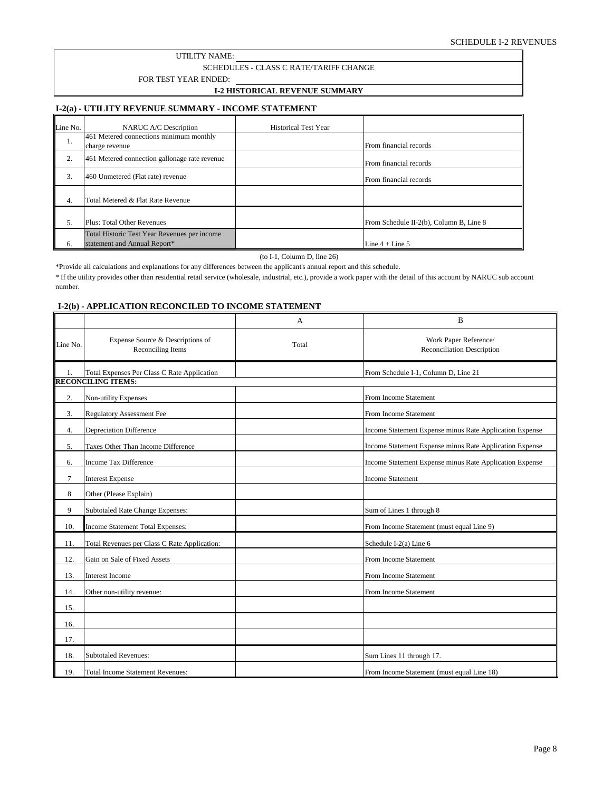## SCHEDULES - CLASS C RATE/TARIFF CHANGE

FOR TEST YEAR ENDED:

### **I-2 HISTORICAL REVENUE SUMMARY**

### <span id="page-7-0"></span>**I-2(a) - UTILITY REVENUE SUMMARY - INCOME STATEMENT**

| Line No.         | <b>NARUC A/C Description</b>                                                 | <b>Historical Test Year</b> |                                         |
|------------------|------------------------------------------------------------------------------|-----------------------------|-----------------------------------------|
| .,               | 461 Metered connections minimum monthly<br>charge revenue                    |                             | From financial records                  |
| 2.               | 461 Metered connection gallonage rate revenue                                |                             | From financial records                  |
| 3.               | 460 Unmetered (Flat rate) revenue                                            |                             | From financial records                  |
| $\overline{4}$ . | Total Metered & Flat Rate Revenue                                            |                             |                                         |
| 5.               | Plus: Total Other Revenues                                                   |                             | From Schedule II-2(b), Column B, Line 8 |
| 6.               | Total Historic Test Year Revenues per income<br>statement and Annual Report* |                             | Line $4 +$ Line $5$                     |

### (to I-1, Column D, line 26)

\*Provide all calculations and explanations for any differences between the applicant's annual report and this schedule.

\* If the utility provides other than residential retail service (wholesale, industrial, etc.), provide a work paper with the detail of this account by NARUC sub account number.

### **I-2(b) - APPLICATION RECONCILED TO INCOME STATEMENT**

|              |                                                                          | A     | B                                                       |
|--------------|--------------------------------------------------------------------------|-------|---------------------------------------------------------|
| Line No.     | Expense Source & Descriptions of<br>Reconciling Items                    | Total | Work Paper Reference/<br>Reconciliation Description     |
| $\mathbf{1}$ | Total Expenses Per Class C Rate Application<br><b>RECONCILING ITEMS:</b> |       | From Schedule I-1, Column D, Line 21                    |
| 2.           | Non-utility Expenses                                                     |       | From Income Statement                                   |
| 3.           | <b>Regulatory Assessment Fee</b>                                         |       | From Income Statement                                   |
| 4.           | <b>Depreciation Difference</b>                                           |       | Income Statement Expense minus Rate Application Expense |
| 5.           | Taxes Other Than Income Difference                                       |       | Income Statement Expense minus Rate Application Expense |
| 6.           | <b>Income Tax Difference</b>                                             |       | Income Statement Expense minus Rate Application Expense |
| 7            | <b>Interest Expense</b>                                                  |       | <b>Income Statement</b>                                 |
| 8            | Other (Please Explain)                                                   |       |                                                         |
| 9            | Subtotaled Rate Change Expenses:                                         |       | Sum of Lines 1 through 8                                |
| 10.          | Income Statement Total Expenses:                                         |       | From Income Statement (must equal Line 9)               |
| 11.          | Total Revenues per Class C Rate Application:                             |       | Schedule I-2(a) Line 6                                  |
| 12.          | Gain on Sale of Fixed Assets                                             |       | From Income Statement                                   |
| 13.          | Interest Income                                                          |       | From Income Statement                                   |
| 14.          | Other non-utility revenue:                                               |       | From Income Statement                                   |
| 15.          |                                                                          |       |                                                         |
| 16.          |                                                                          |       |                                                         |
| 17.          |                                                                          |       |                                                         |
| 18.          | <b>Subtotaled Revenues:</b>                                              |       | Sum Lines 11 through 17.                                |
| 19.          | <b>Total Income Statement Revenues:</b>                                  |       | From Income Statement (must equal Line 18)              |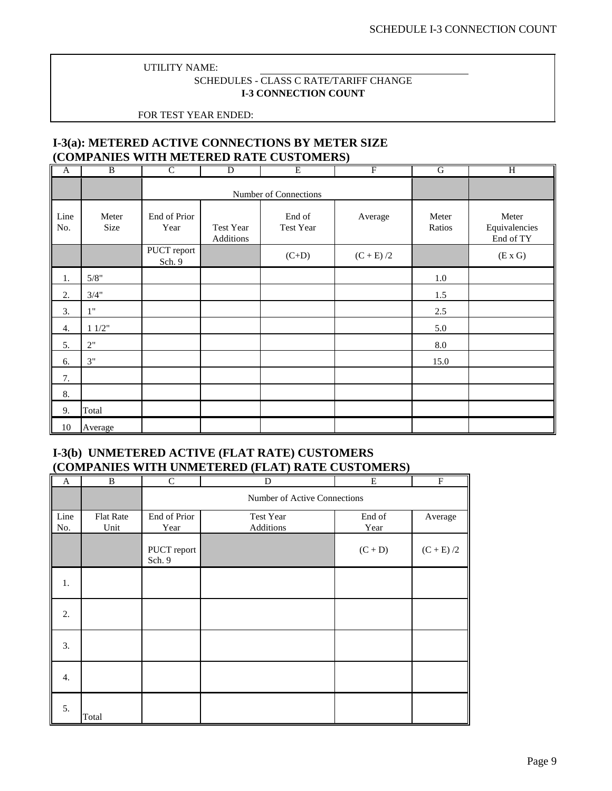## SCHEDULES - CLASS C RATE/TARIFF CHANGE **I-3 CONNECTION COUNT**

FOR TEST YEAR ENDED:

## <span id="page-8-0"></span>**I-3(a): METERED ACTIVE CONNECTIONS BY METER SIZE (COMPANIES WITH METERED RATE CUSTOMERS)**

| A           | B             | C                     | D                      | Ε                   | F           | G               | Η                                   |
|-------------|---------------|-----------------------|------------------------|---------------------|-------------|-----------------|-------------------------------------|
|             |               |                       | Number of Connections  |                     |             |                 |                                     |
| Line<br>No. | Meter<br>Size | End of Prior<br>Year  | Test Year<br>Additions | End of<br>Test Year | Average     | Meter<br>Ratios | Meter<br>Equivalencies<br>End of TY |
|             |               | PUCT report<br>Sch. 9 |                        | $(C+D)$             | $(C + E)/2$ |                 | (E X G)                             |
| 1.          | 5/8"          |                       |                        |                     |             | 1.0             |                                     |
| 2.          | 3/4"          |                       |                        |                     |             | 1.5             |                                     |
| 3.          | 1"            |                       |                        |                     |             | $2.5\,$         |                                     |
| 4.          | 11/2"         |                       |                        |                     |             | 5.0             |                                     |
| 5.          | 2"            |                       |                        |                     |             | $\rm 8.0$       |                                     |
| 6.          | 3"            |                       |                        |                     |             | 15.0            |                                     |
| 7.          |               |                       |                        |                     |             |                 |                                     |
| 8.          |               |                       |                        |                     |             |                 |                                     |
| 9.          | Total         |                       |                        |                     |             |                 |                                     |
| $10\,$      | Average       |                       |                        |                     |             |                 |                                     |

## **I-3(b) UNMETERED ACTIVE (FLAT RATE) CUSTOMERS (COMPANIES WITH UNMETERED (FLAT) RATE CUSTOMERS)**

| lľ<br>$\mathbf{A}$ | $\overline{B}$           | $\mathsf{C}$          | D                            | E              | $\overline{F}$                         |  |  |  |  |
|--------------------|--------------------------|-----------------------|------------------------------|----------------|----------------------------------------|--|--|--|--|
|                    |                          |                       | Number of Active Connections |                |                                        |  |  |  |  |
| Line<br>No.        | <b>Flat Rate</b><br>Unit | End of Prior<br>Year  | Test Year<br>Additions       | End of<br>Year | Average                                |  |  |  |  |
|                    |                          | PUCT report<br>Sch. 9 |                              | $(C + D)$      | $\left( \text{C} + \text{E} \right)/2$ |  |  |  |  |
| 1.                 |                          |                       |                              |                |                                        |  |  |  |  |
| 2.                 |                          |                       |                              |                |                                        |  |  |  |  |
| 3.                 |                          |                       |                              |                |                                        |  |  |  |  |
| 4.                 |                          |                       |                              |                |                                        |  |  |  |  |
| 5.                 | Total                    |                       |                              |                |                                        |  |  |  |  |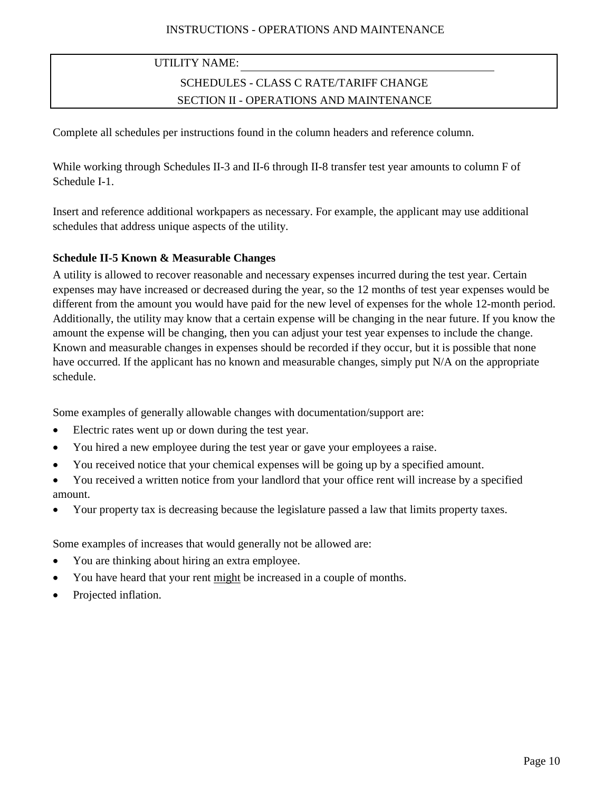# SCHEDULES - CLASS C RATE/TARIFF CHANGE SECTION II - OPERATIONS AND MAINTENANCE

Complete all schedules per instructions found in the column headers and reference column.

While working through Schedules II-3 and II-6 through II-8 transfer test year amounts to column F of Schedule I-1.

Insert and reference additional workpapers as necessary. For example, the applicant may use additional schedules that address unique aspects of the utility.

## **Schedule II-5 Known & Measurable Changes**

A utility is allowed to recover reasonable and necessary expenses incurred during the test year. Certain expenses may have increased or decreased during the year, so the 12 months of test year expenses would be different from the amount you would have paid for the new level of expenses for the whole 12-month period. Additionally, the utility may know that a certain expense will be changing in the near future. If you know the amount the expense will be changing, then you can adjust your test year expenses to include the change. Known and measurable changes in expenses should be recorded if they occur, but it is possible that none have occurred. If the applicant has no known and measurable changes, simply put N/A on the appropriate schedule.

Some examples of generally allowable changes with documentation/support are:

- Electric rates went up or down during the test year.
- You hired a new employee during the test year or gave your employees a raise.
- You received notice that your chemical expenses will be going up by a specified amount.
- You received a written notice from your landlord that your office rent will increase by a specified amount.
- Your property tax is decreasing because the legislature passed a law that limits property taxes.

Some examples of increases that would generally not be allowed are:

- You are thinking about hiring an extra employee.
- You have heard that your rent might be increased in a couple of months.
- Projected inflation.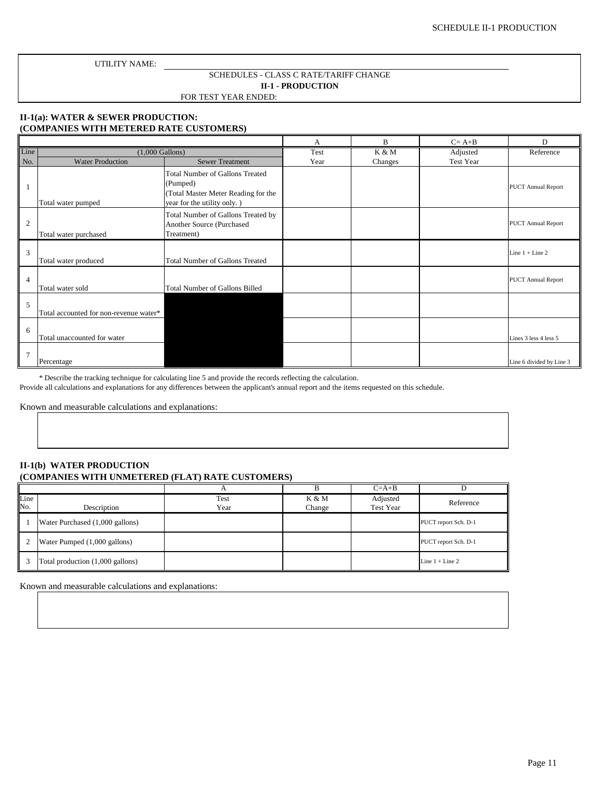### FOR TEST YEAR ENDED: SCHEDULES - CLASS C RATE/TARIFF CHANGE **II-1 - PRODUCTION**

## <span id="page-10-0"></span>**II-1(a): WATER & SEWER PRODUCTION: (COMPANIES WITH METERED RATE CUSTOMERS)**

|                |                                        |                                                                                                                   | А    | B       | $C = A + B$ | D                         |
|----------------|----------------------------------------|-------------------------------------------------------------------------------------------------------------------|------|---------|-------------|---------------------------|
| Line           | $(1,000 \text{ Gallons})$              |                                                                                                                   | Test | K & M   | Adjusted    | Reference                 |
| No.            | <b>Water Production</b>                | <b>Sewer Treatment</b>                                                                                            | Year | Changes | Test Year   |                           |
| 1              | Total water pumped                     | Total Number of Gallons Treated<br>(Pumped)<br>(Total Master Meter Reading for the<br>year for the utility only.) |      |         |             | <b>PUCT Annual Report</b> |
| $\mathbf{2}$   | Total water purchased                  | Total Number of Gallons Treated by<br>Another Source (Purchased<br>Treatment)                                     |      |         |             | <b>PUCT Annual Report</b> |
| 3              | Total water produced                   | Total Number of Gallons Treated                                                                                   |      |         |             | Line $1 +$ Line $2$       |
| $\overline{4}$ | Total water sold                       | Total Number of Gallons Billed                                                                                    |      |         |             | <b>PUCT Annual Report</b> |
| 5              | Total accounted for non-revenue water* |                                                                                                                   |      |         |             |                           |
| 6              | Total unaccounted for water            |                                                                                                                   |      |         |             | Lines 3 less 4 less 5     |
| $\overline{7}$ | Percentage                             |                                                                                                                   |      |         |             | Line 6 divided by Line 3  |

\* Describe the tracking technique for calculating line 5 and provide the records reflecting the calculation.

Provide all calculations and explanations for any differences between the applicant's annual report and the items requested on this schedule.

Known and measurable calculations and explanations:

### **II-1(b) WATER PRODUCTION (COMPANIES WITH UNMETERED (FLAT) RATE CUSTOMERS)**

|             |                                  |              |                 | $C=A+B$                      |                      |
|-------------|----------------------------------|--------------|-----------------|------------------------------|----------------------|
| Line<br>No. | Description                      | Test<br>Year | K & M<br>Change | Adjusted<br><b>Test Year</b> | Reference            |
|             | Water Purchased (1,000 gallons)  |              |                 |                              | PUCT report Sch. D-1 |
|             | Water Pumped (1,000 gallons)     |              |                 |                              | PUCT report Sch. D-1 |
|             | Total production (1,000 gallons) |              |                 |                              | Line $1 +$ Line 2    |

Known and measurable calculations and explanations: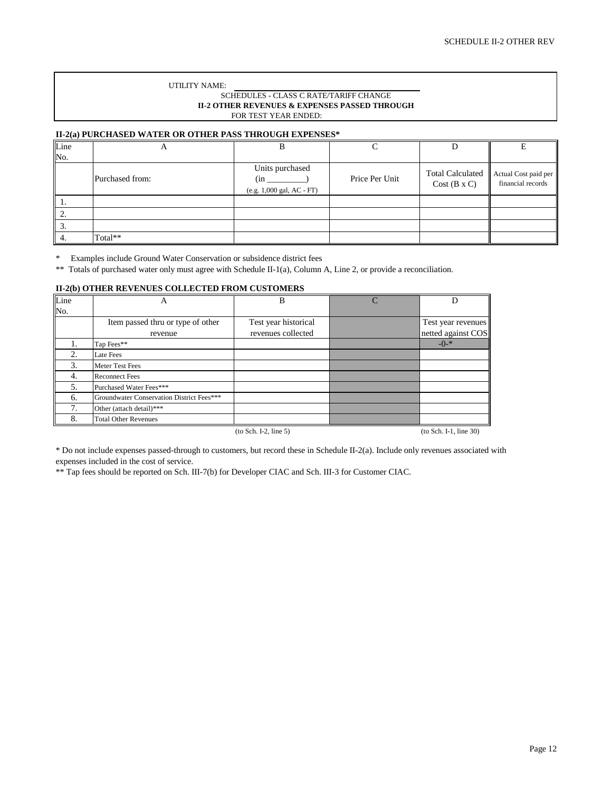### SCHEDULES - CLASS C RATE/TARIFF CHANGE **II-2 OTHER REVENUES & EXPENSES PASSED THROUGH** FOR TEST YEAR ENDED:

### <span id="page-11-0"></span>**II-2(a) PURCHASED WATER OR OTHER PASS THROUGH EXPENSES\***

| Line       | л               |                                                     |                |                    |                                                                 |
|------------|-----------------|-----------------------------------------------------|----------------|--------------------|-----------------------------------------------------------------|
| No.        |                 |                                                     |                |                    |                                                                 |
|            | Purchased from: | Units purchased<br>(in<br>(e.g. 1,000 gal, AC - FT) | Price Per Unit | $Cost(B \times C)$ | Total Calculated   Actual Cost paid per   <br>financial records |
| 1.         |                 |                                                     |                |                    |                                                                 |
| $\cdot$ 2. |                 |                                                     |                |                    |                                                                 |
| 3.         |                 |                                                     |                |                    |                                                                 |
| -4.        | Total**         |                                                     |                |                    |                                                                 |

\* Examples include Ground Water Conservation or subsidence district fees

\*\* Totals of purchased water only must agree with Schedule II-1(a), Column A, Line 2, or provide a reconciliation.

### **II-2(b) OTHER REVENUES COLLECTED FROM CUSTOMERS**

| Line | А                                         | B                       | D                        |
|------|-------------------------------------------|-------------------------|--------------------------|
| No.  |                                           |                         |                          |
|      | Item passed thru or type of other         | Test year historical    | Test year revenues       |
|      | revenue                                   | revenues collected      | netted against COS       |
| 1.   | Tap Fees**                                |                         | $-()$ <sup>*</sup>       |
| 2.   | Late Fees                                 |                         |                          |
| 3.   | Meter Test Fees                           |                         |                          |
| 4.   | <b>Reconnect Fees</b>                     |                         |                          |
| 5.   | Purchased Water Fees***                   |                         |                          |
| 6.   | Groundwater Conservation District Fees*** |                         |                          |
| 7.   | Other (attach detail)***                  |                         |                          |
| 8.   | <b>Total Other Revenues</b>               |                         |                          |
|      |                                           | $(to Sch. I-2, line 5)$ | $(to Sch. I-1, line 30)$ |

\* Do not include expenses passed-through to customers, but record these in Schedule II-2(a). Include only revenues associated with expenses included in the cost of service.

\*\* Tap fees should be reported on Sch. III-7(b) for Developer CIAC and Sch. III-3 for Customer CIAC.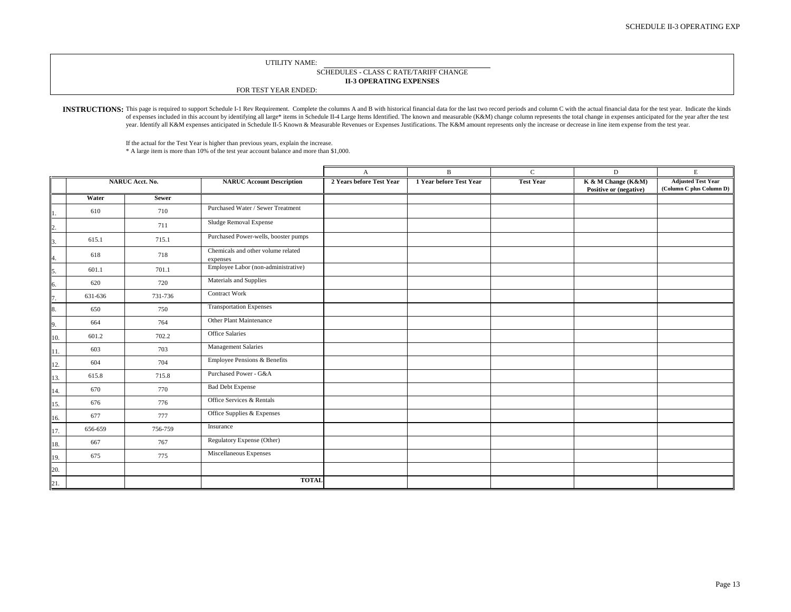#### **II-3 OPERATING EXPENSES** SCHEDULES - CLASS C RATE/TARIFF CHANGE

FOR TEST YEAR ENDED:

<span id="page-12-0"></span>INSTRUCTIONS: This page is required to support Schedule I-1 Rev Requirement. Complete the columns A and B with historical financial data for the last two record periods and column C with the actual financial data for the t of expenses included in this account by identifying all large\* items in Schedule II-4 Large Items Identified. The known and measurable (K&M) change column represents the total change in expenses anticipated for the year af year. Identify all K&M expenses anticipated in Schedule II-5 Known & Measurable Revenues or Expenses Justifications. The K&M amount represents only the increase or decrease in line item expense from the test year.

\* A large item is more than 10% of the test year account balance and more than \$1,000. If the actual for the Test Year is higher than previous years, explain the increase.

|     |         |                        |                                                | $\mathbf{A}$             | $\mathbf{B}$            | $\mathcal{C}$    | D                                            | E                                                     |
|-----|---------|------------------------|------------------------------------------------|--------------------------|-------------------------|------------------|----------------------------------------------|-------------------------------------------------------|
|     |         | <b>NARUC Acct. No.</b> | <b>NARUC Account Description</b>               | 2 Years before Test Year | 1 Year before Test Year | <b>Test Year</b> | K & M Change (K&M)<br>Positive or (negative) | <b>Adjusted Test Year</b><br>(Column C plus Column D) |
|     | Water   | <b>Sewer</b>           |                                                |                          |                         |                  |                                              |                                                       |
|     | 610     | 710                    | Purchased Water / Sewer Treatment              |                          |                         |                  |                                              |                                                       |
|     |         | 711                    | Sludge Removal Expense                         |                          |                         |                  |                                              |                                                       |
|     | 615.1   | 715.1                  | Purchased Power-wells, booster pumps           |                          |                         |                  |                                              |                                                       |
| 4.  | 618     | 718                    | Chemicals and other volume related<br>expenses |                          |                         |                  |                                              |                                                       |
| 5.  | 601.1   | 701.1                  | Employee Labor (non-administrative)            |                          |                         |                  |                                              |                                                       |
| 6.  | 620     | 720                    | Materials and Supplies                         |                          |                         |                  |                                              |                                                       |
| 7.  | 631-636 | 731-736                | <b>Contract Work</b>                           |                          |                         |                  |                                              |                                                       |
| 8.  | 650     | 750                    | <b>Transportation Expenses</b>                 |                          |                         |                  |                                              |                                                       |
| 9.  | 664     | 764                    | Other Plant Maintenance                        |                          |                         |                  |                                              |                                                       |
| 10. | 601.2   | 702.2                  | Office Salaries                                |                          |                         |                  |                                              |                                                       |
| 11. | 603     | 703                    | <b>Management Salaries</b>                     |                          |                         |                  |                                              |                                                       |
| 12. | 604     | 704                    | Employee Pensions & Benefits                   |                          |                         |                  |                                              |                                                       |
| 13. | 615.8   | 715.8                  | Purchased Power - G&A                          |                          |                         |                  |                                              |                                                       |
| 14. | 670     | 770                    | <b>Bad Debt Expense</b>                        |                          |                         |                  |                                              |                                                       |
| 15. | 676     | 776                    | Office Services & Rentals                      |                          |                         |                  |                                              |                                                       |
| 16. | 677     | 777                    | Office Supplies & Expenses                     |                          |                         |                  |                                              |                                                       |
| 17. | 656-659 | 756-759                | Insurance                                      |                          |                         |                  |                                              |                                                       |
| 18. | 667     | 767                    | Regulatory Expense (Other)                     |                          |                         |                  |                                              |                                                       |
| 19. | 675     | 775                    | Miscellaneous Expenses                         |                          |                         |                  |                                              |                                                       |
| 20. |         |                        |                                                |                          |                         |                  |                                              |                                                       |
| 21. |         |                        | <b>TOTAL</b>                                   |                          |                         |                  |                                              |                                                       |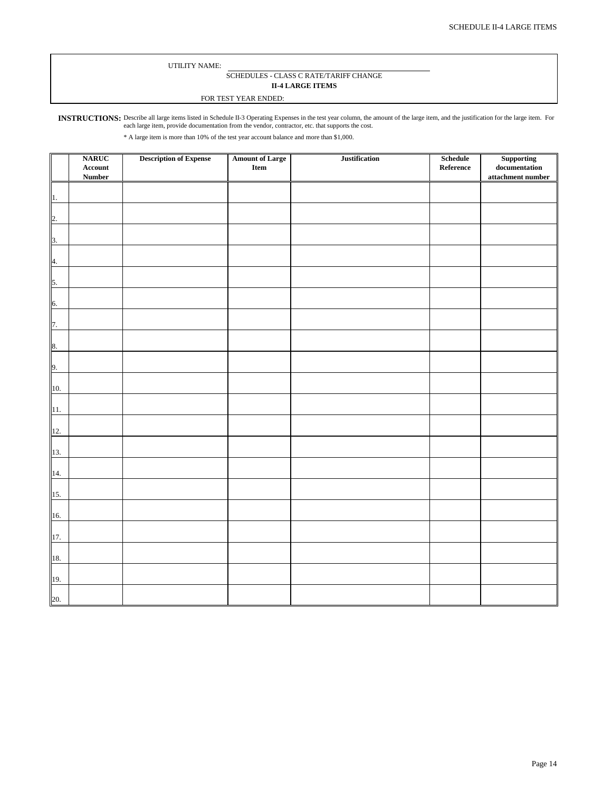### SCHEDULES - CLASS C RATE/TARIFF CHANGE **II-4 LARGE ITEMS**

### FOR TEST YEAR ENDED:

<span id="page-13-0"></span>INSTRUCTIONS: Describe all large items listed in Schedule II-3 Operating Expenses in the test year column, the amount of the large item, and the justification for the large item. For each large item, provide documentation from the vendor, contractor, etc. that supports the cost.

\* A large item is more than 10% of the test year account balance and more than \$1,000.

|                | <b>NARUC</b>    | <b>Description of Expense</b> | Amount of Large<br>Item | Justification | <b>Schedule</b>   | ${\large \bf Supplementary\,\, documentation}$ |
|----------------|-----------------|-------------------------------|-------------------------|---------------|-------------------|------------------------------------------------|
|                | ${\bf Account}$ |                               |                         |               | ${\bf Reference}$ |                                                |
|                | <b>Number</b>   |                               |                         |               |                   | attachment number                              |
|                |                 |                               |                         |               |                   |                                                |
| 1.             |                 |                               |                         |               |                   |                                                |
|                |                 |                               |                         |               |                   |                                                |
|                |                 |                               |                         |               |                   |                                                |
| 2.             |                 |                               |                         |               |                   |                                                |
|                |                 |                               |                         |               |                   |                                                |
| $\mathbf{3}$ . |                 |                               |                         |               |                   |                                                |
|                |                 |                               |                         |               |                   |                                                |
| 4.             |                 |                               |                         |               |                   |                                                |
|                |                 |                               |                         |               |                   |                                                |
|                |                 |                               |                         |               |                   |                                                |
| 5.             |                 |                               |                         |               |                   |                                                |
|                |                 |                               |                         |               |                   |                                                |
| 6.             |                 |                               |                         |               |                   |                                                |
|                |                 |                               |                         |               |                   |                                                |
| 7.             |                 |                               |                         |               |                   |                                                |
|                |                 |                               |                         |               |                   |                                                |
|                |                 |                               |                         |               |                   |                                                |
| 8.             |                 |                               |                         |               |                   |                                                |
|                |                 |                               |                         |               |                   |                                                |
| 9.             |                 |                               |                         |               |                   |                                                |
|                |                 |                               |                         |               |                   |                                                |
| 10.            |                 |                               |                         |               |                   |                                                |
|                |                 |                               |                         |               |                   |                                                |
| 11.            |                 |                               |                         |               |                   |                                                |
|                |                 |                               |                         |               |                   |                                                |
|                |                 |                               |                         |               |                   |                                                |
| 12.            |                 |                               |                         |               |                   |                                                |
|                |                 |                               |                         |               |                   |                                                |
| 13.            |                 |                               |                         |               |                   |                                                |
|                |                 |                               |                         |               |                   |                                                |
| 14.            |                 |                               |                         |               |                   |                                                |
|                |                 |                               |                         |               |                   |                                                |
| 15.            |                 |                               |                         |               |                   |                                                |
|                |                 |                               |                         |               |                   |                                                |
|                |                 |                               |                         |               |                   |                                                |
| 16.            |                 |                               |                         |               |                   |                                                |
|                |                 |                               |                         |               |                   |                                                |
| 17.            |                 |                               |                         |               |                   |                                                |
|                |                 |                               |                         |               |                   |                                                |
| 18.            |                 |                               |                         |               |                   |                                                |
|                |                 |                               |                         |               |                   |                                                |
|                |                 |                               |                         |               |                   |                                                |
| 19.            |                 |                               |                         |               |                   |                                                |
|                |                 |                               |                         |               |                   |                                                |
| 20.            |                 |                               |                         |               |                   |                                                |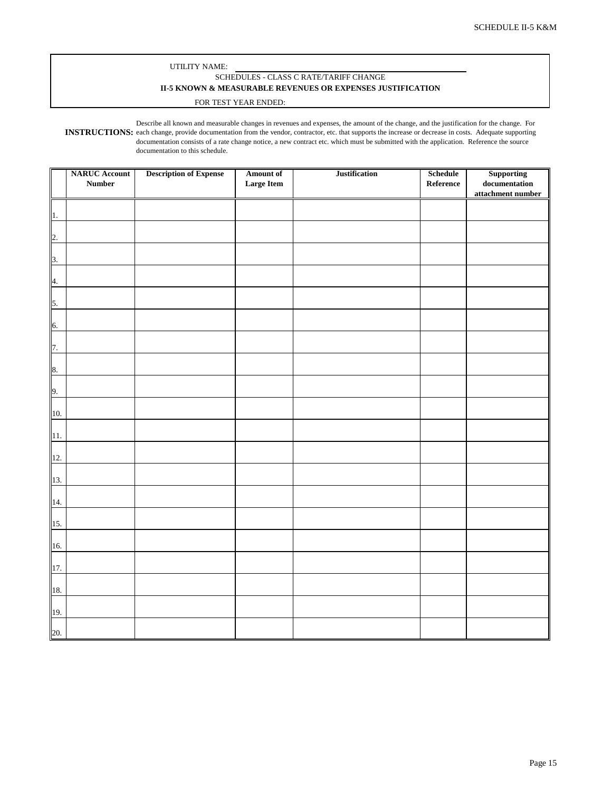### UTILITY NAME: SCHEDULES - CLASS C RATE/TARIFF CHANGE **II-5 KNOWN & MEASURABLE REVENUES OR EXPENSES JUSTIFICATION**

#### FOR TEST YEAR ENDED:

<span id="page-14-0"></span>**INSTRUCTIONS:** each change, provide documentation from the vendor, contractor, etc. that supports the increase or decrease in costs. Adequate supporting Describe all known and measurable changes in revenues and expenses, the amount of the change, and the justification for the change. For documentation consists of a rate change notice, a new contract etc. which must be submitted with the application. Reference the source documentation to this schedule.

|                  | <b>NARUC Account</b> | <b>Description of Expense</b> | <b>Amount of</b>  | <b>Justification</b> | Schedule  | Supporting                             |
|------------------|----------------------|-------------------------------|-------------------|----------------------|-----------|----------------------------------------|
|                  | <b>Number</b>        |                               | <b>Large Item</b> |                      | Reference | $\label{eq:local} {\bf documentation}$ |
|                  |                      |                               |                   |                      |           | attachment number                      |
| 1.               |                      |                               |                   |                      |           |                                        |
| $\overline{2}$ . |                      |                               |                   |                      |           |                                        |
| 3.               |                      |                               |                   |                      |           |                                        |
| $\overline{4}$ . |                      |                               |                   |                      |           |                                        |
| 5.               |                      |                               |                   |                      |           |                                        |
| 6.               |                      |                               |                   |                      |           |                                        |
| 7.               |                      |                               |                   |                      |           |                                        |
| 8.               |                      |                               |                   |                      |           |                                        |
| 9.               |                      |                               |                   |                      |           |                                        |
| 10.              |                      |                               |                   |                      |           |                                        |
| 11.              |                      |                               |                   |                      |           |                                        |
| 12.              |                      |                               |                   |                      |           |                                        |
|                  |                      |                               |                   |                      |           |                                        |
| 13.              |                      |                               |                   |                      |           |                                        |
| 14.              |                      |                               |                   |                      |           |                                        |
| 15.              |                      |                               |                   |                      |           |                                        |
| 16.              |                      |                               |                   |                      |           |                                        |
| 17.              |                      |                               |                   |                      |           |                                        |
| 18.              |                      |                               |                   |                      |           |                                        |
| 19.              |                      |                               |                   |                      |           |                                        |
| 20.              |                      |                               |                   |                      |           |                                        |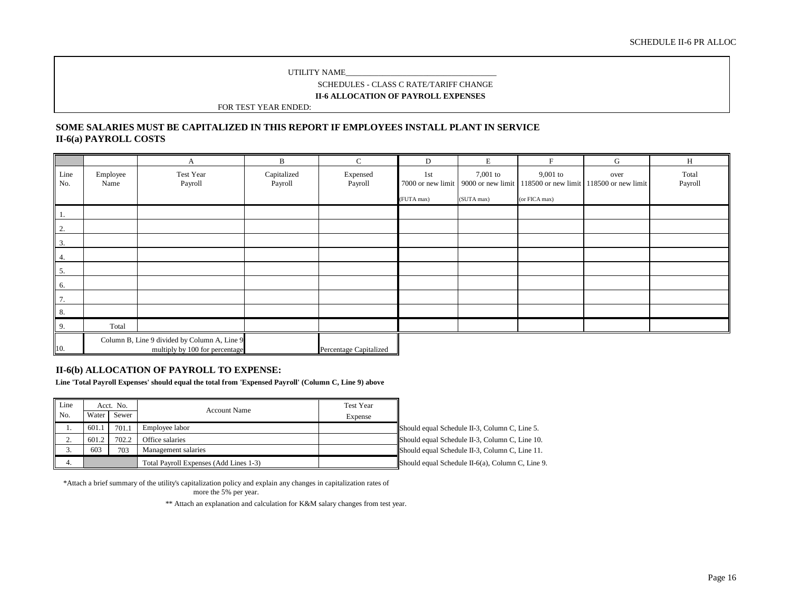SCHEDULES - CLASS C RATE/TARIFF CHANGE

**II-6 ALLOCATION OF PAYROLL EXPENSES**

FOR TEST YEAR ENDED:

### <span id="page-15-0"></span>**II-6(a) PAYROLL COSTS SOME SALARIES MUST BE CAPITALIZED IN THIS REPORT IF EMPLOYEES INSTALL PLANT IN SERVICE**

|                  |                  | A                                                                              | B                      | $\mathbf{C}$           | D                                      | E                                             | F                                                  | G                           | H                |
|------------------|------------------|--------------------------------------------------------------------------------|------------------------|------------------------|----------------------------------------|-----------------------------------------------|----------------------------------------------------|-----------------------------|------------------|
| Line<br>No.      | Employee<br>Name | Test Year<br>Payroll                                                           | Capitalized<br>Payroll | Expensed<br>Payroll    | 1st<br>7000 or new limit<br>(FUTA max) | $7,001$ to<br>9000 or new limit<br>(SUTA max) | $9,001$ to<br>118500 or new limit<br>(or FICA max) | over<br>118500 or new limit | Total<br>Payroll |
|                  |                  |                                                                                |                        |                        |                                        |                                               |                                                    |                             |                  |
| 1.               |                  |                                                                                |                        |                        |                                        |                                               |                                                    |                             |                  |
| $\overline{2}$ . |                  |                                                                                |                        |                        |                                        |                                               |                                                    |                             |                  |
| $\overline{3}$ . |                  |                                                                                |                        |                        |                                        |                                               |                                                    |                             |                  |
| 4.               |                  |                                                                                |                        |                        |                                        |                                               |                                                    |                             |                  |
| 5.               |                  |                                                                                |                        |                        |                                        |                                               |                                                    |                             |                  |
| 6.               |                  |                                                                                |                        |                        |                                        |                                               |                                                    |                             |                  |
| 7.               |                  |                                                                                |                        |                        |                                        |                                               |                                                    |                             |                  |
| $8. \,$          |                  |                                                                                |                        |                        |                                        |                                               |                                                    |                             |                  |
| 9.               | Total            |                                                                                |                        |                        |                                        |                                               |                                                    |                             |                  |
| 10.              |                  | Column B, Line 9 divided by Column A, Line 9<br>multiply by 100 for percentage |                        | Percentage Capitalized |                                        |                                               |                                                    |                             |                  |

### **II-6(b) ALLOCATION OF PAYROLL TO EXPENSE:**

**Line 'Total Payroll Expenses' should equal the total from 'Expensed Payroll' (Column C, Line 9) above**

| Line |       | Acct. No. | <b>Account Name</b>                    | Test Year |                                                  |
|------|-------|-----------|----------------------------------------|-----------|--------------------------------------------------|
| No.  | Water | Sewer     |                                        | Expense   |                                                  |
|      | 601.1 | 701.1     | Employee labor                         |           | Should equal Schedule II-3, Column C, Line 5.    |
| ٠.   | 601.2 | 702.2     | Office salaries                        |           | Should equal Schedule II-3, Column C, Line 10.   |
|      | 603   | 703       | Management salaries                    |           | Should equal Schedule II-3, Column C, Line 11.   |
| 4.   |       |           | Total Payroll Expenses (Add Lines 1-3) |           | Should equal Schedule II-6(a), Column C, Line 9. |

\*Attach a brief summary of the utility's capitalization policy and explain any changes in capitalization rates of

more the 5% per year.

\*\* Attach an explanation and calculation for K&M salary changes from test year.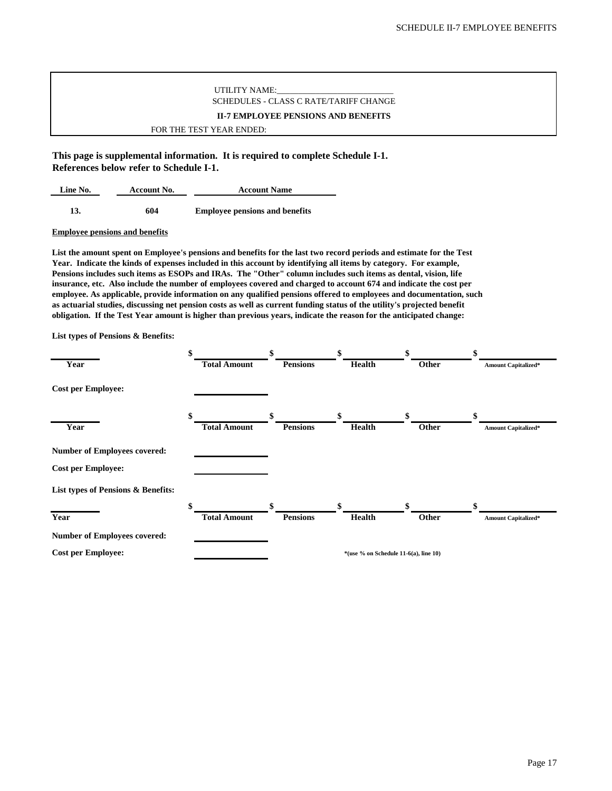### UTILITY NAME: SCHEDULES - CLASS C RATE/TARIFF CHANGE **II-7 EMPLOYEE PENSIONS AND BENEFITS**

FOR THE TEST YEAR ENDED:

<span id="page-16-0"></span>**This page is supplemental information. It is required to complete Schedule I-1. References below refer to Schedule I-1.**

| Line No.<br>Account No. |     | <b>Account Name</b>                   |  |  |
|-------------------------|-----|---------------------------------------|--|--|
| 13.                     | 604 | <b>Employee pensions and benefits</b> |  |  |
|                         |     |                                       |  |  |

### **Employee pensions and benefits**

**List the amount spent on Employee's pensions and benefits for the last two record periods and estimate for the Test Year. Indicate the kinds of expenses included in this account by identifying all items by category. For example, Pensions includes such items as ESOPs and IRAs. The "Other" column includes such items as dental, vision, life insurance, etc. Also include the number of employees covered and charged to account 674 and indicate the cost per employee. As applicable, provide information on any qualified pensions offered to employees and documentation, such as actuarial studies, discussing net pension costs as well as current funding status of the utility's projected benefit obligation. If the Test Year amount is higher than previous years, indicate the reason for the anticipated change:**

**List types of Pensions & Benefits:**

|                                     | \$                  | \$              | \$                                    | \$    | \$                         |
|-------------------------------------|---------------------|-----------------|---------------------------------------|-------|----------------------------|
| Year                                | <b>Total Amount</b> | <b>Pensions</b> | Health                                | Other | <b>Amount Capitalized*</b> |
| <b>Cost per Employee:</b>           |                     |                 |                                       |       |                            |
|                                     | \$                  | \$              | \$                                    | \$    | \$                         |
| Year                                | <b>Total Amount</b> | <b>Pensions</b> | Health                                | Other | <b>Amount Capitalized*</b> |
| <b>Number of Employees covered:</b> |                     |                 |                                       |       |                            |
| <b>Cost per Employee:</b>           |                     |                 |                                       |       |                            |
| List types of Pensions & Benefits:  |                     |                 |                                       |       |                            |
|                                     | \$                  | \$              | \$                                    | \$    | \$                         |
| Year                                | <b>Total Amount</b> | <b>Pensions</b> | Health                                | Other | <b>Amount Capitalized*</b> |
| <b>Number of Employees covered:</b> |                     |                 |                                       |       |                            |
| <b>Cost per Employee:</b>           |                     |                 | *(use % on Schedule 11-6(a), line 10) |       |                            |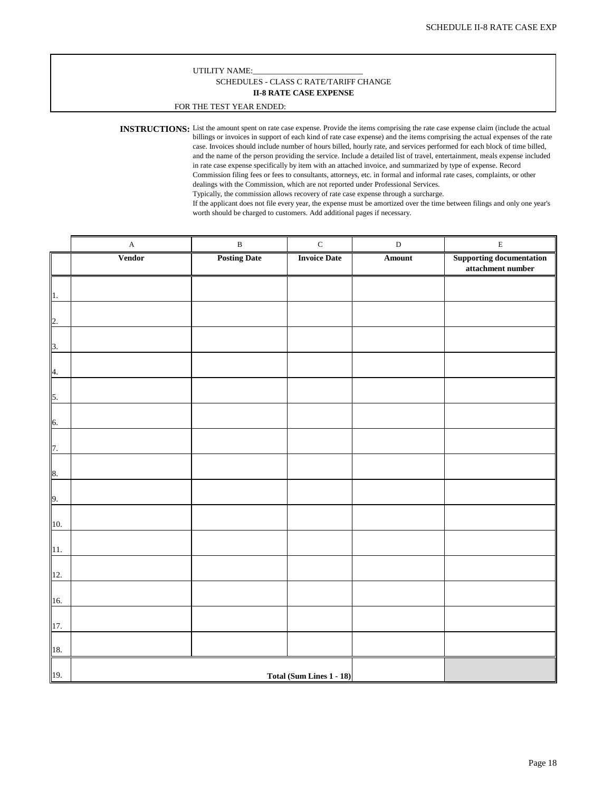### **II-8 RATE CASE EXPENSE** SCHEDULES - CLASS C RATE/TARIFF CHANGE

### FOR THE TEST YEAR ENDED:

<span id="page-17-0"></span>**INSTRUCTIONS:** List the amount spent on rate case expense. Provide the items comprising the rate case expense claim (include the actual billings or invoices in support of each kind of rate case expense) and the items comprising the actual expenses of the rate case. Invoices should include number of hours billed, hourly rate, and services performed for each block of time billed, and the name of the person providing the service. Include a detailed list of travel, entertainment, meals expense included in rate case expense specifically by item with an attached invoice, and summarized by type of expense. Record Commission filing fees or fees to consultants, attorneys, etc. in formal and informal rate cases, complaints, or other dealings with the Commission, which are not reported under Professional Services. Typically, the commission allows recovery of rate case expense through a surcharge.

If the applicant does not file every year, the expense must be amortized over the time between filings and only one year's worth should be charged to customers. Add additional pages if necessary.

|                          | $\mathbf A$   | $\, {\bf B}$        | $\mathbf C$              | $\label{eq:3} \mathbf{D}$ | $\mathbf E$                                          |
|--------------------------|---------------|---------------------|--------------------------|---------------------------|------------------------------------------------------|
|                          | <b>Vendor</b> | <b>Posting Date</b> | <b>Invoice Date</b>      | Amount                    | <b>Supporting documentation</b><br>attachment number |
|                          |               |                     |                          |                           |                                                      |
| $\mathbf{1}$ .           |               |                     |                          |                           |                                                      |
|                          |               |                     |                          |                           |                                                      |
| $\overline{2}$ .         |               |                     |                          |                           |                                                      |
|                          |               |                     |                          |                           |                                                      |
| $\frac{3}{2}$            |               |                     |                          |                           |                                                      |
| $\overline{4}$ .         |               |                     |                          |                           |                                                      |
|                          |               |                     |                          |                           |                                                      |
| $\overline{\phantom{a}}$ |               |                     |                          |                           |                                                      |
|                          |               |                     |                          |                           |                                                      |
| 6.                       |               |                     |                          |                           |                                                      |
|                          |               |                     |                          |                           |                                                      |
| 7.                       |               |                     |                          |                           |                                                      |
| 8.                       |               |                     |                          |                           |                                                      |
|                          |               |                     |                          |                           |                                                      |
| $\overline{9}$ .         |               |                     |                          |                           |                                                      |
|                          |               |                     |                          |                           |                                                      |
| 10.                      |               |                     |                          |                           |                                                      |
| 11.                      |               |                     |                          |                           |                                                      |
|                          |               |                     |                          |                           |                                                      |
| 12.                      |               |                     |                          |                           |                                                      |
|                          |               |                     |                          |                           |                                                      |
| 16.                      |               |                     |                          |                           |                                                      |
| 17.                      |               |                     |                          |                           |                                                      |
|                          |               |                     |                          |                           |                                                      |
| $\overline{18}$ .        |               |                     |                          |                           |                                                      |
| 19.                      |               |                     |                          |                           |                                                      |
|                          |               |                     | Total (Sum Lines 1 - 18) |                           |                                                      |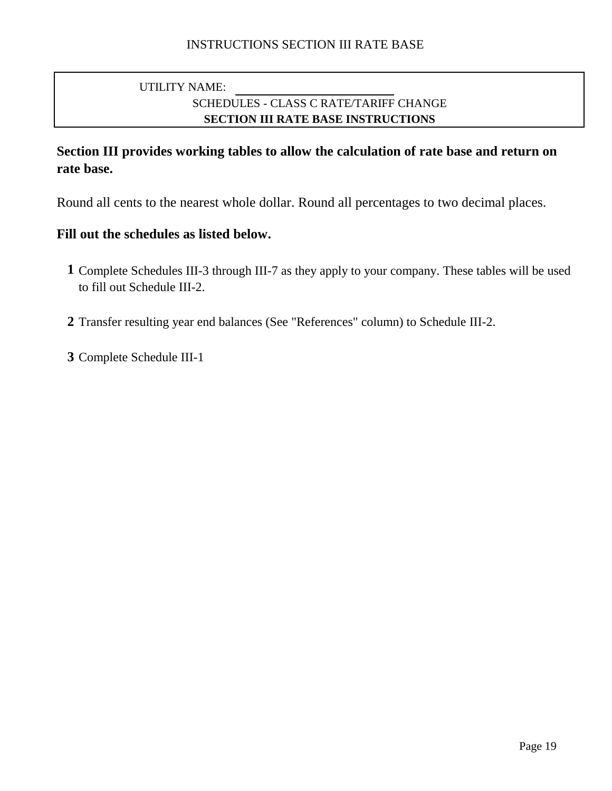# SCHEDULES - CLASS C RATE/TARIFF CHANGE **SECTION III RATE BASE INSTRUCTIONS** UTILITY NAME:

# **Section III provides working tables to allow the calculation of rate base and return on rate base.**

Round all cents to the nearest whole dollar. Round all percentages to two decimal places.

## **Fill out the schedules as listed below.**

- **1** Complete Schedules III-3 through III-7 as they apply to your company. These tables will be used to fill out Schedule III-2.
- **2** Transfer resulting year end balances (See "References" column) to Schedule III-2.

**3** Complete Schedule III-1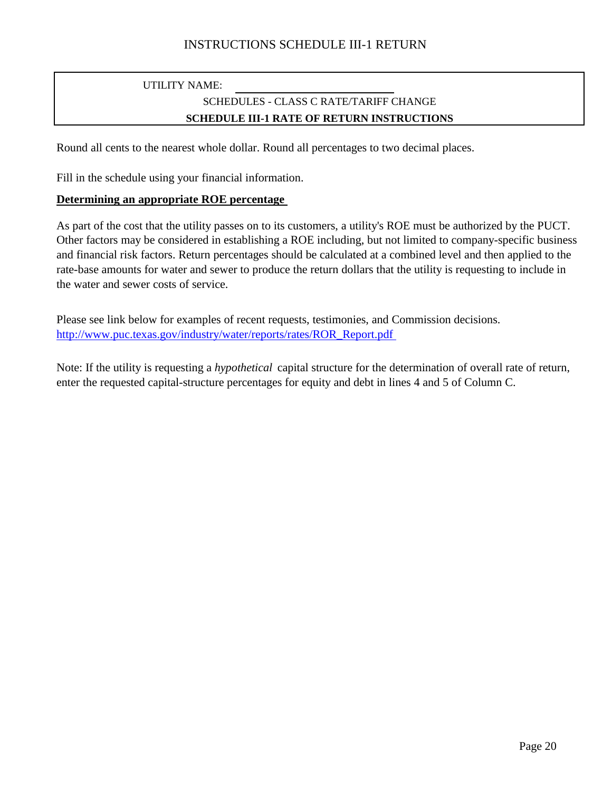## UTILITY NAME: SCHEDULES - CLASS C RATE/TARIFF CHANGE **SCHEDULE III-1 RATE OF RETURN INSTRUCTIONS**

Round all cents to the nearest whole dollar. Round all percentages to two decimal places.

Fill in the schedule using your financial information.

### **Determining an appropriate ROE percentage**

As part of the cost that the utility passes on to its customers, a utility's ROE must be authorized by the PUCT. Other factors may be considered in establishing a ROE including, but not limited to company-specific business and financial risk factors. Return percentages should be calculated at a combined level and then applied to the rate-base amounts for water and sewer to produce the return dollars that the utility is requesting to include in the water and sewer costs of service.

Please see link below for examples of recent requests, testimonies, and Commission decisions. [http://www.puc.texas.gov/industry/water/reports/rates/ROR\\_Report.pdf](http://www.puc.texas.gov/industry/water/reports/rates/ROR_Report.pdf)

Note: If the utility is requesting a *hypothetical* capital structure for the determination of overall rate of return, enter the requested capital-structure percentages for equity and debt in lines 4 and 5 of Column C.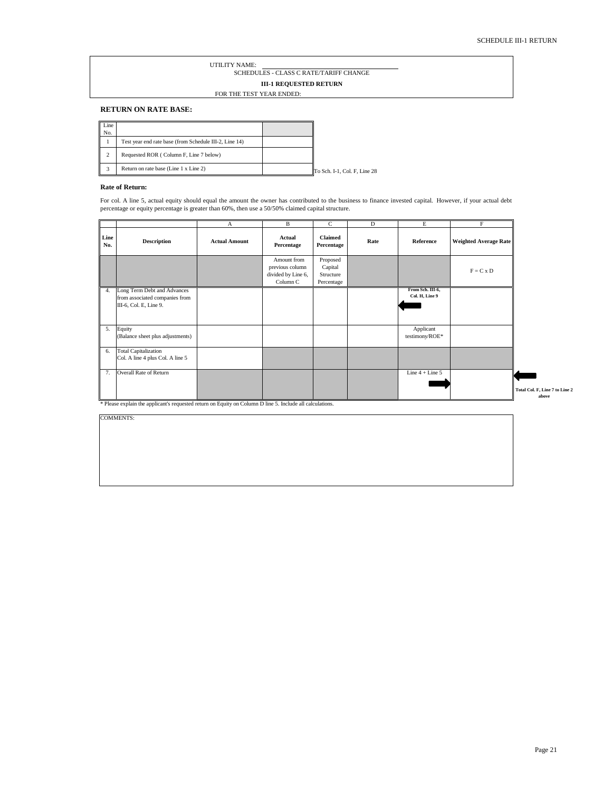### UTILITY NAME: **III-1 REQUESTED RETURN** SCHEDULES - CLASS C RATE/TARIFF CHANGE FOR THE TEST YEAR ENDED:

### <span id="page-20-0"></span>**RETURN ON RATE BASE:**

| Line<br>No. |                                                        |                              |
|-------------|--------------------------------------------------------|------------------------------|
|             | Test year end rate base (from Schedule III-2, Line 14) |                              |
| ◠           | Requested ROR (Column F, Line 7 below)                 |                              |
|             | Return on rate base (Line 1 x Line 2)                  | To Sch. I-1, Col. F, Line 28 |

### **Rate of Return:**

For col. A line 5, actual equity should equal the amount the owner has contributed to the business to finance invested capital. However, if your actual debt percentage or equity percentage is greater than 60%, then use a 50/50% claimed capital structure.

|             |                                                                                         | $\mathbf{A}$         | B                                                                | C                                              | D    | E                                  | F                            |                                         |
|-------------|-----------------------------------------------------------------------------------------|----------------------|------------------------------------------------------------------|------------------------------------------------|------|------------------------------------|------------------------------|-----------------------------------------|
| Line<br>No. | <b>Description</b>                                                                      | <b>Actual Amount</b> | Actual<br>Percentage                                             | <b>Claimed</b><br>Percentage                   | Rate | Reference                          | <b>Weighted Average Rate</b> |                                         |
|             |                                                                                         |                      | Amount from<br>previous column<br>divided by Line 6,<br>Column C | Proposed<br>Capital<br>Structure<br>Percentage |      |                                    | $F = C x D$                  |                                         |
| 4.          | Long Term Debt and Advances<br>from associated companies from<br>III-6, Col. E, Line 9. |                      |                                                                  |                                                |      | From Sch. III-6,<br>Col. H, Line 9 |                              |                                         |
| 5.          | Equity<br>(Balance sheet plus adjustments)                                              |                      |                                                                  |                                                |      | Applicant<br>testimony/ROE*        |                              |                                         |
| 6.          | <b>Total Capitalization</b><br>Col. A line 4 plus Col. A line 5                         |                      |                                                                  |                                                |      |                                    |                              |                                         |
| 7.          | Overall Rate of Return                                                                  |                      |                                                                  |                                                |      | Line $4 +$ Line $5$                |                              | Total Col. F, Line 7 to Line 2<br>above |

\* Please explain the applicant's requested return on Equity on Column D line 5. Include all calculations.

COMMENTS: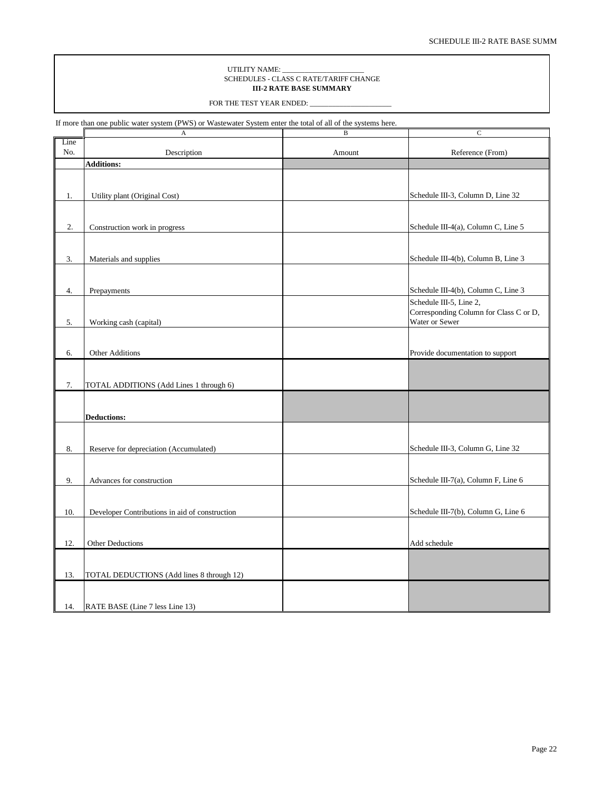#### UTILITY NAME: \_\_\_\_\_\_\_\_\_\_\_\_\_\_\_\_\_\_\_\_\_\_ SCHEDULES - CLASS C RATE/TARIFF CHANGE **III-2 RATE BASE SUMMARY**

FOR THE TEST YEAR ENDED:

<span id="page-21-0"></span>If more than one public water system (PWS) or Wastewater System enter the total of all of the systems here.

|      | A                                              | B      | C                                      |
|------|------------------------------------------------|--------|----------------------------------------|
| Line |                                                |        |                                        |
| No.  | Description                                    | Amount | Reference (From)                       |
|      | <b>Additions:</b>                              |        |                                        |
|      |                                                |        |                                        |
|      |                                                |        |                                        |
|      |                                                |        |                                        |
| 1.   | Utility plant (Original Cost)                  |        | Schedule III-3, Column D, Line 32      |
|      |                                                |        |                                        |
|      |                                                |        |                                        |
| 2.   | Construction work in progress                  |        | Schedule III-4(a), Column C, Line 5    |
|      |                                                |        |                                        |
|      |                                                |        |                                        |
| 3.   | Materials and supplies                         |        | Schedule III-4(b), Column B, Line 3    |
|      |                                                |        |                                        |
|      |                                                |        |                                        |
|      |                                                |        |                                        |
| 4.   | Prepayments                                    |        | Schedule III-4(b), Column C, Line 3    |
|      |                                                |        | Schedule III-5, Line 2,                |
|      |                                                |        | Corresponding Column for Class C or D, |
| 5.   | Working cash (capital)                         |        | Water or Sewer                         |
|      |                                                |        |                                        |
|      |                                                |        |                                        |
| 6.   | <b>Other Additions</b>                         |        | Provide documentation to support       |
|      |                                                |        |                                        |
|      |                                                |        |                                        |
| 7.   | TOTAL ADDITIONS (Add Lines 1 through 6)        |        |                                        |
|      |                                                |        |                                        |
|      |                                                |        |                                        |
|      |                                                |        |                                        |
|      | <b>Deductions:</b>                             |        |                                        |
|      |                                                |        |                                        |
|      |                                                |        |                                        |
| 8.   | Reserve for depreciation (Accumulated)         |        | Schedule III-3, Column G, Line 32      |
|      |                                                |        |                                        |
|      |                                                |        |                                        |
| 9.   | Advances for construction                      |        | Schedule III-7(a), Column F, Line 6    |
|      |                                                |        |                                        |
|      |                                                |        |                                        |
| 10.  | Developer Contributions in aid of construction |        | Schedule III-7(b), Column G, Line 6    |
|      |                                                |        |                                        |
|      |                                                |        |                                        |
| 12.  | Other Deductions                               |        | Add schedule                           |
|      |                                                |        |                                        |
|      |                                                |        |                                        |
|      |                                                |        |                                        |
| 13.  | TOTAL DEDUCTIONS (Add lines 8 through 12)      |        |                                        |
|      |                                                |        |                                        |
|      |                                                |        |                                        |
| 14.  | RATE BASE (Line 7 less Line 13)                |        |                                        |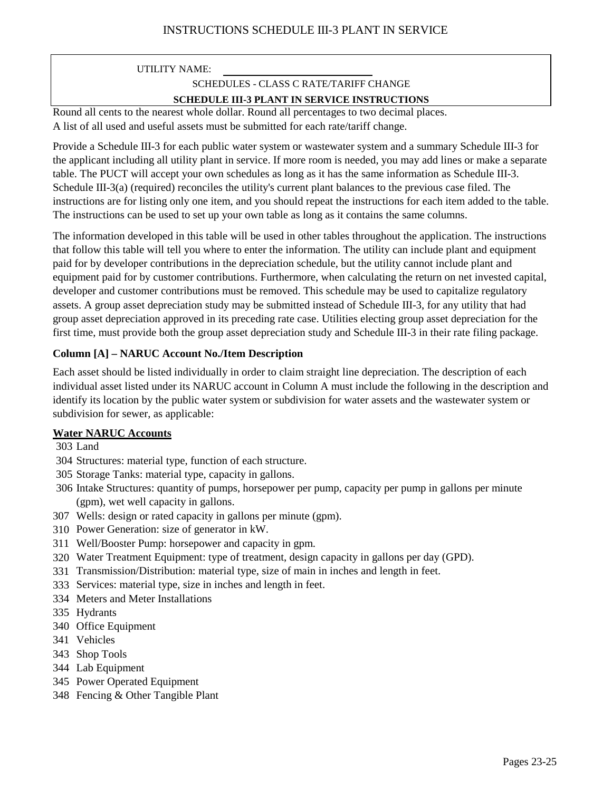## SCHEDULES - CLASS C RATE/TARIFF CHANGE

### **SCHEDULE III-3 PLANT IN SERVICE INSTRUCTIONS**

A list of all used and useful assets must be submitted for each rate/tariff change. Round all cents to the nearest whole dollar. Round all percentages to two decimal places.

Provide a Schedule III-3 for each public water system or wastewater system and a summary Schedule III-3 for the applicant including all utility plant in service. If more room is needed, you may add lines or make a separate table. The PUCT will accept your own schedules as long as it has the same information as Schedule III-3. Schedule III-3(a) (required) reconciles the utility's current plant balances to the previous case filed. The instructions are for listing only one item, and you should repeat the instructions for each item added to the table. The instructions can be used to set up your own table as long as it contains the same columns.

The information developed in this table will be used in other tables throughout the application. The instructions that follow this table will tell you where to enter the information. The utility can include plant and equipment paid for by developer contributions in the depreciation schedule, but the utility cannot include plant and equipment paid for by customer contributions. Furthermore, when calculating the return on net invested capital, developer and customer contributions must be removed. This schedule may be used to capitalize regulatory assets. A group asset depreciation study may be submitted instead of Schedule III-3, for any utility that had group asset depreciation approved in its preceding rate case. Utilities electing group asset depreciation for the first time, must provide both the group asset depreciation study and Schedule III-3 in their rate filing package.

## **Column [A] – NARUC Account No./Item Description**

Each asset should be listed individually in order to claim straight line depreciation. The description of each individual asset listed under its NARUC account in Column A must include the following in the description and identify its location by the public water system or subdivision for water assets and the wastewater system or subdivision for sewer, as applicable:

## **Water NARUC Accounts**

- 303 Land
- 304 Structures: material type, function of each structure.
- 305 Storage Tanks: material type, capacity in gallons.
- 306 Intake Structures: quantity of pumps, horsepower per pump, capacity per pump in gallons per minute (gpm), wet well capacity in gallons.
- 307 Wells: design or rated capacity in gallons per minute (gpm).
- 310 Power Generation: size of generator in kW.
- 311 Well/Booster Pump: horsepower and capacity in gpm.
- 320 Water Treatment Equipment: type of treatment, design capacity in gallons per day (GPD).
- 331 Transmission/Distribution: material type, size of main in inches and length in feet.
- 333 Services: material type, size in inches and length in feet.
- 334 Meters and Meter Installations
- 335 Hydrants
- 340 Office Equipment
- 341 Vehicles
- 343 Shop Tools
- 344 Lab Equipment
- 345 Power Operated Equipment
- 348 Fencing & Other Tangible Plant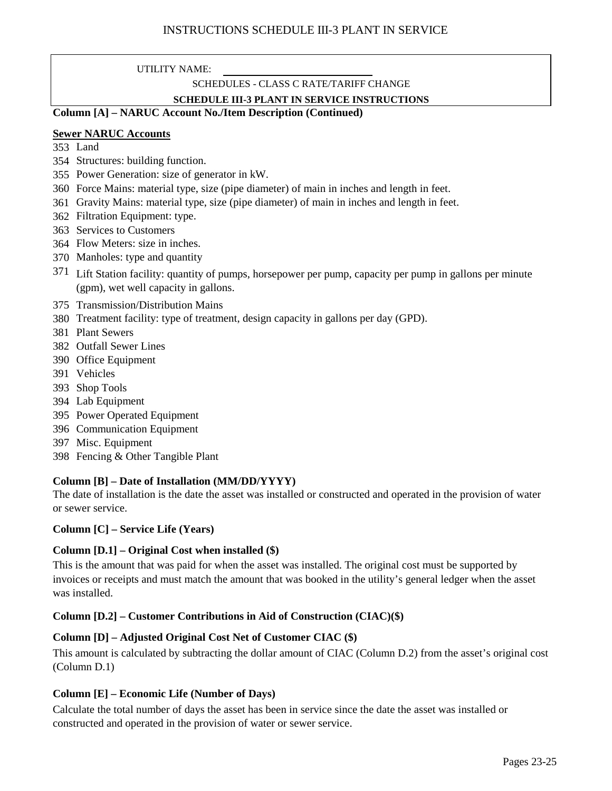## SCHEDULES - CLASS C RATE/TARIFF CHANGE

### **SCHEDULE III-3 PLANT IN SERVICE INSTRUCTIONS**

### **Column [A] – NARUC Account No./Item Description (Continued)**

### **Sewer NARUC Accounts**

- 353 Land
- 354 Structures: building function.
- 355 Power Generation: size of generator in kW.
- 360 Force Mains: material type, size (pipe diameter) of main in inches and length in feet.
- 361 Gravity Mains: material type, size (pipe diameter) of main in inches and length in feet.
- 362 Filtration Equipment: type.
- 363 Services to Customers
- 364 Flow Meters: size in inches.
- 370 Manholes: type and quantity
- 371 Lift Station facility: quantity of pumps, horsepower per pump, capacity per pump in gallons per minute (gpm), wet well capacity in gallons.
- 375 Transmission/Distribution Mains
- 380 Treatment facility: type of treatment, design capacity in gallons per day (GPD).
- 381 Plant Sewers
- 382 Outfall Sewer Lines
- 390 Office Equipment
- 391 Vehicles
- 393 Shop Tools
- 394 Lab Equipment
- 395 Power Operated Equipment
- 396 Communication Equipment
- 397 Misc. Equipment
- 398 Fencing & Other Tangible Plant

## **Column [B] – Date of Installation (MM/DD/YYYY)**

The date of installation is the date the asset was installed or constructed and operated in the provision of water or sewer service.

### **Column [C] – Service Life (Years)**

## **Column [D.1] – Original Cost when installed (\$)**

This is the amount that was paid for when the asset was installed. The original cost must be supported by invoices or receipts and must match the amount that was booked in the utility's general ledger when the asset was installed.

## **Column [D.2] – Customer Contributions in Aid of Construction (CIAC)(\$)**

## **Column [D] – Adjusted Original Cost Net of Customer CIAC (\$)**

This amount is calculated by subtracting the dollar amount of CIAC (Column D.2) from the asset's original cost (Column D.1)

## **Column [E] – Economic Life (Number of Days)**

Calculate the total number of days the asset has been in service since the date the asset was installed or constructed and operated in the provision of water or sewer service.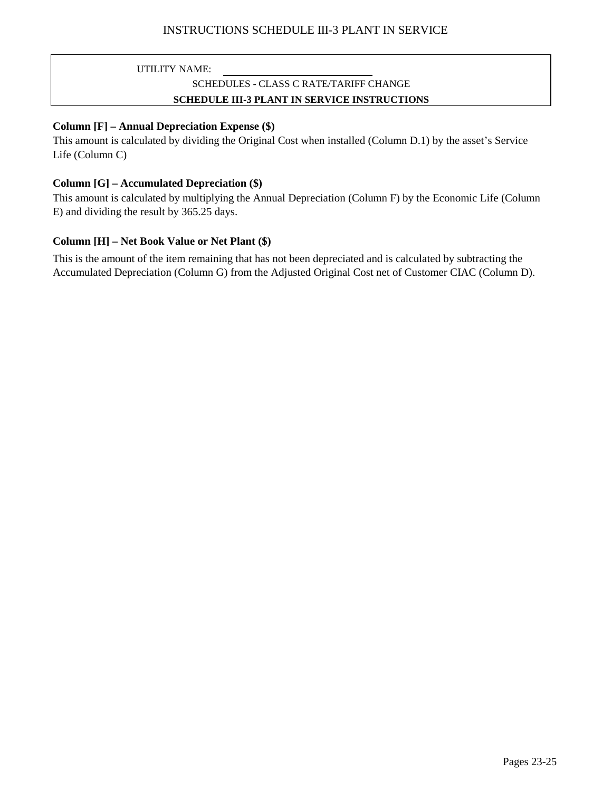## SCHEDULES - CLASS C RATE/TARIFF CHANGE **SCHEDULE III-3 PLANT IN SERVICE INSTRUCTIONS**

### **Column [F] – Annual Depreciation Expense (\$)**

This amount is calculated by dividing the Original Cost when installed (Column D.1) by the asset's Service Life (Column C)

### **Column [G] – Accumulated Depreciation (\$)**

This amount is calculated by multiplying the Annual Depreciation (Column F) by the Economic Life (Column E) and dividing the result by 365.25 days.

## **Column [H] – Net Book Value or Net Plant (\$)**

This is the amount of the item remaining that has not been depreciated and is calculated by subtracting the Accumulated Depreciation (Column G) from the Adjusted Original Cost net of Customer CIAC (Column D).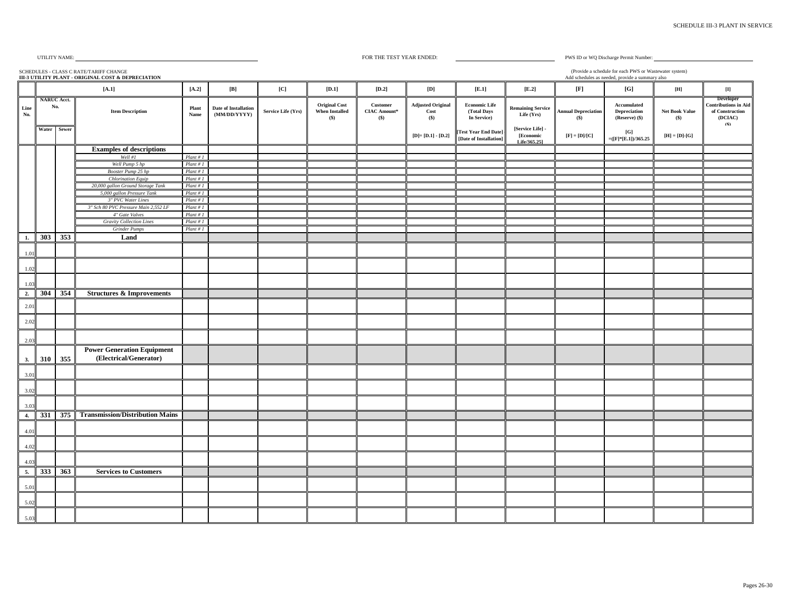<span id="page-25-0"></span>

#### FOR THE TEST YEAR ENDED:

PWS ID or WQ Discharge Permit Number: (Provide a schedule for each PWS or Wastewater system)

|                       | (Provide a schedule for each PWS or Wastewater system)<br>SCHEDULES - CLASS C RATE/TARIFF CHANGE<br>III-3 UTILITY PLANT - ORIGINAL COST & DEPRECIATION<br>Add schedules as needed, provide a summary also |                                          |                                                                |                            |                                      |                    |                                                        |                                             |                                               |                                                                            |                                                            |                                                                                     |                                                             |                                                 |                                                                                      |
|-----------------------|-----------------------------------------------------------------------------------------------------------------------------------------------------------------------------------------------------------|------------------------------------------|----------------------------------------------------------------|----------------------------|--------------------------------------|--------------------|--------------------------------------------------------|---------------------------------------------|-----------------------------------------------|----------------------------------------------------------------------------|------------------------------------------------------------|-------------------------------------------------------------------------------------|-------------------------------------------------------------|-------------------------------------------------|--------------------------------------------------------------------------------------|
|                       |                                                                                                                                                                                                           |                                          | $[A.1]$                                                        | $\left[ \text{A.2}\right]$ | $\left[ \mathbf{B}\right]$           | [C]                | $[D.1]$                                                | $[D.2]$                                     | $\left[ \mathbf{D}\right]$                    | [E.1]                                                                      | $[E.2]$                                                    | $[{\bf F}]$                                                                         | [G]                                                         | $[{\bf H}]$                                     | $[{\rm I}]$                                                                          |
| Line<br>$\mathbf{No}$ |                                                                                                                                                                                                           | <b>NARUC Acct.</b><br>No.<br>Water Sewer | <b>Item Description</b>                                        | Plant<br>Name              | Date of Installation<br>(MM/DD/YYYY) | Service Life (Yrs) | <b>Original Cost</b><br><b>When Installed</b><br>$($)$ | Customer<br>${\bf CIAC\ Anount^*}$<br>$($)$ | <b>Adjusted Original</b><br>$\bf Cost$<br>(S) | <b>Economic Life</b><br>(Total Days<br>In Service)<br>[Test Year End Date] | <b>Remaining Service</b><br>Life (Yrs)<br>[Service Life] - | <b>Annual Depreciation</b><br>(S)                                                   | Accumulated<br><b>Depreciation</b><br>(Reserve) (\$)<br>[G] | Net Book Value<br>$($)$                         | <b>Developer</b><br><b>Contributions in Aid</b><br>of Construction<br>(DCIAC)<br>(S) |
|                       |                                                                                                                                                                                                           |                                          |                                                                |                            |                                      |                    |                                                        |                                             | $[D] = [D.1] - [D.2]$                         | [Date of Installation]                                                     | [Economic<br>Life/365.251                                  | $\left[ \mathbf{F} \right] = \left[ \mathbf{D} \right] / \left[ \mathbf{C} \right]$ | $=(F*E.1)/365.25$                                           | $[\mathbf{H}]=[\mathbf{D}]\text{-}\mathbf{[G]}$ |                                                                                      |
|                       |                                                                                                                                                                                                           |                                          | <b>Examples of descriptions</b>                                |                            |                                      |                    |                                                        |                                             |                                               |                                                                            |                                                            |                                                                                     |                                                             |                                                 |                                                                                      |
|                       |                                                                                                                                                                                                           |                                          | Well #1                                                        | Plant # I                  |                                      |                    |                                                        |                                             |                                               |                                                                            |                                                            |                                                                                     |                                                             |                                                 |                                                                                      |
|                       |                                                                                                                                                                                                           |                                          | Well Pump 5 hp                                                 | Plant # I                  |                                      |                    |                                                        |                                             |                                               |                                                                            |                                                            |                                                                                     |                                                             |                                                 |                                                                                      |
|                       |                                                                                                                                                                                                           |                                          | Booster Pump 25 hp                                             | Plant # I                  |                                      |                    |                                                        |                                             |                                               |                                                                            |                                                            |                                                                                     |                                                             |                                                 |                                                                                      |
|                       |                                                                                                                                                                                                           |                                          | <b>Chlorination Equip</b><br>20,000 gallon Ground Storage Tank | Plant # I<br>Plant # I     |                                      |                    |                                                        |                                             |                                               |                                                                            |                                                            |                                                                                     |                                                             |                                                 |                                                                                      |
|                       |                                                                                                                                                                                                           |                                          | 5,000 gallon Pressure Tank                                     | Plant # I                  |                                      |                    |                                                        |                                             |                                               |                                                                            |                                                            |                                                                                     |                                                             |                                                 |                                                                                      |
|                       |                                                                                                                                                                                                           |                                          | 3" PVC Water Lines                                             | Plant # I                  |                                      |                    |                                                        |                                             |                                               |                                                                            |                                                            |                                                                                     |                                                             |                                                 |                                                                                      |
|                       |                                                                                                                                                                                                           |                                          | 3" Sch 80 PVC Pressure Main 2,552 LF                           | Plant # I                  |                                      |                    |                                                        |                                             |                                               |                                                                            |                                                            |                                                                                     |                                                             |                                                 |                                                                                      |
|                       |                                                                                                                                                                                                           |                                          | 4" Gate Valves                                                 | Plant # I                  |                                      |                    |                                                        |                                             |                                               |                                                                            |                                                            |                                                                                     |                                                             |                                                 |                                                                                      |
|                       |                                                                                                                                                                                                           |                                          | <b>Gravity Collection Lines</b>                                | Plant # I                  |                                      |                    |                                                        |                                             |                                               |                                                                            |                                                            |                                                                                     |                                                             |                                                 |                                                                                      |
|                       |                                                                                                                                                                                                           |                                          | <b>Grinder Pumps</b>                                           | Plant # I                  |                                      |                    |                                                        |                                             |                                               |                                                                            |                                                            |                                                                                     |                                                             |                                                 |                                                                                      |
| 1.                    | 303                                                                                                                                                                                                       | 353                                      | Land                                                           |                            |                                      |                    |                                                        |                                             |                                               |                                                                            |                                                            |                                                                                     |                                                             |                                                 |                                                                                      |
| 1.01                  |                                                                                                                                                                                                           |                                          |                                                                |                            |                                      |                    |                                                        |                                             |                                               |                                                                            |                                                            |                                                                                     |                                                             |                                                 |                                                                                      |
| 1.02                  |                                                                                                                                                                                                           |                                          |                                                                |                            |                                      |                    |                                                        |                                             |                                               |                                                                            |                                                            |                                                                                     |                                                             |                                                 |                                                                                      |
| 1.03                  |                                                                                                                                                                                                           |                                          |                                                                |                            |                                      |                    |                                                        |                                             |                                               |                                                                            |                                                            |                                                                                     |                                                             |                                                 |                                                                                      |
| 2.                    | 304                                                                                                                                                                                                       | 354                                      | <b>Structures &amp; Improvements</b>                           |                            |                                      |                    |                                                        |                                             |                                               |                                                                            |                                                            |                                                                                     |                                                             |                                                 |                                                                                      |
| 2.01                  |                                                                                                                                                                                                           |                                          |                                                                |                            |                                      |                    |                                                        |                                             |                                               |                                                                            |                                                            |                                                                                     |                                                             |                                                 |                                                                                      |
| 2.02                  |                                                                                                                                                                                                           |                                          |                                                                |                            |                                      |                    |                                                        |                                             |                                               |                                                                            |                                                            |                                                                                     |                                                             |                                                 |                                                                                      |
| 2.03                  |                                                                                                                                                                                                           |                                          |                                                                |                            |                                      |                    |                                                        |                                             |                                               |                                                                            |                                                            |                                                                                     |                                                             |                                                 |                                                                                      |
| 3.                    | 310                                                                                                                                                                                                       | 355                                      | <b>Power Generation Equipment</b><br>(Electrical/Generator)    |                            |                                      |                    |                                                        |                                             |                                               |                                                                            |                                                            |                                                                                     |                                                             |                                                 |                                                                                      |
| 3.01                  |                                                                                                                                                                                                           |                                          |                                                                |                            |                                      |                    |                                                        |                                             |                                               |                                                                            |                                                            |                                                                                     |                                                             |                                                 |                                                                                      |
| 3.02                  |                                                                                                                                                                                                           |                                          |                                                                |                            |                                      |                    |                                                        |                                             |                                               |                                                                            |                                                            |                                                                                     |                                                             |                                                 |                                                                                      |
| 3.0                   |                                                                                                                                                                                                           |                                          |                                                                |                            |                                      |                    |                                                        |                                             |                                               |                                                                            |                                                            |                                                                                     |                                                             |                                                 |                                                                                      |
| 4.                    | 331                                                                                                                                                                                                       | 375                                      | <b>Transmission/Distribution Mains</b>                         |                            |                                      |                    |                                                        |                                             |                                               |                                                                            |                                                            |                                                                                     |                                                             |                                                 |                                                                                      |
| 4.01                  |                                                                                                                                                                                                           |                                          |                                                                |                            |                                      |                    |                                                        |                                             |                                               |                                                                            |                                                            |                                                                                     |                                                             |                                                 |                                                                                      |
| 4.02                  |                                                                                                                                                                                                           |                                          |                                                                |                            |                                      |                    |                                                        |                                             |                                               |                                                                            |                                                            |                                                                                     |                                                             |                                                 |                                                                                      |
| 4.01                  |                                                                                                                                                                                                           |                                          |                                                                |                            |                                      |                    |                                                        |                                             |                                               |                                                                            |                                                            |                                                                                     |                                                             |                                                 |                                                                                      |
| 5.                    |                                                                                                                                                                                                           | 333 363                                  | <b>Services to Customers</b>                                   |                            |                                      |                    |                                                        |                                             |                                               |                                                                            |                                                            |                                                                                     |                                                             |                                                 |                                                                                      |
| 5.01                  |                                                                                                                                                                                                           |                                          |                                                                |                            |                                      |                    |                                                        |                                             |                                               |                                                                            |                                                            |                                                                                     |                                                             |                                                 |                                                                                      |
| 5.02                  |                                                                                                                                                                                                           |                                          |                                                                |                            |                                      |                    |                                                        |                                             |                                               |                                                                            |                                                            |                                                                                     |                                                             |                                                 |                                                                                      |
| 5.03                  |                                                                                                                                                                                                           |                                          |                                                                |                            |                                      |                    |                                                        |                                             |                                               |                                                                            |                                                            |                                                                                     |                                                             |                                                 |                                                                                      |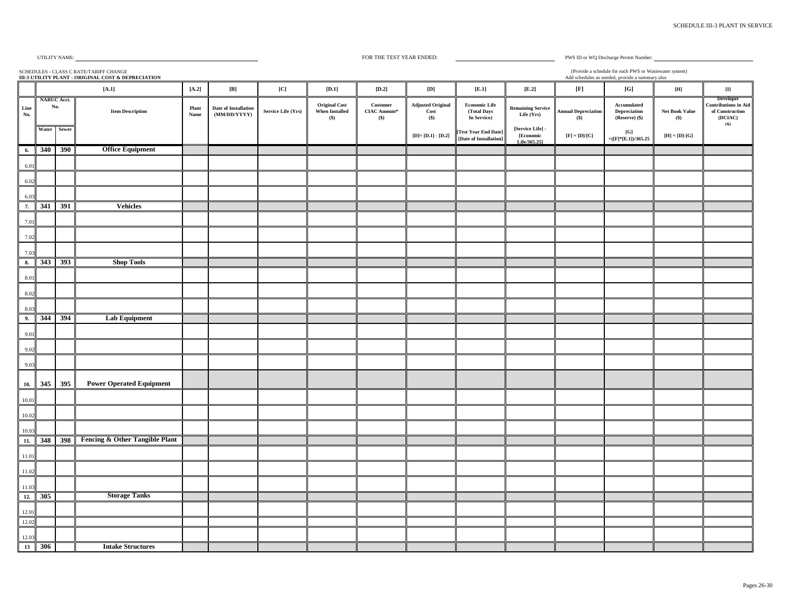SCHEDULES - CLASS C RATE/TARIFF CHANGE

#### FOR THE TEST YEAR ENDED:

PWS ID or WQ Discharge Permit Number: (Provide a schedule for each PWS or Wastewater system)

Add schedules as needed, provide a summary also **[A.2] [B] [C] [D.1] [D.2] [D] [E.1] [E.2] [F] [G] [H] [I]** Line<br>No. **Item Description Plant Name Date of Installation (MM/DD/YYYY) Service Life (Yrs) Original Cost When Installed (\$) Customer CIAC Amount\* (\$) Adjusted Original Cost (\$) Economic Life (Total Days In Service) Remaining Service Life (Yrs) Annual Depreciation (\$) Accumulated Depreciation (Reserve) (\$) Net Book Value (\$) Developer Contributions in Aid of Construction (DCIAC) (\$) Water Sewer [D]= [D.1] - [D.2] [Test Year End Date] - [Date of Installation] [Service Life] - [Economic Life/365.25]**  $[F] = [D]/[C]$   $[G]$  $\begin{bmatrix} [G] \\ =([F]^*[E.1])/365.25 \end{bmatrix}$   $[H] = [D] - [G]$ **[A.1] NARUC Acct. No. III-3 UTILITY PLANT - ORIGINAL COST & DEPRECIATION 6. 340 390 Office Equipment** 6.01 6.0 6.03 **7. 341 391 Vehicles** 7.01 7.02 7.03 **8. 343 393 Shop Tools** 8.0 8.02 8.03 **9. 344 394 Lab Equipment** 9.01 9.02 9.03 **10. 345 395 Power Operated Equipment** 10.01 10.02 10.03 **11. 348 398 Fencing & Other Tangible Plant** 11.01 11.02 11.03 **12. 305 Storage Tanks** 12.01 12.02 12.03 **13 306 Intake Structures**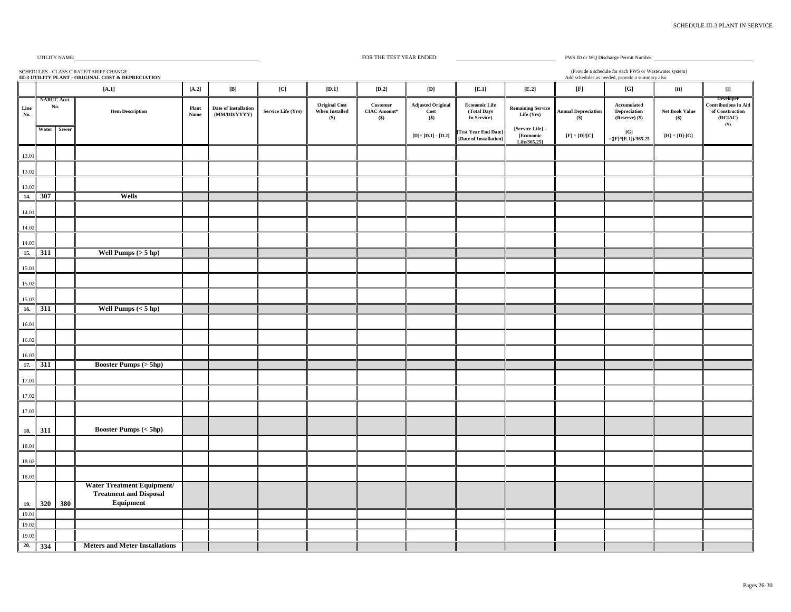#### FOR THE TEST YEAR ENDED:

PWS ID or WQ Discharge Permit Number: (Provide a schedule for each PWS or Wastewater system)

SCHEDULES - CLASS C RATE/TARIFF CHANGE Add schedules as needed, provide a summary also **[A.2] [B] [C] [D.1] [D.2] [D] [E.1] [E.2] [F] [G] [H] [I]** Line<br>No. **Item Description Plant Name Date of Installation (MM/DD/YYYY) Service Life (Yrs) Original Cost When Installed (\$) Customer CIAC Amount\* (\$) Adjusted Original Cost (\$) Economic Life (Total Days In Service) Remaining Service Life (Yrs) Annual Depreciation (\$) Accumulated Depreciation (Reserve) (\$) Net Book Value (\$) Developer Contributions in Aid of Construction (DCIAC) (\$) Water Sewer [D]= [D.1] - [D.2] [Test Year End Date] - [Date of Installation] [Service Life] - [Economic Life/365.25]**  $[F] = [D]/[C]$   $[G]$  $\begin{bmatrix} [G] \\ =([F]^*[E.1])/365.25 \end{bmatrix}$   $[H] = [D] - [G]$ **[A.1] NARUC Acct. No. III-3 UTILITY PLANT - ORIGINAL COST & DEPRECIATION** 13.01 13.02 13.03 **14. 307 Wells** 14.01 14.02 14.03 **15. 311 Well Pumps (> 5 hp)** 15.01 15.02 15.03 **16. 311 Well Pumps (< 5 hp)** 16.01 16.02 16.03 **17. 311 Booster Pumps (> 5hp)** 17.01 17.02 17.03 **18. 311 Booster Pumps (< 5hp)** 18.01 18.02 18.03 **19. 320 380 Water Treatment Equipment/ Treatment and Disposal Equipment** 19.01 19.02 19.03 **20. 334 Meters and Meter Installations**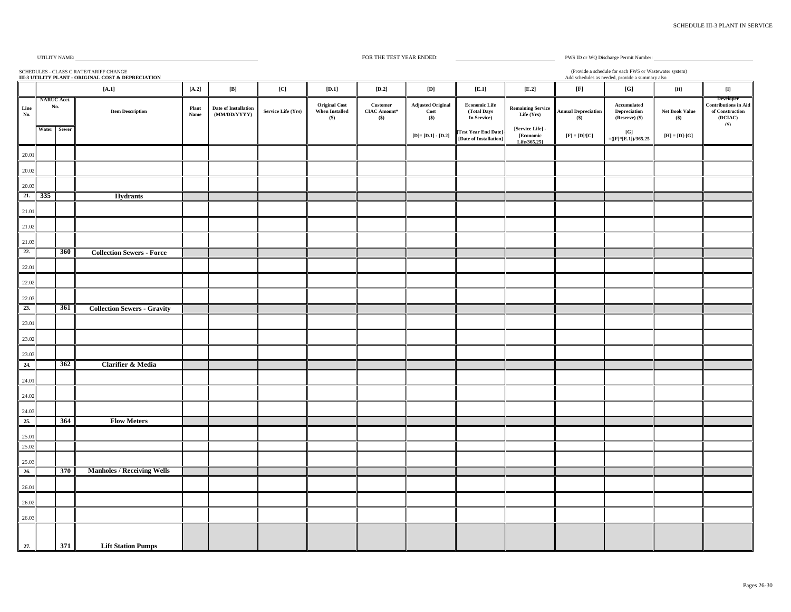#### FOR THE TEST YEAR ENDED:

PWS ID or WQ Discharge Permit Number: (Provide a schedule for each PWS or Wastewater system)

SCHEDULES - CLASS C RATE/TARIFF CHANGE Add schedules as needed, provide a summary also **[A.2] [B] [C] [D.1] [D.2] [D] [E.1] [E.2] [F] [G] [H] [I]** Line<br>No. **Plant**<br>**No. 7 Item Description Name Date of Installation (MM/DD/YYYY) Service Life (Yrs) Original Cost When Installed (\$) Customer CIAC Amount\* (\$) Adjusted Original Cost (\$) Economic Life (Total Days In Service) Remaining Service Life (Yrs) Annual Depreciation (\$) Accumulated Depreciation (Reserve) (\$) Net Book Value (\$) Developer Contributions in Aid of Construction (DCIAC) (\$) Water Sewer [D]= [D.1] - [D.2] [Test Year End Date] - [Date of Installation] [Service Life] - [Economic Life/365.25]**  $[F] = [D]/[C]$   $[G]$  $\begin{bmatrix} [G] \\ =([F]^*[E.1])/365.25 \end{bmatrix}$   $[H] = [D] - [G]$ **[A.1] NARUC Acct. No. III-3 UTILITY PLANT - ORIGINAL COST & DEPRECIATION** 20.01 20.02 20.03 **21. 335 Hydrants** 21.01 21.02 21.03 **22. 360 Collection Sewers - Force** 22.01 22.02 22.03 **23. 361 Collection Sewers - Gravity** 23.01 23.02 23.03 **24. 362 Clarifier & Media** 24.01 24.02 24.03 **25. 364 Flow Meters** 25.01 25.02 25.03 **26. 370 Manholes / Receiving Wells** 26.01 26.02 26.03 **27. 371 Lift Station Pumps**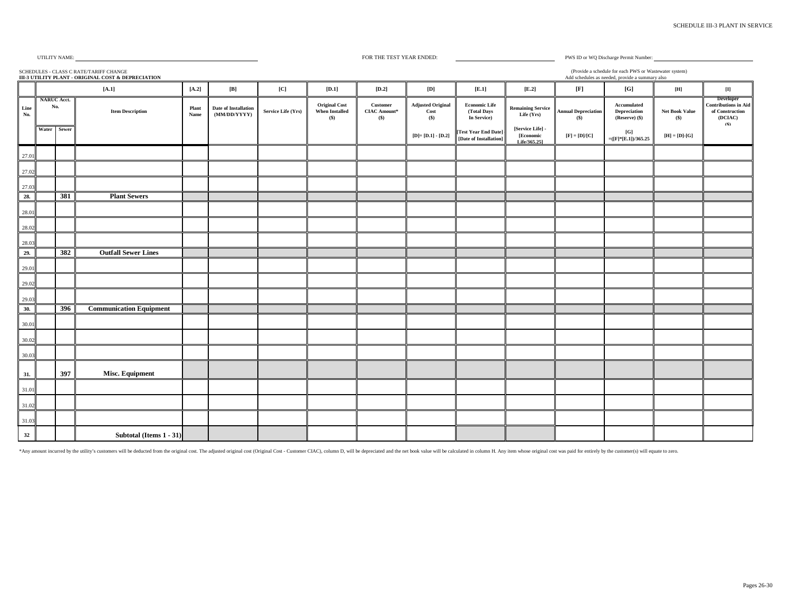| <b>SCHEDULE III-3 PLANT IN SERVICE</b> |  |  |
|----------------------------------------|--|--|
|                                        |  |  |

#### FOR THE TEST YEAR ENDED:

(Provide a schedule for each PWS or Wastewater system)

PWS ID or WQ Discharge Permit Number:

|                                 | (Provide a schedule for each PWS or Wastewater system)<br>SCHEDULES - CLASS C RATE/TARIFF CHANGE<br>Add schedules as needed, provide a summary also<br>III-3 UTILITY PLANT - ORIGINAL COST & DEPRECIATION |     |                                |               |                                             |                    |                                                        |                                          |                                           |                                                    |                                               |                                                                                     |                                               |                                |                                                                        |
|---------------------------------|-----------------------------------------------------------------------------------------------------------------------------------------------------------------------------------------------------------|-----|--------------------------------|---------------|---------------------------------------------|--------------------|--------------------------------------------------------|------------------------------------------|-------------------------------------------|----------------------------------------------------|-----------------------------------------------|-------------------------------------------------------------------------------------|-----------------------------------------------|--------------------------------|------------------------------------------------------------------------|
|                                 |                                                                                                                                                                                                           |     | $[A,1]$                        | $[A.2]$       | $[{\bf B}]$                                 | [C]                | $\left[  \right. \mathbf{D.1}\right]$                  | $[D.2]$                                  | [D]                                       | $\left[ $ .1\right]                                | $[E.2]$                                       | $[{\bf F}]$                                                                         | [G]                                           | $[{\bf H}]$                    | $\begin{bmatrix} 1 \end{bmatrix}$                                      |
| $\mathop{\mathsf{Line}}$<br>No. | <b>NARUC Acct.</b><br>No.                                                                                                                                                                                 |     | <b>Item Description</b>        | Plant<br>Name | <b>Date of Installation</b><br>(MM/DD/YYYY) | Service Life (Yrs) | <b>Original Cost</b><br><b>When Installed</b><br>$($)$ | Customer<br><b>CIAC Amount*</b><br>$($)$ | <b>Adjusted Original</b><br>Cost<br>$($)$ | <b>Economic Life</b><br>(Total Days<br>In Service) | <b>Remaining Service</b><br>Life (Yrs)        | <b>Annual Depreciation</b><br>$($)$                                                 | Accumulated<br>Depreciation<br>(Reserve) (\$) | <b>Net Book Value</b><br>$($)$ | Developer<br>Contributions in Aid<br>of Construction<br>(DCIAC)<br>(S) |
|                                 | Water Sewer                                                                                                                                                                                               |     |                                |               |                                             |                    |                                                        |                                          | $[D] = [D.1] - [D.2]$                     | [Test Year End Date]<br>[Date of Installation]     | [Service Life] -<br>[Economic<br>Life/365.251 | $\left[ \mathbf{F} \right] = \left[ \mathbf{D} \right] / \left[ \mathbf{C} \right]$ | [G]<br>$=(F*E.1)/365.25$                      | $[H] = [D]$ -[G]               |                                                                        |
| 27.01                           |                                                                                                                                                                                                           |     |                                |               |                                             |                    |                                                        |                                          |                                           |                                                    |                                               |                                                                                     |                                               |                                |                                                                        |
| 27.02                           |                                                                                                                                                                                                           |     |                                |               |                                             |                    |                                                        |                                          |                                           |                                                    |                                               |                                                                                     |                                               |                                |                                                                        |
| 27.03                           |                                                                                                                                                                                                           |     |                                |               |                                             |                    |                                                        |                                          |                                           |                                                    |                                               |                                                                                     |                                               |                                |                                                                        |
| 28.                             |                                                                                                                                                                                                           | 381 | <b>Plant Sewers</b>            |               |                                             |                    |                                                        |                                          |                                           |                                                    |                                               |                                                                                     |                                               |                                |                                                                        |
| 28.01                           |                                                                                                                                                                                                           |     |                                |               |                                             |                    |                                                        |                                          |                                           |                                                    |                                               |                                                                                     |                                               |                                |                                                                        |
| 28.02                           |                                                                                                                                                                                                           |     |                                |               |                                             |                    |                                                        |                                          |                                           |                                                    |                                               |                                                                                     |                                               |                                |                                                                        |
| 28.03                           |                                                                                                                                                                                                           |     |                                |               |                                             |                    |                                                        |                                          |                                           |                                                    |                                               |                                                                                     |                                               |                                |                                                                        |
| 29.                             |                                                                                                                                                                                                           | 382 | <b>Outfall Sewer Lines</b>     |               |                                             |                    |                                                        |                                          |                                           |                                                    |                                               |                                                                                     |                                               |                                |                                                                        |
| 29.01                           |                                                                                                                                                                                                           |     |                                |               |                                             |                    |                                                        |                                          |                                           |                                                    |                                               |                                                                                     |                                               |                                |                                                                        |
| 29.02                           |                                                                                                                                                                                                           |     |                                |               |                                             |                    |                                                        |                                          |                                           |                                                    |                                               |                                                                                     |                                               |                                |                                                                        |
| 29.03                           |                                                                                                                                                                                                           |     |                                |               |                                             |                    |                                                        |                                          |                                           |                                                    |                                               |                                                                                     |                                               |                                |                                                                        |
| 30.                             |                                                                                                                                                                                                           | 396 | <b>Communication Equipment</b> |               |                                             |                    |                                                        |                                          |                                           |                                                    |                                               |                                                                                     |                                               |                                |                                                                        |
| 30.01                           |                                                                                                                                                                                                           |     |                                |               |                                             |                    |                                                        |                                          |                                           |                                                    |                                               |                                                                                     |                                               |                                |                                                                        |
| 30.02                           |                                                                                                                                                                                                           |     |                                |               |                                             |                    |                                                        |                                          |                                           |                                                    |                                               |                                                                                     |                                               |                                |                                                                        |
| 30.03                           |                                                                                                                                                                                                           |     |                                |               |                                             |                    |                                                        |                                          |                                           |                                                    |                                               |                                                                                     |                                               |                                |                                                                        |
| 31.                             |                                                                                                                                                                                                           | 397 | Misc. Equipment                |               |                                             |                    |                                                        |                                          |                                           |                                                    |                                               |                                                                                     |                                               |                                |                                                                        |
| 31.01                           |                                                                                                                                                                                                           |     |                                |               |                                             |                    |                                                        |                                          |                                           |                                                    |                                               |                                                                                     |                                               |                                |                                                                        |
| 31.02                           |                                                                                                                                                                                                           |     |                                |               |                                             |                    |                                                        |                                          |                                           |                                                    |                                               |                                                                                     |                                               |                                |                                                                        |
| 31.03                           |                                                                                                                                                                                                           |     |                                |               |                                             |                    |                                                        |                                          |                                           |                                                    |                                               |                                                                                     |                                               |                                |                                                                        |
| 32                              |                                                                                                                                                                                                           |     | Subtotal (Items 1 - 31)        |               |                                             |                    |                                                        |                                          |                                           |                                                    |                                               |                                                                                     |                                               |                                |                                                                        |

\*Any amount incurred by the utility's customers will be deducted from the original cost. The adjusted original cost (Original cost (Original Cost - Customer CIAC), column D, will be depreciated and the net book value will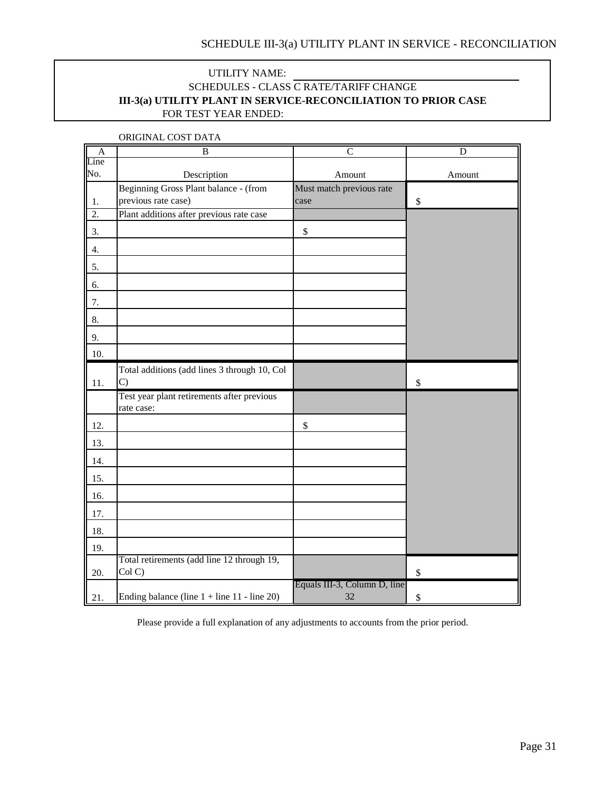## <span id="page-30-0"></span>UTILITY NAME: FOR TEST YEAR ENDED: SCHEDULES - CLASS C RATE/TARIFF CHANGE **III-3(a) UTILITY PLANT IN SERVICE-RECONCILIATION TO PRIOR CASE**

| $\mathbf{A}$     | B                                                        | $\overline{C}$                     | $\mathbf D$  |
|------------------|----------------------------------------------------------|------------------------------------|--------------|
| Line             |                                                          |                                    |              |
| No.              | Description                                              | Amount                             | Amount       |
|                  | Beginning Gross Plant balance - (from                    | Must match previous rate           |              |
| 1.               | previous rate case)                                      | case                               | \$           |
| $\overline{2}$ . | Plant additions after previous rate case                 |                                    |              |
| 3.               |                                                          | \$                                 |              |
| 4.               |                                                          |                                    |              |
| 5.               |                                                          |                                    |              |
| 6.               |                                                          |                                    |              |
| 7.               |                                                          |                                    |              |
| 8.               |                                                          |                                    |              |
| 9.               |                                                          |                                    |              |
| 10.              |                                                          |                                    |              |
|                  | Total additions (add lines 3 through 10, Col             |                                    |              |
| 11.              | $\mathcal{C}$                                            |                                    | \$           |
|                  | Test year plant retirements after previous<br>rate case: |                                    |              |
| 12.              |                                                          | $\$$                               |              |
| 13.              |                                                          |                                    |              |
| 14.              |                                                          |                                    |              |
| 15.              |                                                          |                                    |              |
| 16.              |                                                          |                                    |              |
| 17.              |                                                          |                                    |              |
| 18.              |                                                          |                                    |              |
| 19.              |                                                          |                                    |              |
| 20.              | Total retirements (add line 12 through 19,<br>Col C)     |                                    | $\mathbb{S}$ |
| 21.              | Ending balance (line $1 +$ line $11 -$ line 20)          | Equals III-3, Column D, line<br>32 | \$           |

ORIGINAL COST DATA

Please provide a full explanation of any adjustments to accounts from the prior period.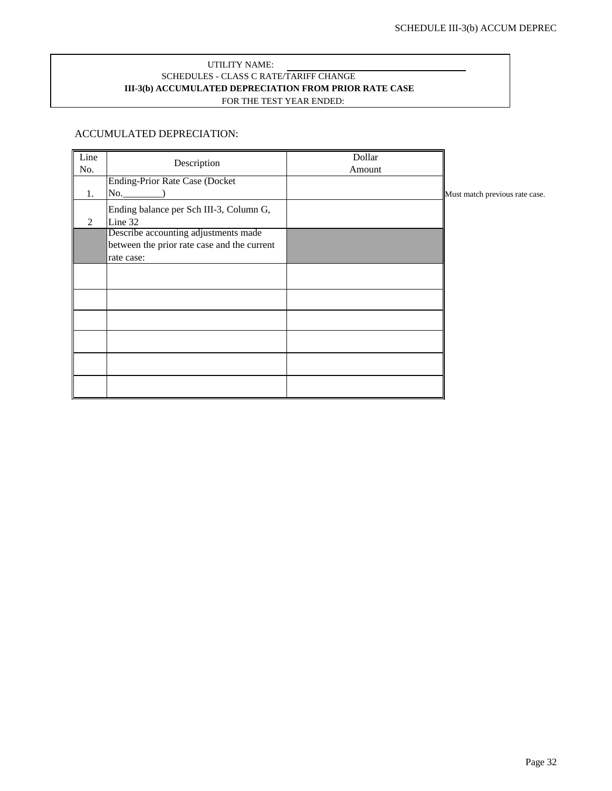### <span id="page-31-0"></span>UTILITY NAME: SCHEDULES - CLASS C RATE/TARIFF CHANGE FOR THE TEST YEAR ENDED: **III-3(b) ACCUMULATED DEPRECIATION FROM PRIOR RATE CASE**

### ACCUMULATED DEPRECIATION:

| Line | Description                                 | Dollar |                                |
|------|---------------------------------------------|--------|--------------------------------|
| No.  |                                             | Amount |                                |
|      | <b>Ending-Prior Rate Case (Docket</b>       |        |                                |
| 1.   |                                             |        | Must match previous rate case. |
|      | Ending balance per Sch III-3, Column G,     |        |                                |
| 2    | Line 32                                     |        |                                |
|      | Describe accounting adjustments made        |        |                                |
|      | between the prior rate case and the current |        |                                |
|      | rate case:                                  |        |                                |
|      |                                             |        |                                |
|      |                                             |        |                                |
|      |                                             |        |                                |
|      |                                             |        |                                |
|      |                                             |        |                                |
|      |                                             |        |                                |
|      |                                             |        |                                |
|      |                                             |        |                                |
|      |                                             |        |                                |
|      |                                             |        |                                |
|      |                                             |        |                                |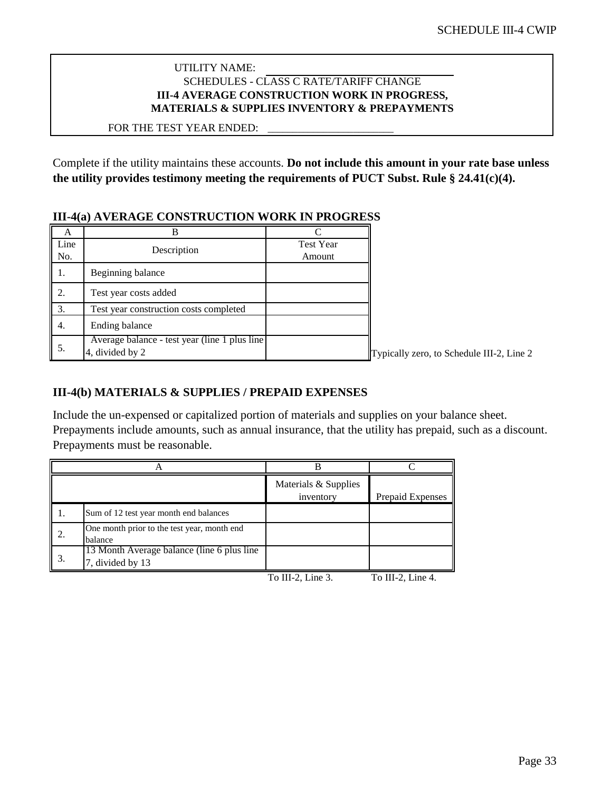## <span id="page-32-0"></span>UTILITY NAME: SCHEDULES - CLASS C RATE/TARIFF CHANGE **III-4 AVERAGE CONSTRUCTION WORK IN PROGRESS, MATERIALS & SUPPLIES INVENTORY & PREPAYMENTS**

\_\_\_\_\_\_\_\_\_\_\_\_\_\_\_\_\_\_\_\_\_\_\_\_\_

### FOR THE TEST YEAR ENDED:

Complete if the utility maintains these accounts. **Do not include this amount in your rate base unless the utility provides testimony meeting the requirements of PUCT Subst. Rule § 24.41(c)(4).**

## **III-4(a) AVERAGE CONSTRUCTION WORK IN PROGRESS**

| А           |                                                                   |                            |                |
|-------------|-------------------------------------------------------------------|----------------------------|----------------|
| Line<br>No. | Description                                                       | <b>Test Year</b><br>Amount |                |
|             | Beginning balance                                                 |                            |                |
| 2.          | Test year costs added                                             |                            |                |
| 3.          | Test year construction costs completed                            |                            |                |
| 4.          | Ending balance                                                    |                            |                |
| 5.          | Average balance - test year (line 1 plus line)<br>4, divided by 2 |                            | Typically zero |

 $\sigma$ , to Schedule III-2, Line 2

## **III-4(b) MATERIALS & SUPPLIES / PREPAID EXPENSES**

Include the un-expensed or capitalized portion of materials and supplies on your balance sheet. Prepayments include amounts, such as annual insurance, that the utility has prepaid, such as a discount. Prepayments must be reasonable.

|    |                                                                 | Materials & Supplies<br>inventory | Prepaid Expenses |
|----|-----------------------------------------------------------------|-----------------------------------|------------------|
| 1. | Sum of 12 test year month end balances                          |                                   |                  |
| 2. | One month prior to the test year, month end<br>balance          |                                   |                  |
|    | 13 Month Average balance (line 6 plus line)<br>7, divided by 13 |                                   |                  |

To III-2, Line 3. To III-2, Line 4.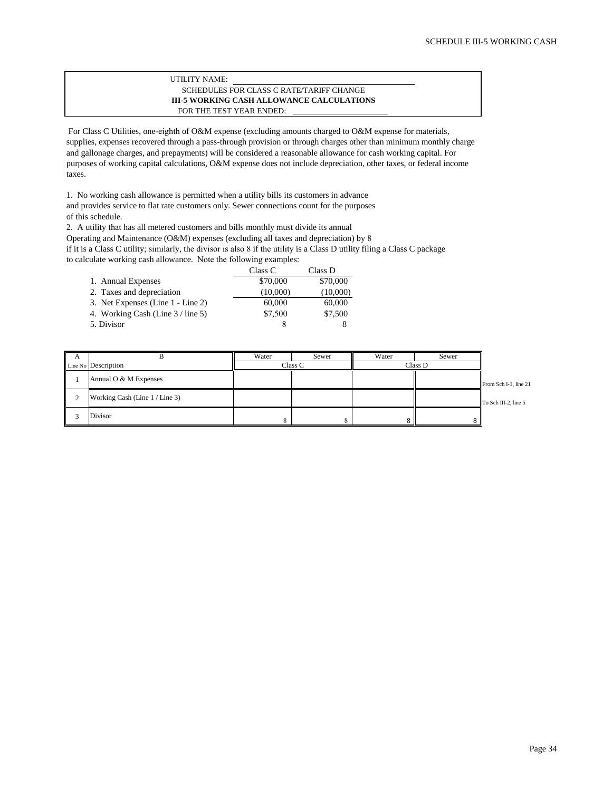#### **III-5 WORKING CASH ALLOWANCE CALCULATIONS** \_\_\_\_\_\_\_\_\_\_\_\_\_\_\_\_\_\_\_\_\_\_\_\_ FOR THE TEST YEAR ENDED: UTILITY NAME: SCHEDULES FOR CLASS C RATE/TARIFF CHANGE

<span id="page-33-0"></span>For Class C Utilities, one-eighth of O&M expense (excluding amounts charged to O&M expense for materials, supplies, expenses recovered through a pass-through provision or through charges other than minimum monthly charge and gallonage charges, and prepayments) will be considered a reasonable allowance for cash working capital. For purposes of working capital calculations, O&M expense does not include depreciation, other taxes, or federal income taxes.

1. No working cash allowance is permitted when a utility bills its customers in advance and provides service to flat rate customers only. Sewer connections count for the purposes of this schedule.

2. A utility that has all metered customers and bills monthly must divide its annual Operating and Maintenance (O&M) expenses (excluding all taxes and depreciation) by 8 if it is a Class C utility; similarly, the divisor is also 8 if the utility is a Class D utility filing a Class C package to calculate working cash allowance. Note the following examples:

|                                   | Class C  | Class D  |
|-----------------------------------|----------|----------|
|                                   |          |          |
| 1. Annual Expenses                | \$70,000 | \$70,000 |
| 2. Taxes and depreciation         | (10,000) | (10,000) |
| 3. Net Expenses (Line 1 - Line 2) | 60,000   | 60,000   |
| 4. Working Cash (Line 3 / line 5) | \$7,500  | \$7,500  |
| 5. Divisor                        |          |          |

| A        |                                | Water | Sewer   | Water   | Sewer |                       |
|----------|--------------------------------|-------|---------|---------|-------|-----------------------|
|          | Line No Description            |       | Class C | Class D |       |                       |
|          | Annual O & M Expenses          |       |         |         |       | From Sch I-1, line 21 |
| $\gamma$ | Working Cash (Line 1 / Line 3) |       |         |         |       | To Sch III-2, line 5  |
|          | Divisor                        |       |         |         |       |                       |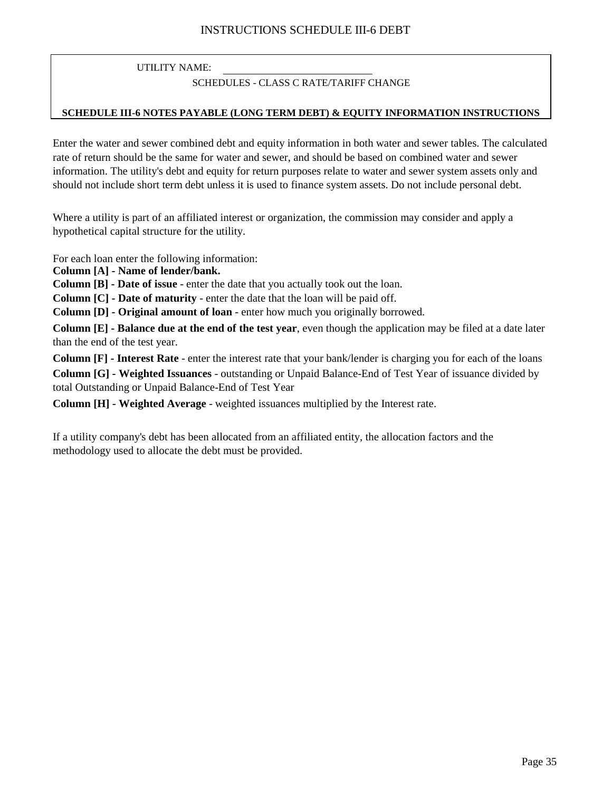## SCHEDULES - CLASS C RATE/TARIFF CHANGE

### **SCHEDULE III-6 NOTES PAYABLE (LONG TERM DEBT) & EQUITY INFORMATION INSTRUCTIONS**

Enter the water and sewer combined debt and equity information in both water and sewer tables. The calculated rate of return should be the same for water and sewer, and should be based on combined water and sewer information. The utility's debt and equity for return purposes relate to water and sewer system assets only and should not include short term debt unless it is used to finance system assets. Do not include personal debt.

Where a utility is part of an affiliated interest or organization, the commission may consider and apply a hypothetical capital structure for the utility.

For each loan enter the following information:

**Column [A] - Name of lender/bank.**

**Column [B] - Date of issue** - enter the date that you actually took out the loan.

**Column [C] - Date of maturity** - enter the date that the loan will be paid off.

**Column [D] - Original amount of loan** - enter how much you originally borrowed.

**Column [E] - Balance due at the end of the test year**, even though the application may be filed at a date later than the end of the test year.

**Column [F] - Interest Rate** - enter the interest rate that your bank/lender is charging you for each of the loans **Column [G] - Weighted Issuances** - outstanding or Unpaid Balance-End of Test Year of issuance divided by total Outstanding or Unpaid Balance-End of Test Year

**Column [H] - Weighted Average** - weighted issuances multiplied by the Interest rate.

If a utility company's debt has been allocated from an affiliated entity, the allocation factors and the methodology used to allocate the debt must be provided.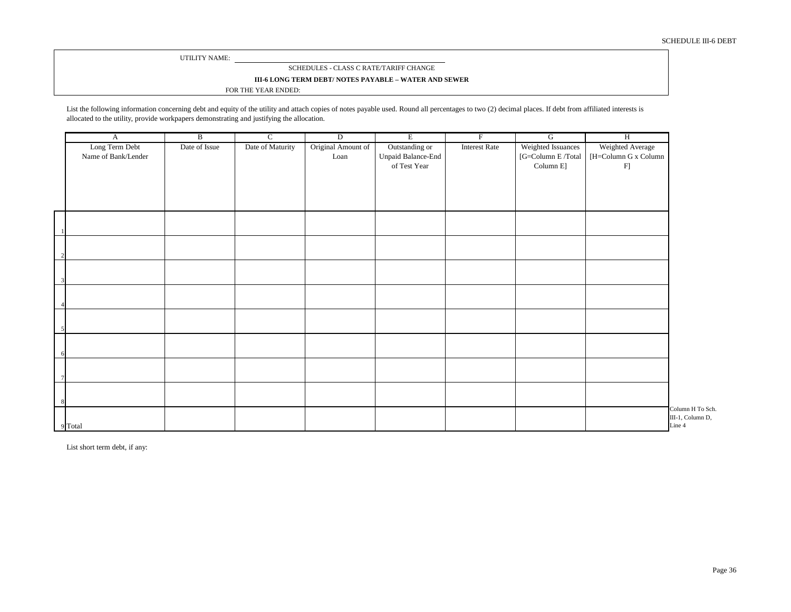#### SCHEDULES - CLASS C RATE/TARIFF CHANGE

#### **III-6 LONG TERM DEBT/ NOTES PAYABLE – WATER AND SEWER**

#### FOR THE YEAR ENDED:

List the following information concerning debt and equity of the utility and attach copies of notes payable used. Round all percentages to two (2) decimal places. If debt from affiliated interests is allocated to the utility, provide workpapers demonstrating and justifying the allocation.

| A                                     | $\overline{B}$ | $\overline{C}$   | $\overline{D}$             | E                                                    | $\overline{F}$       | $\overline{G}$                                       | H                                                             |                                                |
|---------------------------------------|----------------|------------------|----------------------------|------------------------------------------------------|----------------------|------------------------------------------------------|---------------------------------------------------------------|------------------------------------------------|
| Long Term Debt<br>Name of Bank/Lender | Date of Issue  | Date of Maturity | Original Amount of<br>Loan | Outstanding or<br>Unpaid Balance-End<br>of Test Year | <b>Interest Rate</b> | Weighted Issuances<br>[G=Column E/Total<br>Column E] | Weighted Average<br>$[H=Column\ G$ x Column<br>F <sub>1</sub> |                                                |
|                                       |                |                  |                            |                                                      |                      |                                                      |                                                               |                                                |
|                                       |                |                  |                            |                                                      |                      |                                                      |                                                               |                                                |
|                                       |                |                  |                            |                                                      |                      |                                                      |                                                               |                                                |
|                                       |                |                  |                            |                                                      |                      |                                                      |                                                               |                                                |
|                                       |                |                  |                            |                                                      |                      |                                                      |                                                               |                                                |
|                                       |                |                  |                            |                                                      |                      |                                                      |                                                               |                                                |
|                                       |                |                  |                            |                                                      |                      |                                                      |                                                               |                                                |
|                                       |                |                  |                            |                                                      |                      |                                                      |                                                               |                                                |
| 9 Total                               |                |                  |                            |                                                      |                      |                                                      |                                                               | Column H To Sch.<br>III-1, Column D,<br>Line 4 |

List short term debt, if any: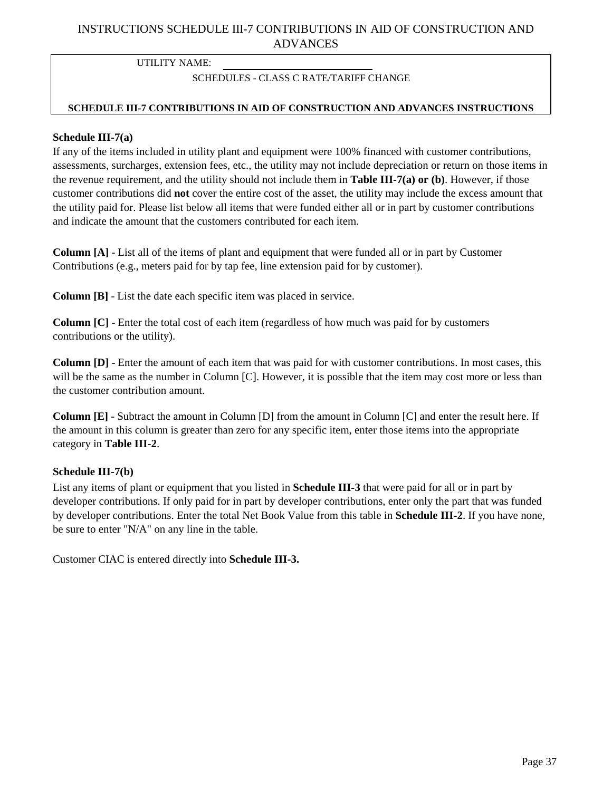## <span id="page-36-0"></span>INSTRUCTIONS SCHEDULE III-7 CONTRIBUTIONS IN AID OF CONSTRUCTION AND ADVANCES

UTILITY NAME:

## SCHEDULES - CLASS C RATE/TARIFF CHANGE

### **SCHEDULE III-7 CONTRIBUTIONS IN AID OF CONSTRUCTION AND ADVANCES INSTRUCTIONS**

### **Schedule III-7(a)**

If any of the items included in utility plant and equipment were 100% financed with customer contributions, assessments, surcharges, extension fees, etc., the utility may not include depreciation or return on those items in the revenue requirement, and the utility should not include them in **Table III-7(a) or (b)**. However, if those customer contributions did **not** cover the entire cost of the asset, the utility may include the excess amount that the utility paid for. Please list below all items that were funded either all or in part by customer contributions and indicate the amount that the customers contributed for each item.

**Column [A]** - List all of the items of plant and equipment that were funded all or in part by Customer Contributions (e.g., meters paid for by tap fee, line extension paid for by customer).

**Column [B]** - List the date each specific item was placed in service.

**Column [C]** - Enter the total cost of each item (regardless of how much was paid for by customers contributions or the utility).

**Column [D]** - Enter the amount of each item that was paid for with customer contributions. In most cases, this will be the same as the number in Column [C]. However, it is possible that the item may cost more or less than the customer contribution amount.

**Column [E]** - Subtract the amount in Column [D] from the amount in Column [C] and enter the result here. If the amount in this column is greater than zero for any specific item, enter those items into the appropriate category in **Table III-2**.

### **Schedule III-7(b)**

List any items of plant or equipment that you listed in **Schedule III-3** that were paid for all or in part by developer contributions. If only paid for in part by developer contributions, enter only the part that was funded by developer contributions. Enter the total Net Book Value from this table in **Schedule III-2**. If you have none, be sure to enter "N/A" on any line in the table.

Customer CIAC is entered directly into **Schedule III-3.**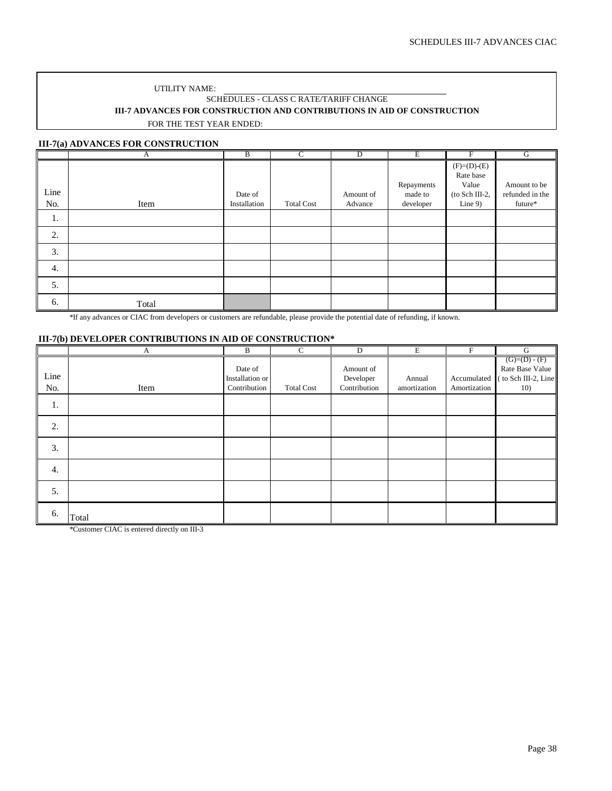### UTILITY NAME: SCHEDULES - CLASS C RATE/TARIFF CHANGE **III-7 ADVANCES FOR CONSTRUCTION AND CONTRIBUTIONS IN AID OF CONSTRUCTION** FOR THE TEST YEAR ENDED:

### **III-7(a) ADVANCES FOR CONSTRUCTION**

|      | А     | B            | C                 | $\overline{D}$ | Ε          | F              | G               |
|------|-------|--------------|-------------------|----------------|------------|----------------|-----------------|
|      |       |              |                   |                |            | $(F)=(D)-(E)$  |                 |
|      |       |              |                   |                |            | Rate base      |                 |
|      |       |              |                   |                | Repayments | Value          | Amount to be    |
| Line |       | Date of      |                   | Amount of      | made to    | (to Sch III-2, | refunded in the |
| No.  | Item  | Installation | <b>Total Cost</b> | Advance        | developer  | Line $9$ )     | future*         |
| 1.   |       |              |                   |                |            |                |                 |
| 2.   |       |              |                   |                |            |                |                 |
| 3.   |       |              |                   |                |            |                |                 |
| 4.   |       |              |                   |                |            |                |                 |
| 5.   |       |              |                   |                |            |                |                 |
| 6.   | Total |              |                   |                |            |                |                 |

\*If any advances or CIAC from developers or customers are refundable, please provide the potential date of refunding, if known.

### **III-7(b) DEVELOPER CONTRIBUTIONS IN AID OF CONSTRUCTION\***

|             | A     | B                                          | $\overline{C}$    | D                                      | E                      | $\boldsymbol{\mathrm{F}}$   | $\overline{G}$                                                |
|-------------|-------|--------------------------------------------|-------------------|----------------------------------------|------------------------|-----------------------------|---------------------------------------------------------------|
| Line<br>No. | Item  | Date of<br>Installation or<br>Contribution | <b>Total Cost</b> | Amount of<br>Developer<br>Contribution | Annual<br>amortization | Accumulated<br>Amortization | $(G)=(D)-(F)$<br>Rate Base Value<br>to Sch III-2, Line<br>10) |
| 1.          |       |                                            |                   |                                        |                        |                             |                                                               |
| 2.          |       |                                            |                   |                                        |                        |                             |                                                               |
| 3.          |       |                                            |                   |                                        |                        |                             |                                                               |
| 4.          |       |                                            |                   |                                        |                        |                             |                                                               |
| 5.          |       |                                            |                   |                                        |                        |                             |                                                               |
| 6.          | Total |                                            |                   |                                        |                        |                             |                                                               |

\*Customer CIAC is entered directly on III-3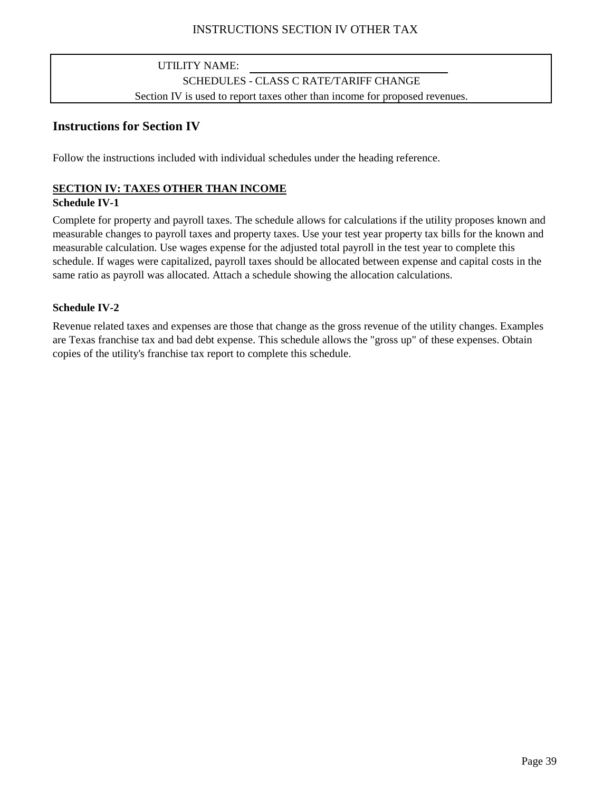## UTILITY NAME: SCHEDULES - CLASS C RATE/TARIFF CHANGE Section IV is used to report taxes other than income for proposed revenues.

## <span id="page-38-0"></span>**Instructions for Section IV**

Follow the instructions included with individual schedules under the heading reference.

## **SECTION IV: TAXES OTHER THAN INCOME**

### **Schedule IV-1**

Complete for property and payroll taxes. The schedule allows for calculations if the utility proposes known and measurable changes to payroll taxes and property taxes. Use your test year property tax bills for the known and measurable calculation. Use wages expense for the adjusted total payroll in the test year to complete this schedule. If wages were capitalized, payroll taxes should be allocated between expense and capital costs in the same ratio as payroll was allocated. Attach a schedule showing the allocation calculations.

## **Schedule IV-2**

Revenue related taxes and expenses are those that change as the gross revenue of the utility changes. Examples are Texas franchise tax and bad debt expense. This schedule allows the "gross up" of these expenses. Obtain copies of the utility's franchise tax report to complete this schedule.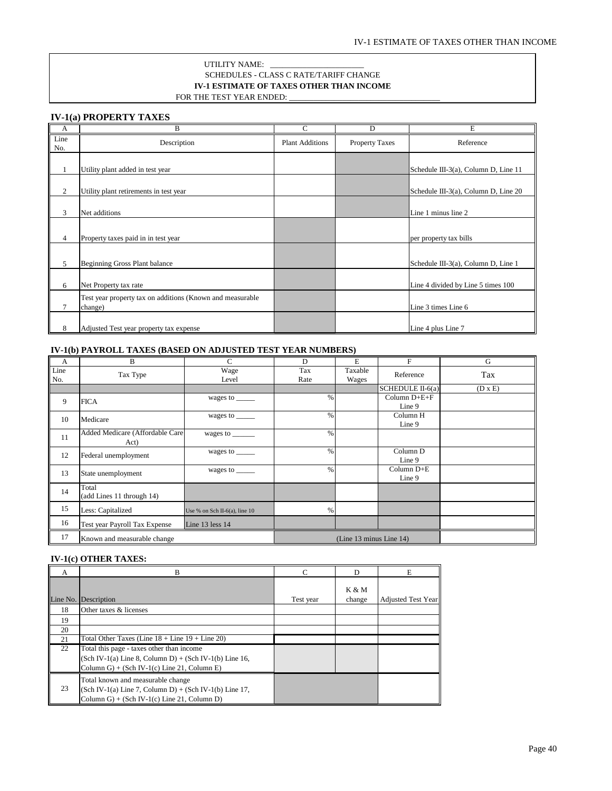### **IV-1 ESTIMATE OF TAXES OTHER THAN INCOME** SCHEDULES - CLASS C RATE/TARIFF CHANGE UTILITY NAME: FOR THE TEST YEAR ENDED:

<span id="page-39-0"></span>**IV-1(a) PROPERTY TAXES**

| A              | B                                                                    | C                      | D              | E                                      |
|----------------|----------------------------------------------------------------------|------------------------|----------------|----------------------------------------|
| Line<br>No.    | Description                                                          | <b>Plant Additions</b> | Property Taxes | Reference                              |
|                | Utility plant added in test year                                     |                        |                | Schedule III-3(a), Column D, Line 11   |
| 2              | Utility plant retirements in test year                               |                        |                | Schedule III-3(a), Column D, Line $20$ |
| 3              | Net additions                                                        |                        |                | Line 1 minus line 2                    |
| $\overline{4}$ | Property taxes paid in in test year                                  |                        |                | per property tax bills                 |
| 5              | Beginning Gross Plant balance                                        |                        |                | Schedule III-3(a), Column D, Line 1    |
| 6              | Net Property tax rate                                                |                        |                | Line 4 divided by Line 5 times 100     |
| $\tau$         | Test year property tax on additions (Known and measurable<br>change) |                        |                | Line 3 times Line 6                    |
| 8              | Adjusted Test year property tax expense                              |                        |                | Line 4 plus Line 7                     |

### **IV-1(b) PAYROLL TAXES (BASED ON ADJUSTED TEST YEAR NUMBERS)**

| $\mathbf{A}$ | B                                       | $\mathsf{C}$                                                                    | D                       | E                | F                                          | G              |
|--------------|-----------------------------------------|---------------------------------------------------------------------------------|-------------------------|------------------|--------------------------------------------|----------------|
| Line<br>No.  | Tax Type                                | Wage<br>Level                                                                   | Tax<br>Rate             | Taxable<br>Wages | Reference                                  | Tax            |
|              |                                         |                                                                                 |                         |                  | $SCHEDULE II-6(a)$                         | $(D \times E)$ |
| 9            | <b>FICA</b>                             | wages to ______                                                                 | $\%$                    |                  | $\overline{\text{Column D+E+F}}$<br>Line 9 |                |
| 10           | Medicare                                | wages to $\_\_\_\_\_\_\_\_\_\_\_\_\_\_\_\_\_\_\_\_\_\_\_\_\_\_\_\_\_\_\_\_\_\_$ | $\%$                    |                  | Column H<br>Line 9                         |                |
| 11           | Added Medicare (Affordable Care<br>Act) | wages to ______                                                                 | $\%$                    |                  |                                            |                |
| 12           | Federal unemployment                    | wages to $\_\_$                                                                 | $\%$                    |                  | Column D<br>Line 9                         |                |
| 13           | State unemployment                      | wages to $\_\_\_\_\_\_\_\_\_\_\_\_\_\_\_\_\_\_\_\_\_\_\_\_\_\_\_\_\_\_\_\_\_\_$ | $\%$                    |                  | Column D+E<br>Line 9                       |                |
| 14           | Total<br>(add Lines 11 through 14)      |                                                                                 |                         |                  |                                            |                |
| 15           | Less: Capitalized                       | Use % on Sch II-6(a), line $10$                                                 | %                       |                  |                                            |                |
| 16           | Test year Payroll Tax Expense           | Line 13 less 14                                                                 |                         |                  |                                            |                |
| 17           | Known and measurable change             |                                                                                 | (Line 13 minus Line 14) |                  |                                            |                |

### **IV-1(c) OTHER TAXES:**

| A  | B                                                                                                                                                    | $\mathcal{C}$ | D                          | E                         |
|----|------------------------------------------------------------------------------------------------------------------------------------------------------|---------------|----------------------------|---------------------------|
|    | Line No. Description                                                                                                                                 | Test year     | <b>K &amp; M</b><br>change | <b>Adjusted Test Year</b> |
| 18 | Other taxes & licenses                                                                                                                               |               |                            |                           |
| 19 |                                                                                                                                                      |               |                            |                           |
| 20 |                                                                                                                                                      |               |                            |                           |
| 21 | Total Other Taxes (Line $18 +$ Line $19 +$ Line $20$ )                                                                                               |               |                            |                           |
| 22 | Total this page - taxes other than income<br>$(Sch IV-1(a) Line 8, Column D) + (Sch IV-1(b) Line 16,$<br>Column G) + (Sch IV-1(c) Line 21, Column E) |               |                            |                           |
| 23 | Total known and measurable change<br>$(Sch IV-1(a) Line 7, Column D) + (Sch IV-1(b) Line 17,$<br>Column G) + (Sch IV-1(c) Line 21, Column D)         |               |                            |                           |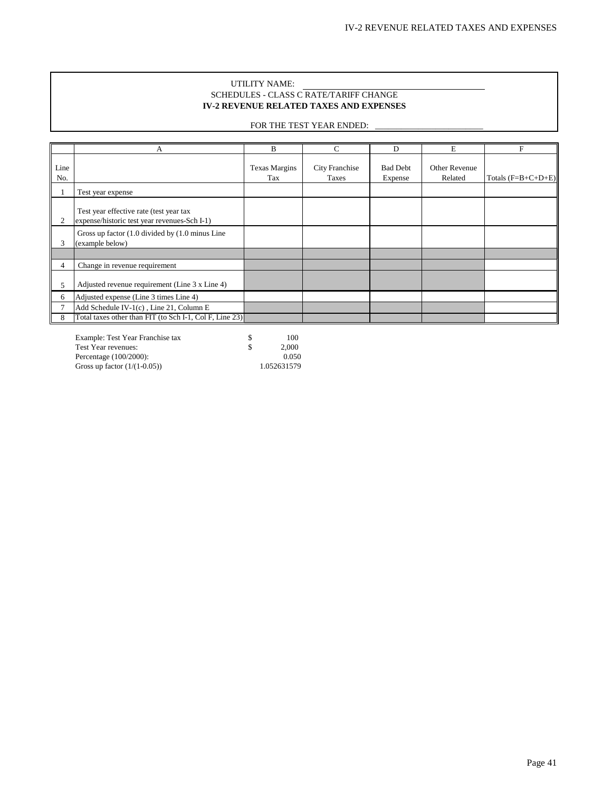### SCHEDULES - CLASS C RATE/TARIFF CHANGE **IV-2 REVENUE RELATED TAXES AND EXPENSES** UTILITY NAME:

### FOR THE TEST YEAR ENDED:

<span id="page-40-0"></span>

|               | А                                                                                       | B                           | C                              | D                          | E                        | F                    |
|---------------|-----------------------------------------------------------------------------------------|-----------------------------|--------------------------------|----------------------------|--------------------------|----------------------|
| Line<br>No.   |                                                                                         | <b>Texas Margins</b><br>Tax | <b>City Franchise</b><br>Taxes | <b>Bad Debt</b><br>Expense | Other Revenue<br>Related | Totals $(F=B+C+D+E)$ |
|               | Test year expense                                                                       |                             |                                |                            |                          |                      |
| 2             | Test year effective rate (test year tax<br>expense/historic test year revenues-Sch I-1) |                             |                                |                            |                          |                      |
| 3             | Gross up factor (1.0 divided by (1.0 minus Line)<br>(example below)                     |                             |                                |                            |                          |                      |
|               |                                                                                         |                             |                                |                            |                          |                      |
| 4             | Change in revenue requirement                                                           |                             |                                |                            |                          |                      |
| $\mathcal{P}$ | Adjusted revenue requirement (Line 3 x Line 4)                                          |                             |                                |                            |                          |                      |
| 6             | Adjusted expense (Line 3 times Line 4)                                                  |                             |                                |                            |                          |                      |
|               | Add Schedule IV-1(c), Line 21, Column E                                                 |                             |                                |                            |                          |                      |
| 8             | Total taxes other than FIT (to Sch I-1, Col F, Line 23)                                 |                             |                                |                            |                          |                      |

Example: Test Year Franchise tax \$ 100 Test Year revenues:  $\qquad$  \$ 2,000 Percentage (100/2000): 0.050<br>Gross up factor (1/(1-0.05)) 1.052631579 Gross up factor  $(1/(1-0.05))$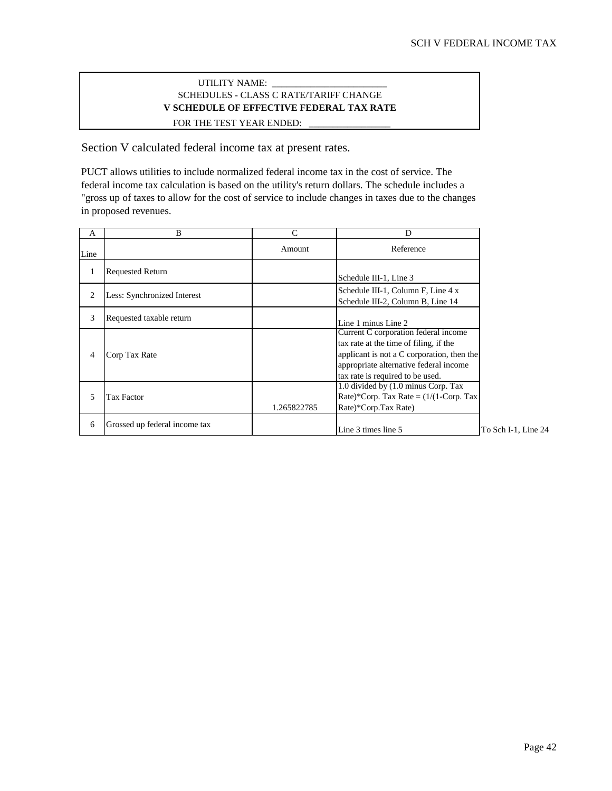### SCHEDULES - CLASS C RATE/TARIFF CHANGE **V SCHEDULE OF EFFECTIVE FEDERAL TAX RATE** FOR THE TEST YEAR ENDED: UTILITY NAME:

<span id="page-41-0"></span>Section V calculated federal income tax at present rates.

PUCT allows utilities to include normalized federal income tax in the cost of service. The federal income tax calculation is based on the utility's return dollars. The schedule includes a "gross up of taxes to allow for the cost of service to include changes in taxes due to the changes in proposed revenues.

| A              | B                             | C           | D                                                                                                                                                                                                          |
|----------------|-------------------------------|-------------|------------------------------------------------------------------------------------------------------------------------------------------------------------------------------------------------------------|
| Line           |                               | Amount      | Reference                                                                                                                                                                                                  |
|                | <b>Requested Return</b>       |             | Schedule III-1, Line 3                                                                                                                                                                                     |
| $\overline{c}$ | Less: Synchronized Interest   |             | Schedule III-1, Column F, Line 4 x<br>Schedule III-2, Column B, Line 14                                                                                                                                    |
| 3              | Requested taxable return      |             | Line 1 minus Line 2                                                                                                                                                                                        |
| 4              | Corp Tax Rate                 |             | Current C corporation federal income<br>tax rate at the time of filing, if the<br>applicant is not a C corporation, then the<br>appropriate alternative federal income<br>tax rate is required to be used. |
| 5              | Tax Factor                    | 1.265822785 | 1.0 divided by (1.0 minus Corp. Tax<br>Rate)*Corp. Tax Rate = $(1/(1-Corp. Tax$<br>Rate)*Corp.Tax Rate)                                                                                                    |
| 6              | Grossed up federal income tax |             | Line 3 times line 5                                                                                                                                                                                        |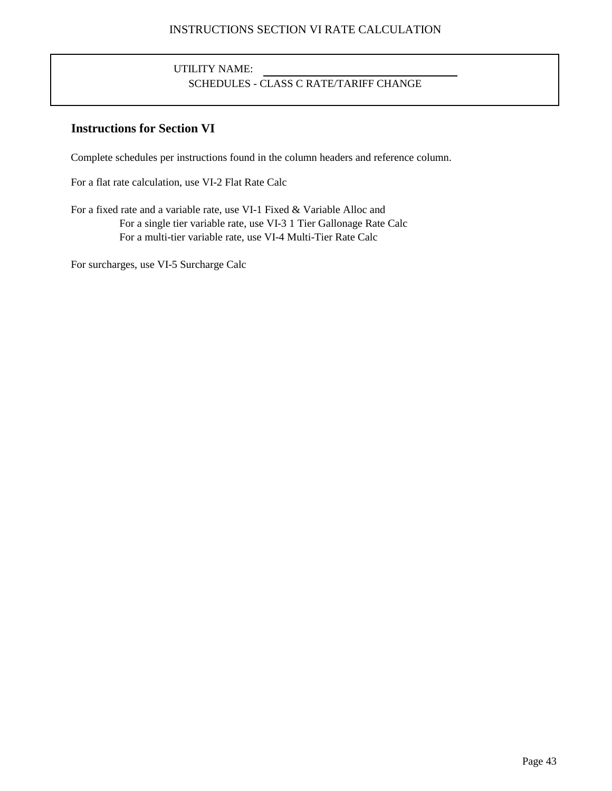# UTILITY NAME: SCHEDULES - CLASS C RATE/TARIFF CHANGE

## <span id="page-42-0"></span>**Instructions for Section VI**

Complete schedules per instructions found in the column headers and reference column.

For a flat rate calculation, use VI-2 Flat Rate Calc

For a fixed rate and a variable rate, use VI-1 Fixed & Variable Alloc and For a single tier variable rate, use VI-3 1 Tier Gallonage Rate Calc For a multi-tier variable rate, use VI-4 Multi-Tier Rate Calc

For surcharges, use VI-5 Surcharge Calc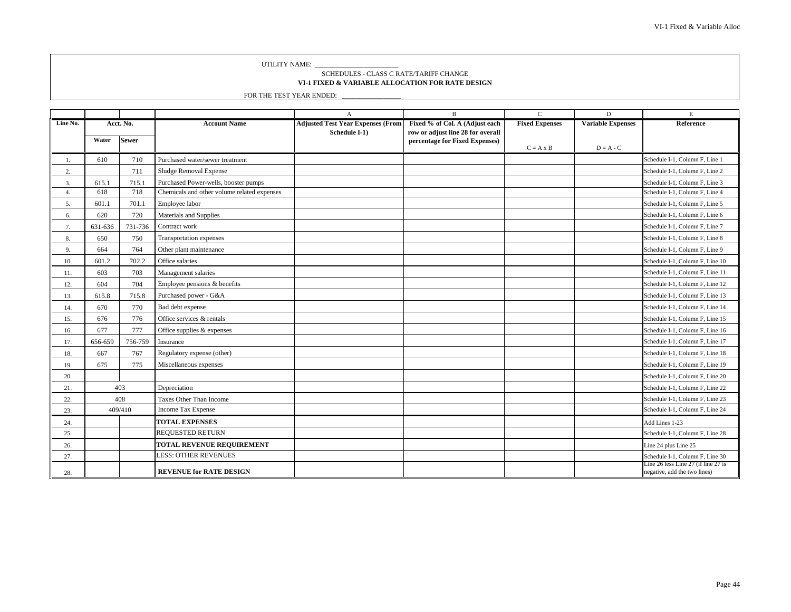UTILITY NAME: \_\_

### **VI-1 FIXED & VARIABLE ALLOCATION FOR RATE DESIGN** SCHEDULES - CLASS C RATE/TARIFF CHANGE

|          |         |              |                                             | $\mathbf{A}$                             | $\, {\bf B}$                                                        | $\mathsf{C}$          | D                        | $\mathbf E$                                                         |
|----------|---------|--------------|---------------------------------------------|------------------------------------------|---------------------------------------------------------------------|-----------------------|--------------------------|---------------------------------------------------------------------|
| Line No. |         | Acct. No.    | <b>Account Name</b>                         | <b>Adjusted Test Year Expenses (From</b> | Fixed % of Col. A (Adjust each                                      | <b>Fixed Expenses</b> | <b>Variable Expenses</b> | Reference                                                           |
|          | Water   | <b>Sewer</b> |                                             | Schedule I-1)                            | row or adjust line 28 for overall<br>percentage for Fixed Expenses) |                       |                          |                                                                     |
|          |         |              |                                             |                                          |                                                                     | $C = A \times B$      | $D = A - C$              |                                                                     |
| 1.       | 610     | 710          | Purchased water/sewer treatment             |                                          |                                                                     |                       |                          | Schedule I-1, Column F, Line 1                                      |
| 2.       |         | 711          | Sludge Removal Expense                      |                                          |                                                                     |                       |                          | Schedule I-1, Column F, Line 2                                      |
| 3.       | 615.1   | 715.1        | Purchased Power-wells, booster pumps        |                                          |                                                                     |                       |                          | Schedule I-1, Column F, Line 3                                      |
| 4.       | 618     | 718          | Chemicals and other volume related expenses |                                          |                                                                     |                       |                          | Schedule I-1, Column F, Line 4                                      |
| 5.       | 601.1   | 701.1        | Employee labor                              |                                          |                                                                     |                       |                          | Schedule I-1, Column F, Line 5                                      |
| 6.       | 620     | 720          | Materials and Supplies                      |                                          |                                                                     |                       |                          | Schedule I-1, Column F, Line 6                                      |
| 7.       | 631-636 | 731-736      | Contract work                               |                                          |                                                                     |                       |                          | Schedule I-1, Column F, Line 7                                      |
| 8.       | 650     | 750          | Transportation expenses                     |                                          |                                                                     |                       |                          | Schedule I-1, Column F, Line 8                                      |
| 9.       | 664     | 764          | Other plant maintenance                     |                                          |                                                                     |                       |                          | Schedule I-1, Column F, Line 9                                      |
| 10.      | 601.2   | 702.2        | Office salaries                             |                                          |                                                                     |                       |                          | Schedule I-1, Column F, Line 10                                     |
| 11.      | 603     | 703          | Management salaries                         |                                          |                                                                     |                       |                          | Schedule I-1, Column F, Line 11                                     |
| 12.      | 604     | 704          | Employee pensions & benefits                |                                          |                                                                     |                       |                          | Schedule I-1, Column F, Line 12                                     |
| 13.      | 615.8   | 715.8        | Purchased power - G&A                       |                                          |                                                                     |                       |                          | Schedule I-1, Column F, Line 13                                     |
| 14.      | 670     | 770          | Bad debt expense                            |                                          |                                                                     |                       |                          | Schedule I-1, Column F, Line 14                                     |
| 15.      | 676     | 776          | Office services & rentals                   |                                          |                                                                     |                       |                          | Schedule I-1, Column F, Line 15                                     |
| 16.      | 677     | 777          | Office supplies & expenses                  |                                          |                                                                     |                       |                          | Schedule I-1, Column F, Line 16                                     |
| 17.      | 656-659 | 756-759      | Insurance                                   |                                          |                                                                     |                       |                          | Schedule I-1, Column F, Line 17                                     |
| 18.      | 667     | 767          | Regulatory expense (other)                  |                                          |                                                                     |                       |                          | Schedule I-1, Column F, Line 18                                     |
| 19.      | 675     | 775          | Miscellaneous expenses                      |                                          |                                                                     |                       |                          | Schedule I-1, Column F, Line 19                                     |
| 20.      |         |              |                                             |                                          |                                                                     |                       |                          | Schedule I-1, Column F, Line 20                                     |
| 21.      |         | 403          | Depreciation                                |                                          |                                                                     |                       |                          | Schedule I-1, Column F, Line 22                                     |
| 22.      |         | 408          | Taxes Other Than Income                     |                                          |                                                                     |                       |                          | Schedule I-1, Column F, Line 23                                     |
| 23.      |         | 409/410      | Income Tax Expense                          |                                          |                                                                     |                       |                          | Schedule I-1, Column F, Line 24                                     |
| 24.      |         |              | <b>TOTAL EXPENSES</b>                       |                                          |                                                                     |                       |                          | Add Lines 1-23                                                      |
| 25.      |         |              | REQUESTED RETURN                            |                                          |                                                                     |                       |                          | Schedule I-1, Column F, Line 28                                     |
| 26.      |         |              | TOTAL REVENUE REQUIREMENT                   |                                          |                                                                     |                       |                          | Line 24 plus Line 25                                                |
| 27.      |         |              | <b>LESS: OTHER REVENUES</b>                 |                                          |                                                                     |                       |                          | Schedule I-1, Column F, Line 30                                     |
| 28.      |         |              | <b>REVENUE for RATE DESIGN</b>              |                                          |                                                                     |                       |                          | Line 26 less Line 27 (if line 27 is<br>negative, add the two lines) |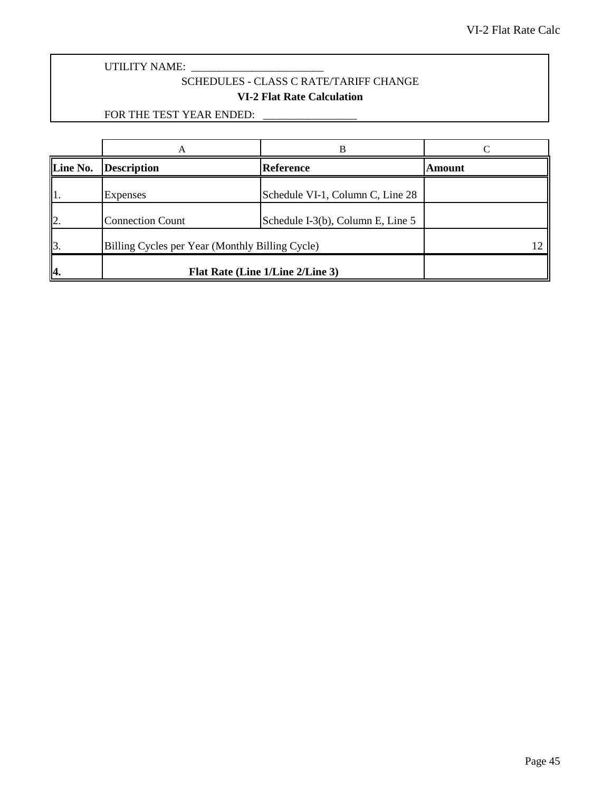<span id="page-44-0"></span>UTILITY NAME: \_\_\_\_\_\_\_\_\_\_\_\_\_\_\_\_\_\_\_\_\_\_\_\_

## SCHEDULES - CLASS C RATE/TARIFF CHANGE **VI-2 Flat Rate Calculation**

| Line No.                 | <b>Description</b>                              | <b>Reference</b>                  | Amount |
|--------------------------|-------------------------------------------------|-----------------------------------|--------|
| 1.                       | Expenses                                        | Schedule VI-1, Column C, Line 28  |        |
| 12.                      | <b>Connection Count</b>                         | Schedule I-3(b), Column E, Line 5 |        |
| $\mathbf{\mathbb{I}}$ 3. | Billing Cycles per Year (Monthly Billing Cycle) |                                   |        |
| Ι4.                      |                                                 | Flat Rate (Line 1/Line 2/Line 3)  |        |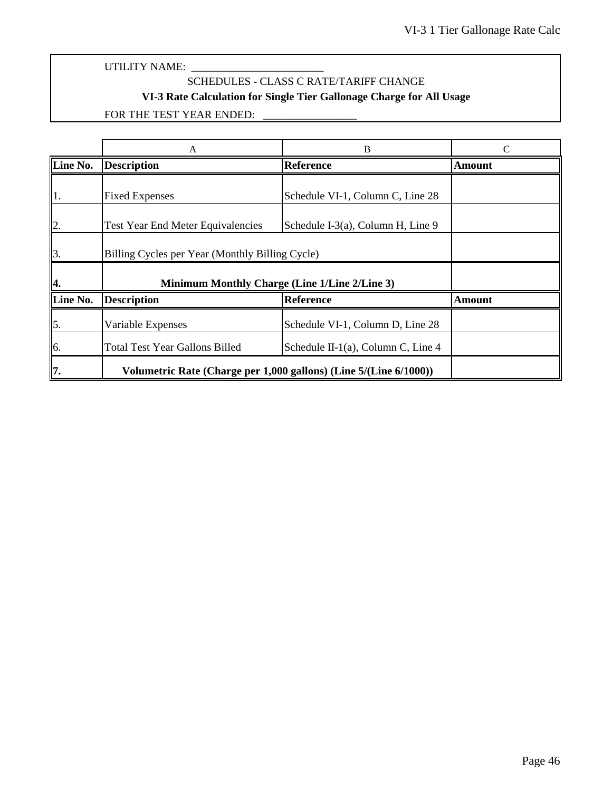## SCHEDULES - CLASS C RATE/TARIFF CHANGE

## **VI-3 Rate Calculation for Single Tier Gallonage Charge for All Usage**

<span id="page-45-0"></span>

|              | В<br>A                                                            |                                      |               |
|--------------|-------------------------------------------------------------------|--------------------------------------|---------------|
| Line No.     | <b>Description</b>                                                | <b>Reference</b>                     | Amount        |
| $\vert$ 1.   | <b>Fixed Expenses</b>                                             | Schedule VI-1, Column C, Line 28     |               |
| $\mathbf{z}$ | <b>Test Year End Meter Equivalencies</b>                          | Schedule I-3(a), Column H, Line 9    |               |
| $\vert$ 3.   | Billing Cycles per Year (Monthly Billing Cycle)                   |                                      |               |
| 14.          | Minimum Monthly Charge (Line 1/Line 2/Line 3)                     |                                      |               |
| Line No.     | <b>Description</b>                                                | <b>Reference</b>                     | <b>Amount</b> |
| $\vert$ 5.   | Variable Expenses                                                 | Schedule VI-1, Column D, Line 28     |               |
| 6.           | <b>Total Test Year Gallons Billed</b>                             | Schedule II-1(a), Column C, Line $4$ |               |
| 17.          | Volumetric Rate (Charge per 1,000 gallons) (Line 5/(Line 6/1000)) |                                      |               |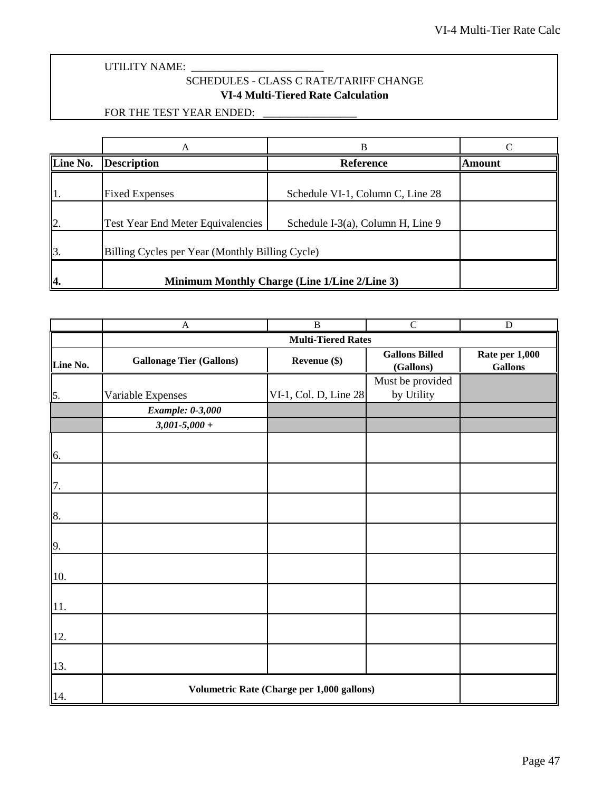## SCHEDULES - CLASS C RATE/TARIFF CHANGE **VI-4 Multi-Tiered Rate Calculation**

<span id="page-46-0"></span>

|                             | A                                        | В                                               |        |  |  |
|-----------------------------|------------------------------------------|-------------------------------------------------|--------|--|--|
| Line No.                    | <b>Description</b>                       | <b>Reference</b>                                | Amount |  |  |
|                             | <b>Fixed Expenses</b>                    | Schedule VI-1, Column C, Line 28                |        |  |  |
| $\mathbf{I}$ <sub>2</sub> . | <b>Test Year End Meter Equivalencies</b> | Schedule I-3(a), Column H, Line 9               |        |  |  |
| $\mathbf{\overline{3}}$ .   |                                          | Billing Cycles per Year (Monthly Billing Cycle) |        |  |  |
| Α.                          |                                          | Minimum Monthly Charge (Line 1/Line 2/Line 3)   |        |  |  |

|          | $\mathbf{A}$                               | $\overline{B}$            | $\overline{C}$                     | $\overline{D}$                   |
|----------|--------------------------------------------|---------------------------|------------------------------------|----------------------------------|
|          |                                            | <b>Multi-Tiered Rates</b> |                                    |                                  |
| Line No. | <b>Gallonage Tier (Gallons)</b>            | Revenue (\$)              | <b>Gallons Billed</b><br>(Gallons) | Rate per 1,000<br><b>Gallons</b> |
|          |                                            |                           | Must be provided                   |                                  |
| 5.       | Variable Expenses                          | VI-1, Col. D, Line 28     | by Utility                         |                                  |
|          | <b>Example: 0-3,000</b>                    |                           |                                    |                                  |
|          | $3,001 - 5,000 +$                          |                           |                                    |                                  |
|          |                                            |                           |                                    |                                  |
| 6.       |                                            |                           |                                    |                                  |
|          |                                            |                           |                                    |                                  |
| 7.       |                                            |                           |                                    |                                  |
|          |                                            |                           |                                    |                                  |
| 8.       |                                            |                           |                                    |                                  |
|          |                                            |                           |                                    |                                  |
| 9.       |                                            |                           |                                    |                                  |
|          |                                            |                           |                                    |                                  |
| 10.      |                                            |                           |                                    |                                  |
|          |                                            |                           |                                    |                                  |
| 11.      |                                            |                           |                                    |                                  |
|          |                                            |                           |                                    |                                  |
| 12.      |                                            |                           |                                    |                                  |
|          |                                            |                           |                                    |                                  |
| 13.      |                                            |                           |                                    |                                  |
| 14.      | Volumetric Rate (Charge per 1,000 gallons) |                           |                                    |                                  |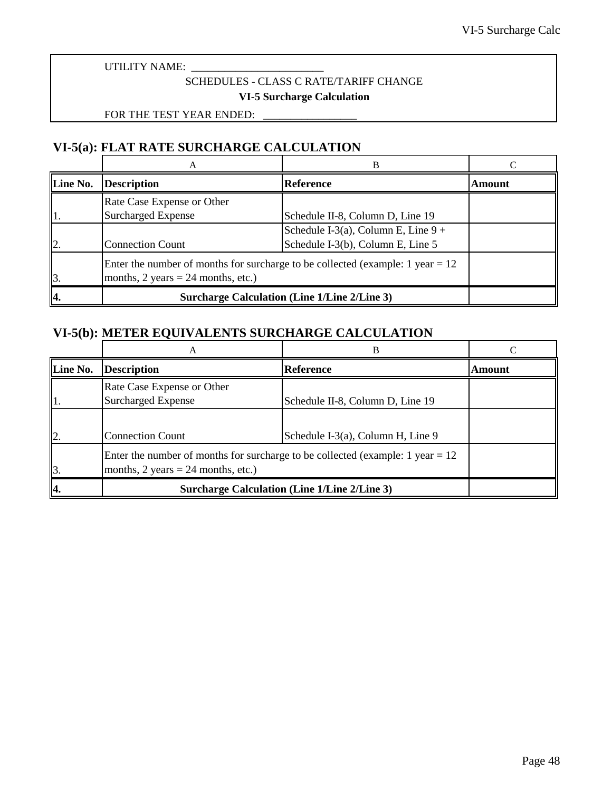## SCHEDULES - CLASS C RATE/TARIFF CHANGE **VI-5 Surcharge Calculation**

FOR THE TEST YEAR ENDED:

## <span id="page-47-0"></span>**VI-5(a): FLAT RATE SURCHARGE CALCULATION**

|                 |                                                                                                                                             | в                                                   |        |
|-----------------|---------------------------------------------------------------------------------------------------------------------------------------------|-----------------------------------------------------|--------|
| Line No.        | <b>Description</b>                                                                                                                          | <b>Reference</b>                                    | Amount |
|                 | Rate Case Expense or Other                                                                                                                  |                                                     |        |
|                 | <b>Surcharged Expense</b>                                                                                                                   | Schedule II-8, Column D, Line 19                    |        |
|                 |                                                                                                                                             | Schedule I-3(a), Column E, Line $9 +$               |        |
| 12              | <b>Connection Count</b>                                                                                                                     | Schedule I-3(b), Column E, Line 5                   |        |
| $\mathbf{I}$ 3. | Enter the number of months for surcharge to be collected (example: 1 year $= 12$ )<br>months, $2 \text{ years} = 24 \text{ months, etc.}$ ) |                                                     |        |
| 14.             |                                                                                                                                             | <b>Surcharge Calculation (Line 1/Line 2/Line 3)</b> |        |

## **VI-5(b): METER EQUIVALENTS SURCHARGE CALCULATION**

|                 | А                                                                                                                        | B                                                   |        |
|-----------------|--------------------------------------------------------------------------------------------------------------------------|-----------------------------------------------------|--------|
| Line No.        | <b>Description</b>                                                                                                       | <b>Reference</b>                                    | Amount |
| 11.             | Rate Case Expense or Other<br><b>Surcharged Expense</b>                                                                  | Schedule II-8, Column D, Line 19                    |        |
| $\mathbf{I}$ 2. | <b>Connection Count</b>                                                                                                  | Schedule I-3(a), Column H, Line 9                   |        |
| $\mathbf{3}$    | Enter the number of months for surcharge to be collected (example: 1 year $= 12$ )<br>months, 2 years = 24 months, etc.) |                                                     |        |
| 4.              |                                                                                                                          | <b>Surcharge Calculation (Line 1/Line 2/Line 3)</b> |        |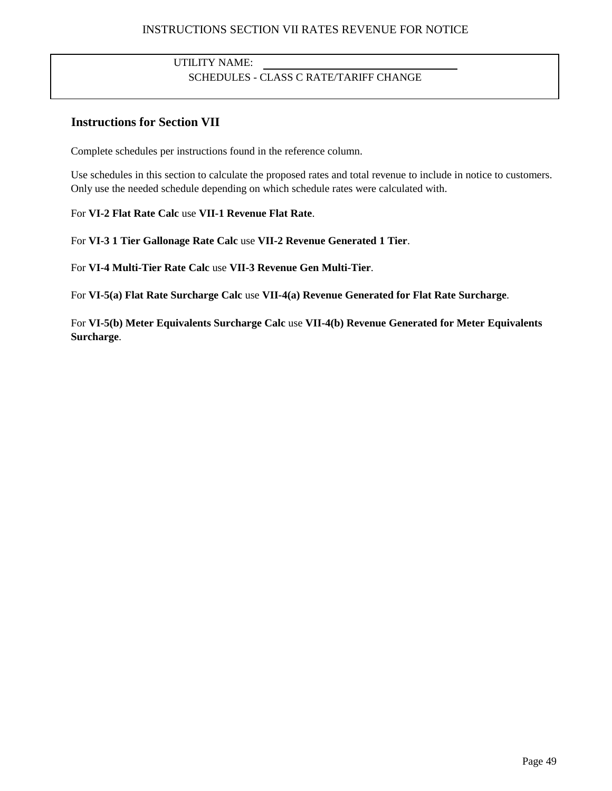## INSTRUCTIONS SECTION VII RATES REVENUE FOR NOTICE

## UTILITY NAME: SCHEDULES - CLASS C RATE/TARIFF CHANGE

## <span id="page-48-0"></span>**Instructions for Section VII**

Complete schedules per instructions found in the reference column.

Use schedules in this section to calculate the proposed rates and total revenue to include in notice to customers. Only use the needed schedule depending on which schedule rates were calculated with.

### For **VI-2 Flat Rate Calc** use **VII-1 Revenue Flat Rate**.

For **VI-3 1 Tier Gallonage Rate Calc** use **VII-2 Revenue Generated 1 Tier**.

For **VI-4 Multi-Tier Rate Calc** use **VII-3 Revenue Gen Multi-Tier**.

For **VI-5(a) Flat Rate Surcharge Calc** use **VII-4(a) Revenue Generated for Flat Rate Surcharge**.

For **VI-5(b) Meter Equivalents Surcharge Calc** use **VII-4(b) Revenue Generated for Meter Equivalents Surcharge**.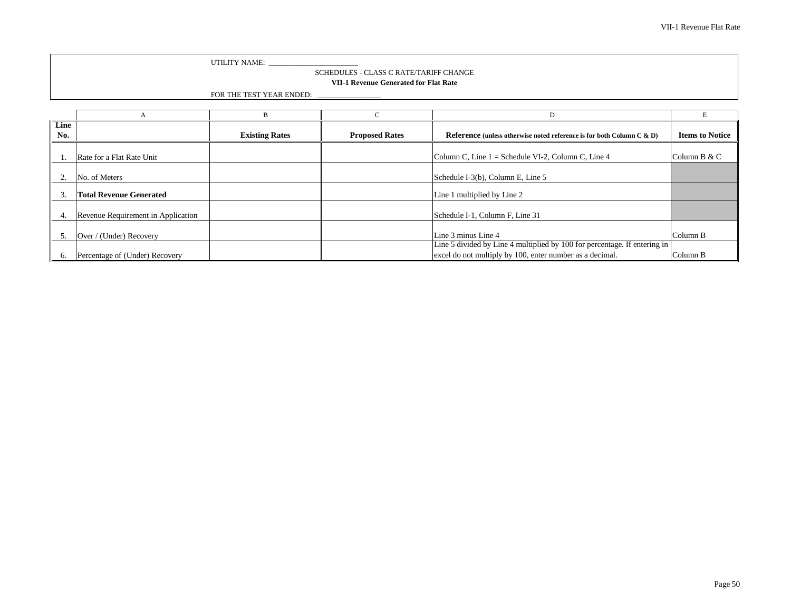UTILITY NAME: \_\_\_\_\_\_\_\_\_\_\_\_\_\_\_\_\_\_\_\_\_\_\_\_

### SCHEDULES - CLASS C RATE/TARIFF CHANGE

### **VII-1 Revenue Generated for Flat Rate**

| Line<br>No. |                                    | <b>Existing Rates</b> | <b>Proposed Rates</b> | Reference (unless otherwise noted reference is for both Column C & D)     | <b>Items to Notice</b> |
|-------------|------------------------------------|-----------------------|-----------------------|---------------------------------------------------------------------------|------------------------|
|             |                                    |                       |                       |                                                                           |                        |
|             | Rate for a Flat Rate Unit          |                       |                       | Column C, Line 1 = Schedule VI-2, Column C, Line 4                        | Column B & C           |
|             |                                    |                       |                       |                                                                           |                        |
|             | No. of Meters                      |                       |                       | Schedule I-3(b), Column E, Line 5                                         |                        |
|             | <b>Total Revenue Generated</b>     |                       |                       | Line 1 multiplied by Line 2                                               |                        |
|             | Revenue Requirement in Application |                       |                       | Schedule I-1, Column F, Line 31                                           |                        |
|             |                                    |                       |                       |                                                                           |                        |
|             | Over / (Under) Recovery            |                       |                       | Line 3 minus Line 4                                                       | Column B               |
|             |                                    |                       |                       | Line 5 divided by Line 4 multiplied by 100 for percentage. If entering in |                        |
| $\sigma$ .  | Percentage of (Under) Recovery     |                       |                       | excel do not multiply by 100, enter number as a decimal.                  | Column B               |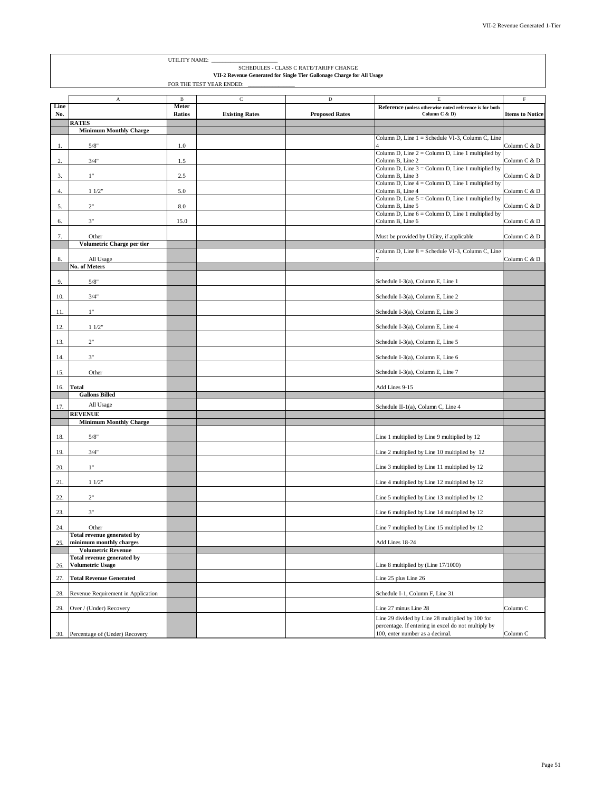<span id="page-50-0"></span>

|            |                                                              | UTILITY NAME:            |                       |                                                                                                                  |                                                                                                                                            |                        |
|------------|--------------------------------------------------------------|--------------------------|-----------------------|------------------------------------------------------------------------------------------------------------------|--------------------------------------------------------------------------------------------------------------------------------------------|------------------------|
|            |                                                              |                          |                       | SCHEDULES - CLASS C RATE/TARIFF CHANGE<br>VII-2 Revenue Generated for Single Tier Gallonage Charge for All Usage |                                                                                                                                            |                        |
|            |                                                              | FOR THE TEST YEAR ENDED: |                       |                                                                                                                  |                                                                                                                                            |                        |
| Line       | A                                                            | $\, {\bf B}$<br>Meter    | $\mathsf C$           | D                                                                                                                | Е<br>Reference (unless otherwise noted reference is for both                                                                               | F                      |
| No.        |                                                              | Ratios                   | <b>Existing Rates</b> | <b>Proposed Rates</b>                                                                                            | Column C & D)                                                                                                                              | <b>Items to Notice</b> |
|            | <b>RATES</b><br><b>Minimum Monthly Charge</b>                |                          |                       |                                                                                                                  |                                                                                                                                            |                        |
| 1.         | 5/8"                                                         | 1.0                      |                       |                                                                                                                  | Column D, Line 1 = Schedule VI-3, Column C, Line                                                                                           | Column C & D           |
| 2.         | 3/4"                                                         | 1.5                      |                       |                                                                                                                  | Column D, Line $2 =$ Column D, Line 1 multiplied by<br>Column B, Line 2                                                                    | Column C & D           |
| 3.         | 1"                                                           | 2.5                      |                       |                                                                                                                  | Column D, Line $3 =$ Column D, Line 1 multiplied by<br>Column B, Line 3                                                                    | Column C & D           |
| 4.         | 11/2"                                                        | 5.0                      |                       |                                                                                                                  | Column D, Line $4 =$ Column D, Line 1 multiplied by<br>Column B, Line 4                                                                    | Column C & D           |
| 5.         | 2"                                                           | 8.0                      |                       |                                                                                                                  | Column D, Line $5 =$ Column D, Line 1 multiplied by<br>Column B, Line 5                                                                    | Column C & D           |
| 6.         | 3"                                                           | 15.0                     |                       |                                                                                                                  | Column D, Line 6 = Column D, Line 1 multiplied by<br>Column B, Line 6                                                                      | Column C & D           |
| 7.         | Other                                                        |                          |                       |                                                                                                                  | Must be provided by Utility, if applicable                                                                                                 | Column C & D           |
|            | Volumetric Charge per tier                                   |                          |                       |                                                                                                                  | Column D, Line 8 = Schedule VI-3, Column C, Line                                                                                           |                        |
| 8.         | All Usage                                                    |                          |                       |                                                                                                                  |                                                                                                                                            | Column C & D           |
| 9.         | <b>No. of Meters</b><br>5/8"                                 |                          |                       |                                                                                                                  | Schedule I-3(a), Column E, Line 1                                                                                                          |                        |
| 10.        | 3/4"                                                         |                          |                       |                                                                                                                  | Schedule I-3(a), Column E, Line 2                                                                                                          |                        |
| 11.        | 1"                                                           |                          |                       |                                                                                                                  | Schedule I-3(a), Column E, Line 3                                                                                                          |                        |
|            |                                                              |                          |                       |                                                                                                                  |                                                                                                                                            |                        |
| 12.        | 11/2"                                                        |                          |                       |                                                                                                                  | Schedule I-3(a), Column E, Line 4                                                                                                          |                        |
| 13.        | $2"$<br>$3"$                                                 |                          |                       |                                                                                                                  | Schedule I-3(a), Column E, Line 5<br>Schedule I-3(a), Column E, Line 6                                                                     |                        |
| 14.<br>15. | Other                                                        |                          |                       |                                                                                                                  | Schedule I-3(a), Column E, Line 7                                                                                                          |                        |
|            | <b>Total</b>                                                 |                          |                       |                                                                                                                  | Add Lines 9-15                                                                                                                             |                        |
| 16.        | <b>Gallons Billed</b>                                        |                          |                       |                                                                                                                  |                                                                                                                                            |                        |
| 17.        | All Usage                                                    |                          |                       |                                                                                                                  | Schedule II-1(a), Column C, Line 4                                                                                                         |                        |
|            | <b>REVENUE</b><br><b>Minimum Monthly Charge</b>              |                          |                       |                                                                                                                  |                                                                                                                                            |                        |
|            | 5/8"                                                         |                          |                       |                                                                                                                  |                                                                                                                                            |                        |
| 18.<br>19. | 3/4"                                                         |                          |                       |                                                                                                                  | Line 1 multiplied by Line 9 multiplied by 12<br>Line 2 multiplied by Line 10 multiplied by 12                                              |                        |
| 20.        | 1"                                                           |                          |                       |                                                                                                                  | Line 3 multiplied by Line 11 multiplied by 12                                                                                              |                        |
| 21.        | 11/2"                                                        |                          |                       |                                                                                                                  | Line 4 multiplied by Line 12 multiplied by 12                                                                                              |                        |
| 22.        | 2"                                                           |                          |                       |                                                                                                                  | Line 5 multiplied by Line 13 multiplied by 12                                                                                              |                        |
| 23.        | $3"$                                                         |                          |                       |                                                                                                                  | Line 6 multiplied by Line 14 multiplied by 12                                                                                              |                        |
| 24.        | Other                                                        |                          |                       |                                                                                                                  | Line 7 multiplied by Line 15 multiplied by 12                                                                                              |                        |
| 25.        | <b>Total revenue generated by</b><br>minimum monthly charges |                          |                       |                                                                                                                  | Add Lines 18-24                                                                                                                            |                        |
|            | <b>Volumetric Revenue</b>                                    |                          |                       |                                                                                                                  |                                                                                                                                            |                        |
| 26.        | Total revenue generated by<br><b>Volumetric Usage</b>        |                          |                       |                                                                                                                  | Line 8 multiplied by (Line 17/1000)                                                                                                        |                        |
| 27.        | <b>Total Revenue Generated</b>                               |                          |                       |                                                                                                                  | Line 25 plus Line 26                                                                                                                       |                        |
| 28.        | Revenue Requirement in Application                           |                          |                       |                                                                                                                  | Schedule I-1, Column F, Line 31                                                                                                            |                        |
| 29.        | Over / (Under) Recovery                                      |                          |                       |                                                                                                                  | Line 27 minus Line 28                                                                                                                      | Column C               |
|            | 30. Percentage of (Under) Recovery                           |                          |                       |                                                                                                                  | Line 29 divided by Line 28 multiplied by 100 for<br>percentage. If entering in excel do not multiply by<br>100, enter number as a decimal. | Column C               |

30. Percentage of (Under) Recovery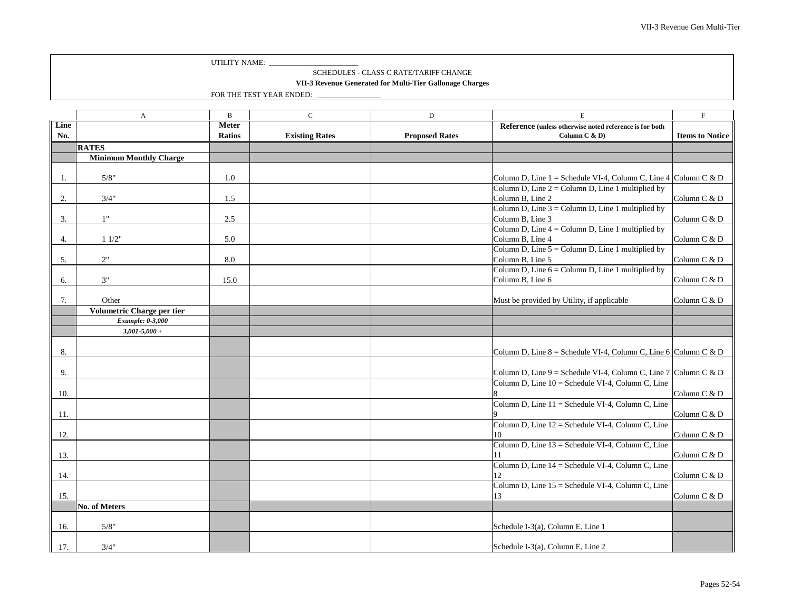#### SCHEDULES - CLASS C RATE/TARIFF CHANGE

### **VII-3 Revenue Generated for Multi-Tier Gallonage Charges**

<span id="page-51-0"></span>

|      | $\mathbf{A}$                        | $\, {\bf B}$  | $\mathsf C$           | $\mathbf D$           | $\mathbf E$                                                       | $\mathbf F$            |
|------|-------------------------------------|---------------|-----------------------|-----------------------|-------------------------------------------------------------------|------------------------|
| Line |                                     | <b>Meter</b>  |                       |                       | Reference (unless otherwise noted reference is for both           |                        |
| No.  |                                     | <b>Ratios</b> | <b>Existing Rates</b> | <b>Proposed Rates</b> | Column C & D)                                                     | <b>Items to Notice</b> |
|      | <b>RATES</b>                        |               |                       |                       |                                                                   |                        |
|      | <b>Minimum Monthly Charge</b>       |               |                       |                       |                                                                   |                        |
|      |                                     |               |                       |                       |                                                                   |                        |
| -1.  | 5/8"                                | 1.0           |                       |                       | Column D, Line $1 =$ Schedule VI-4, Column C, Line 4 Column C & D |                        |
|      |                                     |               |                       |                       | Column D, Line $2 =$ Column D, Line 1 multiplied by               |                        |
| 2.   | 3/4"                                | 1.5           |                       |                       | Column B, Line 2                                                  | Column C & D           |
|      |                                     |               |                       |                       | Column D, Line $3 =$ Column D, Line 1 multiplied by               |                        |
| 3.   | 1"                                  | 2.5           |                       |                       | Column B, Line 3                                                  | Column C & D           |
|      |                                     |               |                       |                       | Column D, Line $4 =$ Column D, Line 1 multiplied by               |                        |
| 4.   | 11/2"                               | 5.0           |                       |                       | Column B, Line 4                                                  | Column C & D           |
|      |                                     |               |                       |                       | Column D, Line $5 =$ Column D, Line 1 multiplied by               |                        |
| 5.   | 2"                                  | 8.0           |                       |                       | Column B, Line 5                                                  | Column C & D           |
|      |                                     |               |                       |                       | Column D, Line $6 =$ Column D, Line 1 multiplied by               |                        |
| 6.   | 3"                                  | 15.0          |                       |                       | Column B, Line 6                                                  | Column C & D           |
|      |                                     |               |                       |                       |                                                                   |                        |
| 7.   | Other<br>Volumetric Charge per tier |               |                       |                       | Must be provided by Utility, if applicable                        | Column C & D           |
|      | Example: 0-3,000                    |               |                       |                       |                                                                   |                        |
|      | $3,001 - 5,000 +$                   |               |                       |                       |                                                                   |                        |
|      |                                     |               |                       |                       |                                                                   |                        |
| 8.   |                                     |               |                       |                       | Column D, Line $8 =$ Schedule VI-4, Column C, Line 6 Column C & D |                        |
|      |                                     |               |                       |                       |                                                                   |                        |
| 9.   |                                     |               |                       |                       | Column D, Line $9 =$ Schedule VI-4, Column C, Line 7 Column C & D |                        |
|      |                                     |               |                       |                       | Column D, Line 10 = Schedule VI-4, Column C, Line                 |                        |
| 10.  |                                     |               |                       |                       |                                                                   | Column C & D           |
|      |                                     |               |                       |                       | Column D, Line 11 = Schedule VI-4, Column C, Line                 |                        |
| 11.  |                                     |               |                       |                       |                                                                   | Column C & D           |
|      |                                     |               |                       |                       | Column D, Line 12 = Schedule VI-4, Column C, Line                 |                        |
| 12.  |                                     |               |                       |                       | 10                                                                | Column C & D           |
|      |                                     |               |                       |                       | Column D, Line 13 = Schedule VI-4, Column C, Line                 |                        |
| 13.  |                                     |               |                       |                       | 11                                                                | Column C & D           |
|      |                                     |               |                       |                       | Column D, Line 14 = Schedule VI-4, Column C, Line                 |                        |
| 14.  |                                     |               |                       |                       | 12                                                                | Column C & D           |
|      |                                     |               |                       |                       | Column D, Line 15 = Schedule VI-4, Column C, Line                 |                        |
| 15.  |                                     |               |                       |                       | 13                                                                | Column C & D           |
|      | <b>No. of Meters</b>                |               |                       |                       |                                                                   |                        |
|      |                                     |               |                       |                       |                                                                   |                        |
| 16.  | 5/8"                                |               |                       |                       | Schedule I-3(a), Column E, Line 1                                 |                        |
|      |                                     |               |                       |                       |                                                                   |                        |
| 17.  | 3/4"                                |               |                       |                       | Schedule I-3(a), Column E, Line 2                                 |                        |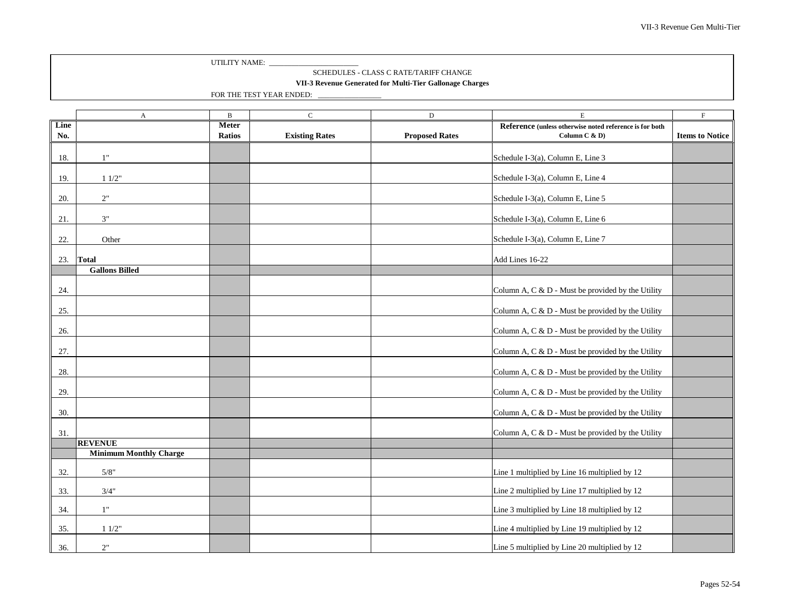#### SCHEDULES - CLASS C RATE/TARIFF CHANGE

### **VII-3 Revenue Generated for Multi-Tier Gallonage Charges**

<span id="page-52-0"></span>

|      | $\boldsymbol{\rm{A}}$         | $\, {\bf B}$  | $\mathbf C$           | $\mathbf D$           | $\mathbf E$                                             | $\mathbf F$            |
|------|-------------------------------|---------------|-----------------------|-----------------------|---------------------------------------------------------|------------------------|
| Line |                               | <b>Meter</b>  |                       |                       | Reference (unless otherwise noted reference is for both |                        |
| No.  |                               | <b>Ratios</b> | <b>Existing Rates</b> | <b>Proposed Rates</b> | Column C $\& D$                                         | <b>Items to Notice</b> |
|      |                               |               |                       |                       |                                                         |                        |
| 18.  | 1"                            |               |                       |                       | Schedule I-3(a), Column E, Line 3                       |                        |
|      |                               |               |                       |                       |                                                         |                        |
| 19.  | 11/2"                         |               |                       |                       | Schedule I-3(a), Column E, Line 4                       |                        |
|      |                               |               |                       |                       |                                                         |                        |
| 20.  | $2"$                          |               |                       |                       | Schedule I-3(a), Column E, Line 5                       |                        |
|      |                               |               |                       |                       |                                                         |                        |
| 21.  | $3"$                          |               |                       |                       | Schedule I-3(a), Column E, Line 6                       |                        |
|      |                               |               |                       |                       |                                                         |                        |
| 22.  | Other                         |               |                       |                       | Schedule I-3(a), Column E, Line 7                       |                        |
|      |                               |               |                       |                       |                                                         |                        |
| 23.  | <b>Total</b>                  |               |                       |                       | Add Lines 16-22                                         |                        |
|      | <b>Gallons Billed</b>         |               |                       |                       |                                                         |                        |
|      |                               |               |                       |                       |                                                         |                        |
| 24.  |                               |               |                       |                       | Column A, C & D - Must be provided by the Utility       |                        |
|      |                               |               |                       |                       |                                                         |                        |
| 25.  |                               |               |                       |                       | Column A, C & D - Must be provided by the Utility       |                        |
|      |                               |               |                       |                       |                                                         |                        |
| 26.  |                               |               |                       |                       | Column A, C & D - Must be provided by the Utility       |                        |
|      |                               |               |                       |                       |                                                         |                        |
| 27.  |                               |               |                       |                       | Column A, C & D - Must be provided by the Utility       |                        |
|      |                               |               |                       |                       |                                                         |                        |
| 28.  |                               |               |                       |                       | Column A, C & D - Must be provided by the Utility       |                        |
|      |                               |               |                       |                       |                                                         |                        |
| 29.  |                               |               |                       |                       | Column A, C & D - Must be provided by the Utility       |                        |
|      |                               |               |                       |                       |                                                         |                        |
| 30.  |                               |               |                       |                       | Column A, C & D - Must be provided by the Utility       |                        |
|      |                               |               |                       |                       |                                                         |                        |
| 31.  |                               |               |                       |                       | Column A, C & D - Must be provided by the Utility       |                        |
|      | <b>REVENUE</b>                |               |                       |                       |                                                         |                        |
|      | <b>Minimum Monthly Charge</b> |               |                       |                       |                                                         |                        |
|      |                               |               |                       |                       |                                                         |                        |
| 32.  | 5/8"                          |               |                       |                       | Line 1 multiplied by Line 16 multiplied by 12           |                        |
|      |                               |               |                       |                       |                                                         |                        |
| 33.  | 3/4"                          |               |                       |                       | Line 2 multiplied by Line 17 multiplied by 12           |                        |
|      | 1"                            |               |                       |                       |                                                         |                        |
| 34.  |                               |               |                       |                       | Line 3 multiplied by Line 18 multiplied by 12           |                        |
| 35.  | 11/2"                         |               |                       |                       | Line 4 multiplied by Line 19 multiplied by 12           |                        |
|      |                               |               |                       |                       |                                                         |                        |
| 36.  | $2"$                          |               |                       |                       | Line 5 multiplied by Line 20 multiplied by 12           |                        |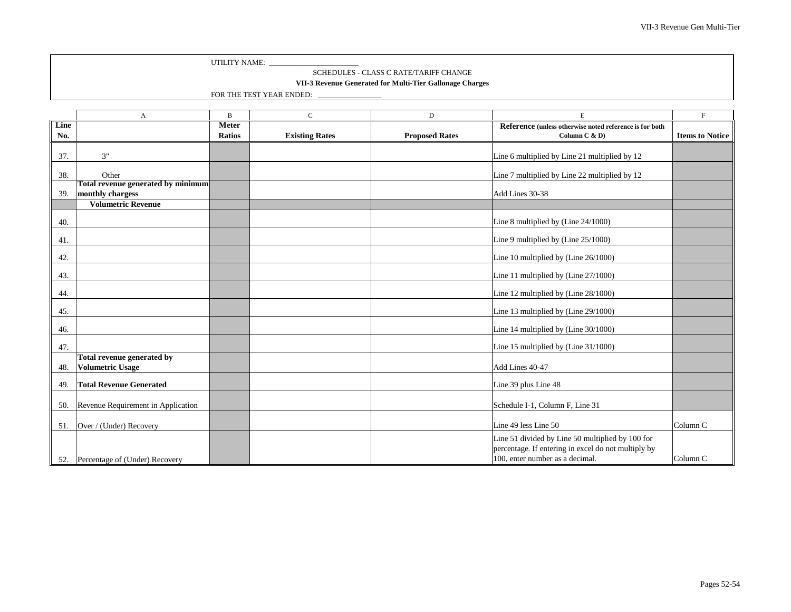#### SCHEDULES - CLASS C RATE/TARIFF CHANGE

### **VII-3 Revenue Generated for Multi-Tier Gallonage Charges**

|      | A                                  | $\mathbf B$   | $\mathbf{C}$          | D                     | E                                                                                                       | $\mathbf{F}$           |
|------|------------------------------------|---------------|-----------------------|-----------------------|---------------------------------------------------------------------------------------------------------|------------------------|
| Line |                                    | <b>Meter</b>  |                       |                       | Reference (unless otherwise noted reference is for both                                                 |                        |
| No.  |                                    | <b>Ratios</b> | <b>Existing Rates</b> | <b>Proposed Rates</b> | Column C & D)                                                                                           | <b>Items to Notice</b> |
|      |                                    |               |                       |                       |                                                                                                         |                        |
| 37.  | 3"                                 |               |                       |                       | Line 6 multiplied by Line 21 multiplied by 12                                                           |                        |
| 38.  | Other                              |               |                       |                       | Line 7 multiplied by Line 22 multiplied by 12                                                           |                        |
|      | Total revenue generated by minimum |               |                       |                       |                                                                                                         |                        |
| 39.  | monthly chargess                   |               |                       |                       | Add Lines 30-38                                                                                         |                        |
|      | <b>Volumetric Revenue</b>          |               |                       |                       |                                                                                                         |                        |
| 40.  |                                    |               |                       |                       | Line 8 multiplied by (Line 24/1000)                                                                     |                        |
| 41.  |                                    |               |                       |                       | Line 9 multiplied by (Line 25/1000)                                                                     |                        |
| 42.  |                                    |               |                       |                       | Line 10 multiplied by (Line 26/1000)                                                                    |                        |
| 43.  |                                    |               |                       |                       | Line 11 multiplied by (Line 27/1000)                                                                    |                        |
| 44.  |                                    |               |                       |                       | Line 12 multiplied by (Line 28/1000)                                                                    |                        |
| 45.  |                                    |               |                       |                       | Line 13 multiplied by (Line 29/1000)                                                                    |                        |
| 46.  |                                    |               |                       |                       | Line 14 multiplied by (Line 30/1000)                                                                    |                        |
| 47.  |                                    |               |                       |                       | Line 15 multiplied by (Line 31/1000)                                                                    |                        |
|      | Total revenue generated by         |               |                       |                       |                                                                                                         |                        |
| 48.  | <b>Volumetric Usage</b>            |               |                       |                       | Add Lines 40-47                                                                                         |                        |
| 49.  | <b>Total Revenue Generated</b>     |               |                       |                       | Line 39 plus Line 48                                                                                    |                        |
| 50.  | Revenue Requirement in Application |               |                       |                       | Schedule I-1, Column F, Line 31                                                                         |                        |
| 51.  | Over / (Under) Recovery            |               |                       |                       | Line 49 less Line 50                                                                                    | Column <sub>C</sub>    |
|      |                                    |               |                       |                       |                                                                                                         |                        |
|      |                                    |               |                       |                       | Line 51 divided by Line 50 multiplied by 100 for<br>percentage. If entering in excel do not multiply by |                        |
|      |                                    |               |                       |                       | 100, enter number as a decimal.                                                                         | Column <sub>C</sub>    |
|      | 52. Percentage of (Under) Recovery |               |                       |                       |                                                                                                         |                        |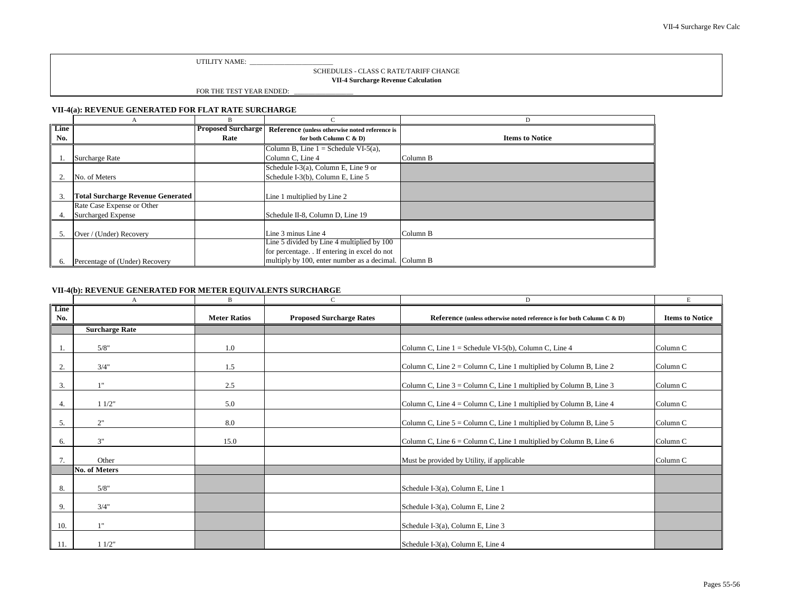### SCHEDULES - CLASS C RATE/TARIFF CHANGE

### **VII-4 Surcharge Revenue Calculation**

FOR THE TEST YEAR ENDED:

### **VII-4(a): REVENUE GENERATED FOR FLAT RATE SURCHARGE**

|                          | A                                        | B                         |                                                      |                        |
|--------------------------|------------------------------------------|---------------------------|------------------------------------------------------|------------------------|
| $\overline{\text{Line}}$ |                                          | <b>Proposed Surcharge</b> | Reference (unless otherwise noted reference is       |                        |
| No.                      |                                          | Rate                      | for both Column C & D)                               | <b>Items to Notice</b> |
|                          |                                          |                           | Column B, Line $1 =$ Schedule VI-5(a),               |                        |
|                          | Surcharge Rate                           |                           | Column C, Line 4                                     | Column B               |
|                          |                                          |                           | Schedule I-3(a), Column E, Line 9 or                 |                        |
|                          | No. of Meters                            |                           | Schedule I-3(b), Column E, Line 5                    |                        |
|                          |                                          |                           |                                                      |                        |
| 3.                       | <b>Total Surcharge Revenue Generated</b> |                           | Line 1 multiplied by Line 2                          |                        |
|                          | Rate Case Expense or Other               |                           |                                                      |                        |
| 4.                       | <b>Surcharged Expense</b>                |                           | Schedule II-8, Column D, Line 19                     |                        |
|                          |                                          |                           |                                                      |                        |
| -5.                      | Over / (Under) Recovery                  |                           | Line 3 minus Line 4                                  | Column B               |
|                          |                                          |                           | Line 5 divided by Line 4 multiplied by 100           |                        |
|                          |                                          |                           | for percentage. . If entering in excel do not        |                        |
| 6.                       | Percentage of (Under) Recovery           |                           | multiply by 100, enter number as a decimal. Column B |                        |

### **VII-4(b): REVENUE GENERATED FOR METER EQUIVALENTS SURCHARGE**

|             | A                     | B                   | $\mathsf{C}$                    | D                                                                        | $\mathbf E$            |
|-------------|-----------------------|---------------------|---------------------------------|--------------------------------------------------------------------------|------------------------|
| Line<br>No. |                       |                     |                                 |                                                                          |                        |
|             |                       | <b>Meter Ratios</b> | <b>Proposed Surcharge Rates</b> | Reference (unless otherwise noted reference is for both Column C & D)    | <b>Items to Notice</b> |
|             | <b>Surcharge Rate</b> |                     |                                 |                                                                          |                        |
| 1.          | 5/8"                  | 1.0                 |                                 | Column C, Line $1 =$ Schedule VI-5(b), Column C, Line 4                  | Column <sub>C</sub>    |
| 2.          | 3/4"                  | 1.5                 |                                 | Column C, Line $2 =$ Column C, Line 1 multiplied by Column B, Line 2     | Column C               |
| 3.          | 1"                    | 2.5                 |                                 | Column C, Line $3 =$ Column C, Line 1 multiplied by Column B, Line 3     | Column <sub>C</sub>    |
| 4.          | 11/2"                 | 5.0                 |                                 | Column C, Line $4 =$ Column C, Line 1 multiplied by Column B, Line $4$   | Column C               |
| 5.          | 2"                    | 8.0                 |                                 | Column C, Line $5 =$ Column C, Line 1 multiplied by Column B, Line $5 =$ | Column C               |
| 6.          | 3"                    | 15.0                |                                 | Column C, Line $6 =$ Column C, Line 1 multiplied by Column B, Line $6 =$ | Column C               |
| 7.          | Other                 |                     |                                 | Must be provided by Utility, if applicable                               | Column <sub>C</sub>    |
|             | <b>No. of Meters</b>  |                     |                                 |                                                                          |                        |
| 8.          | 5/8"                  |                     |                                 | Schedule I-3(a), Column E, Line 1                                        |                        |
| 9.          | 3/4"                  |                     |                                 | Schedule I-3(a), Column E, Line 2                                        |                        |
| 10.         | 1"                    |                     |                                 | Schedule I-3(a), Column E, Line 3                                        |                        |
| 11.         | 11/2"                 |                     |                                 | Schedule I-3(a), Column E, Line 4                                        |                        |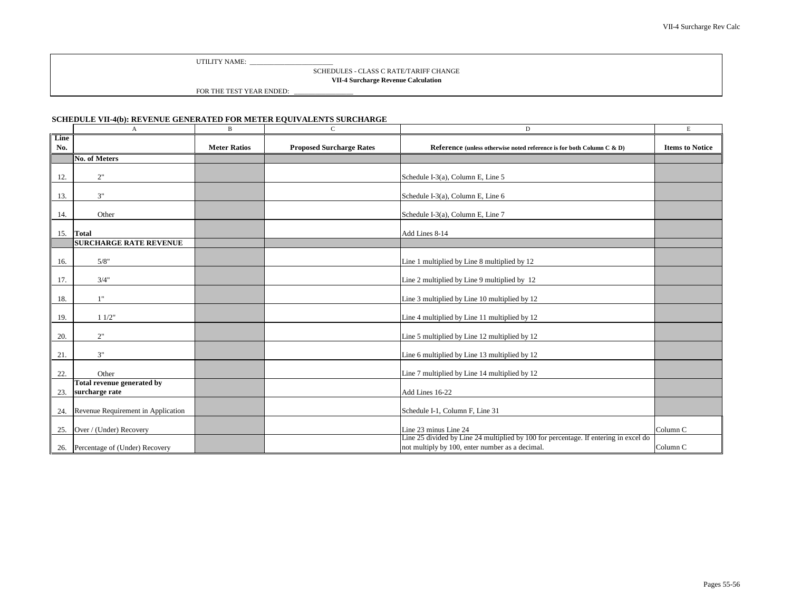#### SCHEDULES - CLASS C RATE/TARIFF CHANGE **VII-4 Surcharge Revenue Calculation**

FOR THE TEST YEAR ENDED:

### <span id="page-55-0"></span>**SCHEDULE VII-4(b): REVENUE GENERATED FOR METER EQUIVALENTS SURCHARGE**

|             | $\mathbf{A}$                       | B                   | $\mathsf{C}$                    | D                                                                                                                                       | Е                      |
|-------------|------------------------------------|---------------------|---------------------------------|-----------------------------------------------------------------------------------------------------------------------------------------|------------------------|
| Line<br>No. |                                    | <b>Meter Ratios</b> | <b>Proposed Surcharge Rates</b> | Reference (unless otherwise noted reference is for both Column C & D)                                                                   | <b>Items to Notice</b> |
|             | No. of Meters                      |                     |                                 |                                                                                                                                         |                        |
| 12.         | 2"                                 |                     |                                 | Schedule I-3(a), Column E, Line 5                                                                                                       |                        |
| 13.         | 3"                                 |                     |                                 | Schedule I-3(a), Column E, Line 6                                                                                                       |                        |
| 14.         | Other                              |                     |                                 | Schedule I-3(a), Column E, Line 7                                                                                                       |                        |
| 15.         | <b>Total</b>                       |                     |                                 | Add Lines 8-14                                                                                                                          |                        |
|             | <b>SURCHARGE RATE REVENUE</b>      |                     |                                 |                                                                                                                                         |                        |
| 16.         | 5/8"                               |                     |                                 | Line 1 multiplied by Line 8 multiplied by 12                                                                                            |                        |
| 17.         | 3/4"                               |                     |                                 | Line 2 multiplied by Line 9 multiplied by 12                                                                                            |                        |
| 18.         | 1"                                 |                     |                                 | Line 3 multiplied by Line 10 multiplied by 12                                                                                           |                        |
| 19.         | 11/2"                              |                     |                                 | Line 4 multiplied by Line 11 multiplied by 12                                                                                           |                        |
| 20.         | 2"                                 |                     |                                 | Line 5 multiplied by Line 12 multiplied by 12                                                                                           |                        |
| 21.         | 3"                                 |                     |                                 | Line 6 multiplied by Line 13 multiplied by 12                                                                                           |                        |
| 22.         | Other                              |                     |                                 | Line 7 multiplied by Line 14 multiplied by 12                                                                                           |                        |
|             | <b>Total revenue generated by</b>  |                     |                                 |                                                                                                                                         |                        |
| 23.         | surcharge rate                     |                     |                                 | Add Lines 16-22                                                                                                                         |                        |
| 24.         | Revenue Requirement in Application |                     |                                 | Schedule I-1, Column F, Line 31                                                                                                         |                        |
| 25.         | Over / (Under) Recovery            |                     |                                 | Line 23 minus Line 24                                                                                                                   | Column <sub>C</sub>    |
|             | 26. Percentage of (Under) Recovery |                     |                                 | Line 25 divided by Line 24 multiplied by 100 for percentage. If entering in excel do<br>not multiply by 100, enter number as a decimal. | Column C               |